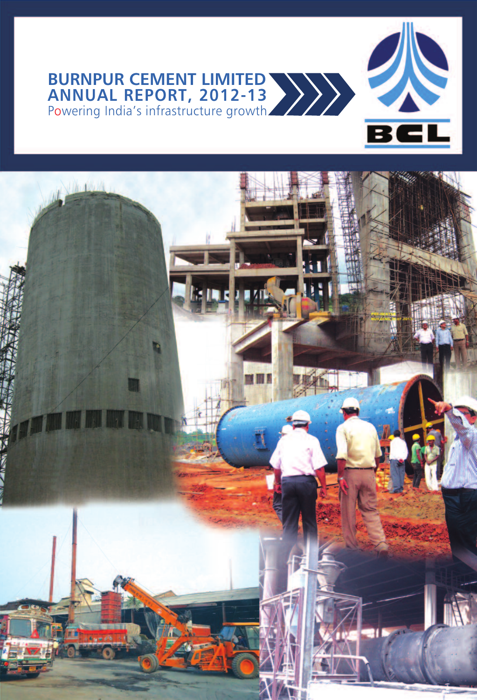

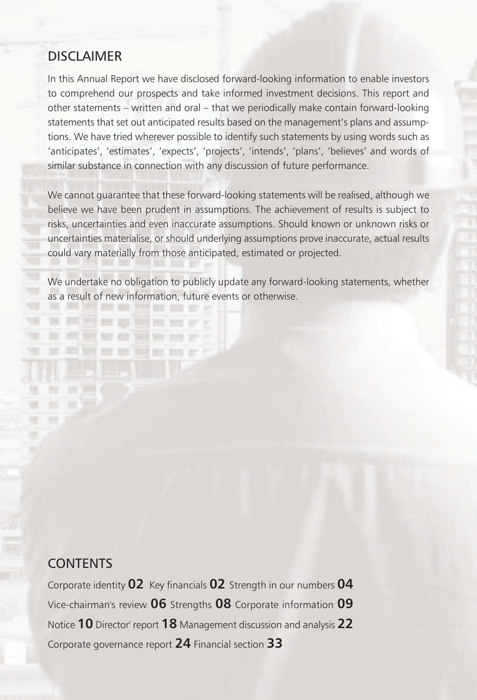# DISCI AIMER

 $-11$ 

**Best and Vand box** ment terms are

In this Annual Report we have disclosed forward-looking information to enable investors to comprehend our prospects and take informed investment decisions. This report and other statements – written and oral – that we periodically make contain forward-looking statements that set out anticipated results based on the management's plans and assumptions. We have tried wherever possible to identify such statements by using words such as 'anticipates', 'estimates', 'expects', 'projects', 'intends', 'plans', 'believes' and words of similar substance in connection with any discussion of future performance.

We cannot guarantee that these forward-looking statements will be realised, although we believe we have been prudent in assumptions. The achievement of results is subject to risks, uncertainties and even inaccurate assumptions. Should known or unknown risks or uncertainties materialise, or should underlying assumptions prove inaccurate, actual results could vary materially from those anticipated, estimated or projected.

We undertake no obligation to publicly update any forward-looking statements, whether as a result of new information, future events or otherwise.

# **CONTENTS**

Corporate identity **02** Key financials **02** Strength in our numbers **04** Vice-chairman's review **06** Strengths **08** Corporate information **09** Notice **10** Director' report **18** Management discussion and analysis **22** Corporate governance report **24** Financial section **33**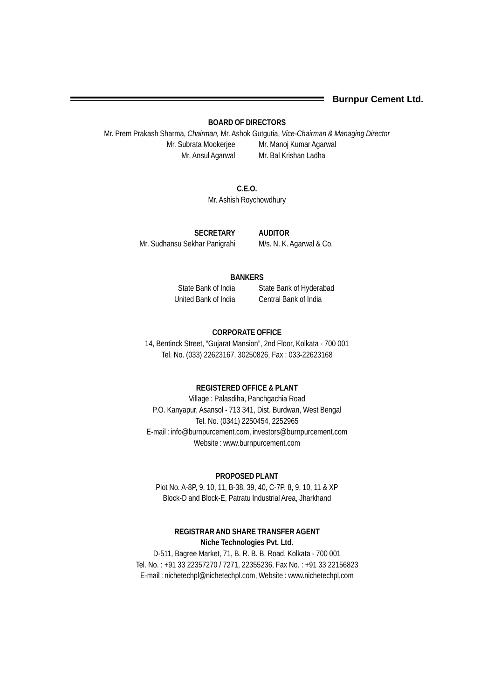**Burnpur Cement Ltd.**

# **BOARD OF DIRECTORS**

Mr. Prem Prakash Sharma, *Chairman,* Mr. Ashok Gutgutia, *Vice-Chairman & Managing Director* Mr. Subrata Mookerjee Mr. Manoj Kumar Agarwal Mr. Ansul Agarwal Mr. Bal Krishan Ladha

> **C.E.O.** Mr. Ashish Roychowdhury

**SECRETARY AUDITOR** Mr. Sudhansu Sekhar Panigrahi M/s. N. K. Agarwal & Co.

# **BANKERS**

State Bank of India State Bank of Hyderabad United Bank of India Central Bank of India

# **CORPORATE OFFICE**

14, Bentinck Street, "Gujarat Mansion", 2nd Floor, Kolkata - 700 001 Tel. No. (033) 22623167, 30250826, Fax : 033-22623168

# **REGISTERED OFFICE & PLANT**

Village : Palasdiha, Panchgachia Road P.O. Kanyapur, Asansol - 713 341, Dist. Burdwan, West Bengal Tel. No. (0341) 2250454, 2252965 E-mail : info@burnpurcement.com, investors@burnpurcement.com Website : www.burnpurcement.com

# **PROPOSED PLANT**

Plot No. A-8P, 9, 10, 11, B-38, 39, 40, C-7P, 8, 9, 10, 11 & XP Block-D and Block-E, Patratu Industrial Area, Jharkhand

# **REGISTRAR AND SHARE TRANSFER AGENT Niche Technologies Pvt. Ltd.**

D-511, Bagree Market, 71, B. R. B. B. Road, Kolkata - 700 001 Tel. No. : +91 33 22357270 / 7271, 22355236, Fax No. : +91 33 22156823 E-mail : nichetechpl@nichetechpl.com, Website : www.nichetechpl.com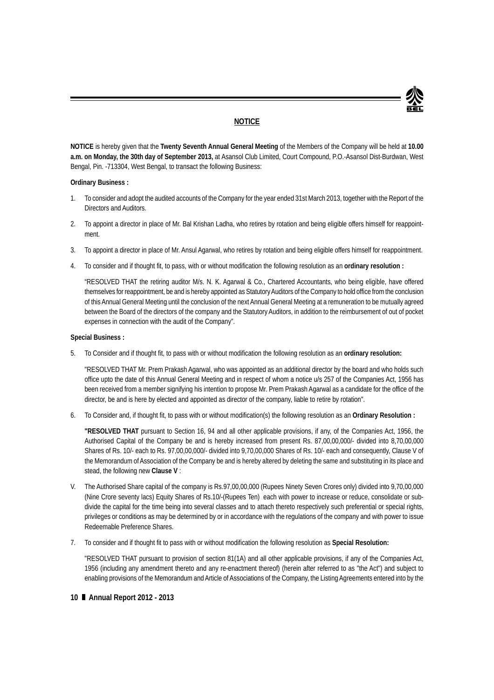# **NOTICE**

**NOTICE** is hereby given that the **Twenty Seventh Annual General Meeting** of the Members of the Company will be held at **10.00 a.m. on Monday, the 30th day of September 2013,** at Asansol Club Limited, Court Compound, P.O.-Asansol Dist-Burdwan, West Bengal, Pin. -713304, West Bengal, to transact the following Business:

# **Ordinary Business :**

- 1. To consider and adopt the audited accounts of the Company for the year ended 31st March 2013, together with the Report of the Directors and Auditors.
- 2. To appoint a director in place of Mr. Bal Krishan Ladha, who retires by rotation and being eligible offers himself for reappointment.
- 3. To appoint a director in place of Mr. Ansul Agarwal, who retires by rotation and being eligible offers himself for reappointment.
- 4. To consider and if thought fit, to pass, with or without modification the following resolution as an **ordinary resolution :**

"RESOLVED THAT the retiring auditor M/s. N. K. Agarwal & Co., Chartered Accountants, who being eligible, have offered themselves for reappointment, be and is hereby appointed as Statutory Auditors of the Company to hold office from the conclusion of this Annual General Meeting until the conclusion of the next Annual General Meeting at a remuneration to be mutually agreed between the Board of the directors of the company and the Statutory Auditors, in addition to the reimbursement of out of pocket expenses in connection with the audit of the Company".

# **Special Business :**

5. To Consider and if thought fit, to pass with or without modification the following resolution as an **ordinary resolution:**

"RESOLVED THAT Mr. Prem Prakash Agarwal, who was appointed as an additional director by the board and who holds such office upto the date of this Annual General Meeting and in respect of whom a notice u/s 257 of the Companies Act, 1956 has been received from a member signifying his intention to propose Mr. Prem Prakash Agarwal as a candidate for the office of the director, be and is here by elected and appointed as director of the company, liable to retire by rotation".

6. To Consider and, if thought fit, to pass with or without modification(s) the following resolution as an **Ordinary Resolution :**

**"RESOLVED THAT** pursuant to Section 16, 94 and all other applicable provisions, if any, of the Companies Act, 1956, the Authorised Capital of the Company be and is hereby increased from present Rs. 87,00,00,000/- divided into 8,70,00,000 Shares of Rs. 10/- each to Rs. 97,00,00,000/- divided into 9,70,00,000 Shares of Rs. 10/- each and consequently, Clause V of the Memorandum of Association of the Company be and is hereby altered by deleting the same and substituting in its place and stead, the following new **Clause V** :

- V. The Authorised Share capital of the company is Rs.97,00,00,000 (Rupees Ninety Seven Crores only) divided into 9,70,00,000 (Nine Crore seventy lacs) Equity Shares of Rs.10/-(Rupees Ten) each with power to increase or reduce, consolidate or subdivide the capital for the time being into several classes and to attach thereto respectively such preferential or special rights. privileges or conditions as may be determined by or in accordance with the regulations of the company and with power to issue Redeemable Preference Shares.
- 7. To consider and if thought fit to pass with or without modification the following resolution as **Special Resolution:**

"RESOLVED THAT pursuant to provision of section 81(1A) and all other applicable provisions, if any of the Companies Act, 1956 (including any amendment thereto and any re-enactment thereof) (herein after referred to as "the Act") and subject to enabling provisions of the Memorandum and Article of Associations of the Company, the Listing Agreements entered into by the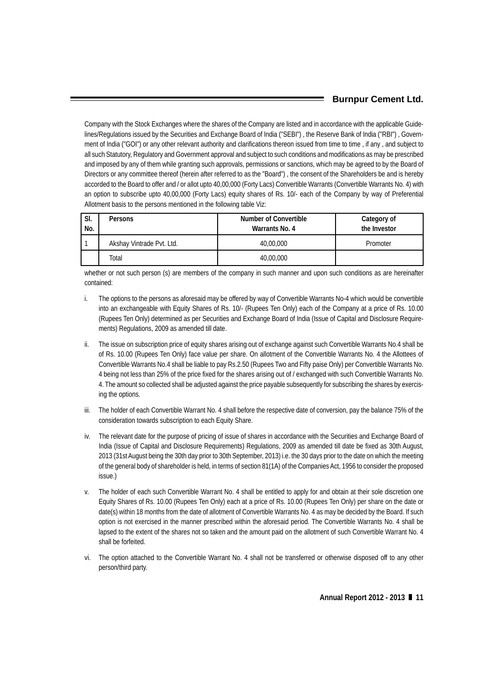Company with the Stock Exchanges where the shares of the Company are listed and in accordance with the applicable Guidelines/Regulations issued by the Securities and Exchange Board of India ("SEBI") , the Reserve Bank of India ("RBI") , Government of India ("GOI") or any other relevant authority and clarifications thereon issued from time to time , if any , and subject to all such Statutory, Regulatory and Government approval and subject to such conditions and modifications as may be prescribed and imposed by any of them while granting such approvals, permissions or sanctions, which may be agreed to by the Board of Directors or any committee thereof (herein after referred to as the "Board") , the consent of the Shareholders be and is hereby accorded to the Board to offer and / or allot upto 40,00,000 (Forty Lacs) Convertible Warrants (Convertible Warrants No. 4) with an option to subscribe upto 40,00,000 (Forty Lacs) equity shares of Rs. 10/- each of the Company by way of Preferential Allotment basis to the persons mentioned in the following table Viz:

| SI.<br>No. | <b>Persons</b>            | Number of Convertible<br>Warrants No. 4 | Category of<br>the Investor |
|------------|---------------------------|-----------------------------------------|-----------------------------|
|            | Akshay Vintrade Pvt. Ltd. | 40,00,000                               | Promoter                    |
|            | Total                     | 40,00,000                               |                             |

whether or not such person (s) are members of the company in such manner and upon such conditions as are hereinafter contained:

- i. The options to the persons as aforesaid may be offered by way of Convertible Warrants No-4 which would be convertible into an exchangeable with Equity Shares of Rs. 10/- (Rupees Ten Only) each of the Company at a price of Rs. 10.00 (Rupees Ten Only) determined as per Securities and Exchange Board of India (Issue of Capital and Disclosure Requirements) Regulations, 2009 as amended till date.
- ii. The issue on subscription price of equity shares arising out of exchange against such Convertible Warrants No.4 shall be of Rs. 10.00 (Rupees Ten Only) face value per share. On allotment of the Convertible Warrants No. 4 the Allottees of Convertible Warrants No.4 shall be liable to pay Rs.2.50 (Rupees Two and Fifty paise Only) per Convertible Warrants No. 4 being not less than 25% of the price fixed for the shares arising out of / exchanged with such Convertible Warrants No. 4. The amount so collected shall be adjusted against the price payable subsequently for subscribing the shares by exercising the options.
- iii. The holder of each Convertible Warrant No. 4 shall before the respective date of conversion, pay the balance 75% of the consideration towards subscription to each Equity Share.
- iv. The relevant date for the purpose of pricing of issue of shares in accordance with the Securities and Exchange Board of India (Issue of Capital and Disclosure Requirements) Regulations, 2009 as amended till date be fixed as 30th August, 2013 (31st August being the 30th day prior to 30th September, 2013) i.e. the 30 days prior to the date on which the meeting of the general body of shareholder is held, in terms of section 81(1A) of the Companies Act, 1956 to consider the proposed issue.)
- The holder of each such Convertible Warrant No. 4 shall be entitled to apply for and obtain at their sole discretion one Equity Shares of Rs. 10.00 (Rupees Ten Only) each at a price of Rs. 10.00 (Rupees Ten Only) per share on the date or date(s) within 18 months from the date of allotment of Convertible Warrants No. 4 as may be decided by the Board. If such option is not exercised in the manner prescribed within the aforesaid period. The Convertible Warrants No. 4 shall be lapsed to the extent of the shares not so taken and the amount paid on the allotment of such Convertible Warrant No. 4 shall be forfeited.
- vi. The option attached to the Convertible Warrant No. 4 shall not be transferred or otherwise disposed off to any other person/third party.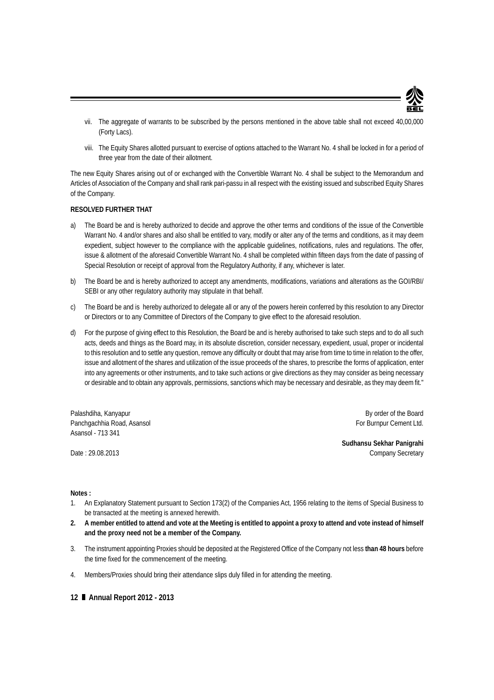

- vii. The aggregate of warrants to be subscribed by the persons mentioned in the above table shall not exceed 40,00,000 (Forty Lacs).
- viii. The Equity Shares allotted pursuant to exercise of options attached to the Warrant No. 4 shall be locked in for a period of three year from the date of their allotment.

The new Equity Shares arising out of or exchanged with the Convertible Warrant No. 4 shall be subject to the Memorandum and Articles of Association of the Company and shall rank pari-passu in all respect with the existing issued and subscribed Equity Shares of the Company.

# **RESOLVED FURTHER THAT**

- a) The Board be and is hereby authorized to decide and approve the other terms and conditions of the issue of the Convertible Warrant No. 4 and/or shares and also shall be entitled to vary, modify or alter any of the terms and conditions, as it may deem expedient, subject however to the compliance with the applicable guidelines, notifications, rules and regulations. The offer, issue & allotment of the aforesaid Convertible Warrant No. 4 shall be completed within fifteen days from the date of passing of Special Resolution or receipt of approval from the Regulatory Authority, if any, whichever is later.
- b) The Board be and is hereby authorized to accept any amendments, modifications, variations and alterations as the GOI/RBI/ SEBI or any other regulatory authority may stipulate in that behalf.
- c) The Board be and is hereby authorized to delegate all or any of the powers herein conferred by this resolution to any Director or Directors or to any Committee of Directors of the Company to give effect to the aforesaid resolution.
- d) For the purpose of giving effect to this Resolution, the Board be and is hereby authorised to take such steps and to do all such acts, deeds and things as the Board may, in its absolute discretion, consider necessary, expedient, usual, proper or incidental to this resolution and to settle any question, remove any difficulty or doubt that may arise from time to time in relation to the offer, issue and allotment of the shares and utilization of the issue proceeds of the shares, to prescribe the forms of application, enter into any agreements or other instruments, and to take such actions or give directions as they may consider as being necessary or desirable and to obtain any approvals, permissions, sanctions which may be necessary and desirable, as they may deem fit."

Palashdiha, Kanyapur By order of the Board Panchgachhia Road, Asansol **For Burnpur Cement Ltd.** For Burnpur Cement Ltd. Asansol - 713 341

**Sudhansu Sekhar Panigrahi** Date : 29.08.2013 Company Secretary

#### **Notes :**

- 1. An Explanatory Statement pursuant to Section 173(2) of the Companies Act, 1956 relating to the items of Special Business to be transacted at the meeting is annexed herewith.
- **2. A member entitled to attend and vote at the Meeting is entitled to appoint a proxy to attend and vote instead of himself and the proxy need not be a member of the Company.**
- 3. The instrument appointing Proxies should be deposited at the Registered Office of the Company not less **than 48 hours** before the time fixed for the commencement of the meeting.
- 4. Members/Proxies should bring their attendance slips duly filled in for attending the meeting.
- **12 Annual Report 2012 2013**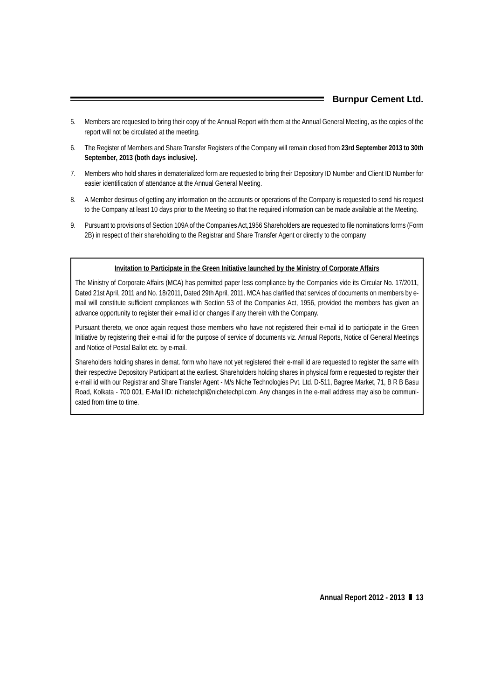# **Burnpur Cement Ltd.**

- 5. Members are requested to bring their copy of the Annual Report with them at the Annual General Meeting, as the copies of the report will not be circulated at the meeting.
- 6. The Register of Members and Share Transfer Registers of the Company will remain closed from **23rd September 2013 to 30th September, 2013 (both days inclusive).**
- 7. Members who hold shares in dematerialized form are requested to bring their Depository ID Number and Client ID Number for easier identification of attendance at the Annual General Meeting.
- 8. A Member desirous of getting any information on the accounts or operations of the Company is requested to send his request to the Company at least 10 days prior to the Meeting so that the required information can be made available at the Meeting.
- 9. Pursuant to provisions of Section 109A of the Companies Act,1956 Shareholders are requested to file nominations forms (Form 2B) in respect of their shareholding to the Registrar and Share Transfer Agent or directly to the company

# **Invitation to Participate in the Green Initiative launched by the Ministry of Corporate Affairs**

The Ministry of Corporate Affairs (MCA) has permitted paper less compliance by the Companies vide its Circular No. 17/2011, Dated 21st April, 2011 and No. 18/2011, Dated 29th April, 2011. MCA has clarified that services of documents on members by email will constitute sufficient compliances with Section 53 of the Companies Act, 1956, provided the members has given an advance opportunity to register their e-mail id or changes if any therein with the Company.

Pursuant thereto, we once again request those members who have not registered their e-mail id to participate in the Green Initiative by registering their e-mail id for the purpose of service of documents viz. Annual Reports, Notice of General Meetings and Notice of Postal Ballot etc. by e-mail.

Shareholders holding shares in demat. form who have not yet registered their e-mail id are requested to register the same with their respective Depository Participant at the earliest. Shareholders holding shares in physical form e requested to register their e-mail id with our Registrar and Share Transfer Agent - M/s Niche Technologies Pvt. Ltd. D-511, Bagree Market, 71, B R B Basu Road, Kolkata - 700 001, E-Mail ID: nichetechpl@nichetechpl.com. Any changes in the e-mail address may also be communicated from time to time.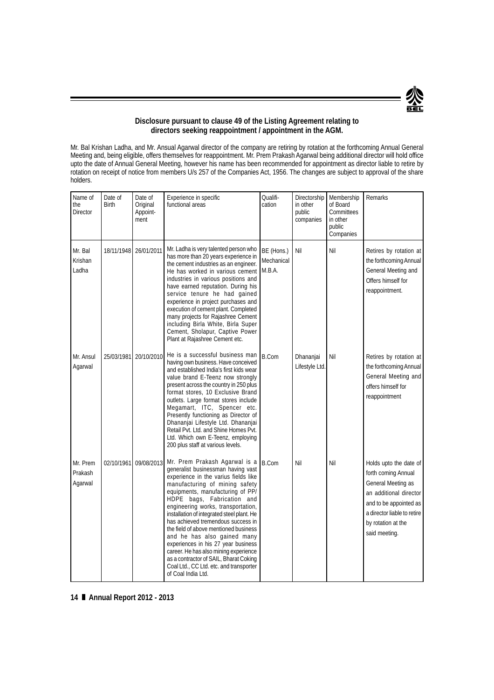

# **Disclosure pursuant to clause 49 of the Listing Agreement relating to directors seeking reappointment / appointment in the AGM.**

Mr. Bal Krishan Ladha, and Mr. Ansual Agarwal director of the company are retiring by rotation at the forthcoming Annual General Meeting and, being eligible, offers themselves for reappointment. Mr. Prem Prakash Agarwal being additional director will hold office upto the date of Annual General Meeting, however his name has been recommended for appointment as director liable to retire by rotation on receipt of notice from members U/s 257 of the Companies Act, 1956. The changes are subject to approval of the share holders.

| Name of<br>the<br><b>Director</b> | Date of<br><b>Birth</b> | Date of<br>Original<br>Appoint-<br>ment | Experience in specific<br>functional areas                                                                                                                                                                                                                                                                                                                                                                                                                                                                                                                                                                   | Qualifi-<br>cation                 | Directorship<br>in other<br>public<br>companies | Membership<br>of Board<br>Committees<br>in other<br>public<br>Companies | Remarks                                                                                                                                                                                       |
|-----------------------------------|-------------------------|-----------------------------------------|--------------------------------------------------------------------------------------------------------------------------------------------------------------------------------------------------------------------------------------------------------------------------------------------------------------------------------------------------------------------------------------------------------------------------------------------------------------------------------------------------------------------------------------------------------------------------------------------------------------|------------------------------------|-------------------------------------------------|-------------------------------------------------------------------------|-----------------------------------------------------------------------------------------------------------------------------------------------------------------------------------------------|
| Mr. Bal<br>Krishan<br>Ladha       | 18/11/1948              | 26/01/2011                              | Mr. Ladha is very talented person who<br>has more than 20 years experience in<br>the cement industries as an engineer.<br>He has worked in various cement<br>industries in various positions and<br>have earned reputation. During his<br>service tenure he had gained<br>experience in project purchases and<br>execution of cement plant. Completed<br>many projects for Rajashree Cement<br>including Birla White, Birla Super<br>Cement, Sholapur, Captive Power<br>Plant at Rajashree Cement etc.                                                                                                       | BE (Hons.)<br>Mechanical<br>M.B.A. | Nil                                             | Nil                                                                     | Retires by rotation at<br>the forthcoming Annual<br>General Meeting and<br>Offers himself for<br>reappointment.                                                                               |
| Mr. Ansul<br>Agarwal              | 25/03/1981              | 20/10/2010                              | He is a successful business man<br>having own business. Have conceived<br>and established India's first kids wear<br>value brand E-Teenz now strongly<br>present across the country in 250 plus<br>format stores, 10 Exclusive Brand<br>outlets. Large format stores include<br>Megamart, ITC, Spencer etc.<br>Presently functioning as Director of<br>Dhananjai Lifestyle Ltd. Dhananjai<br>Retail Pvt. Ltd. and Shine Homes Pvt.<br>Ltd. Which own E-Teenz, employing<br>200 plus staff at various levels.                                                                                                 | <b>B.Com</b>                       | Dhananjai<br>Lifestyle Ltd.                     | Nil                                                                     | Retires by rotation at<br>the forthcoming Annual<br>General Meeting and<br>offers himself for<br>reappointment                                                                                |
| Mr. Prem<br>Prakash<br>Agarwal    | 02/10/1961              | 09/08/2013                              | Mr. Prem Prakash Agarwal is a<br>generalist businessman having vast<br>experience in the varius fields like<br>manufacturing of mining safety<br>equipments, manufacturing of PP/<br>HDPE bags, Fabrication and<br>engineering works, transportation,<br>installation of integrated steel plant. He<br>has achieved tremendous success in<br>the field of above mentioned business<br>and he has also gained many<br>experiences in his 27 year business<br>career. He has also mining experience<br>as a contractor of SAIL, Bharat Coking<br>Coal Ltd., CC Ltd. etc. and transporter<br>of Coal India Ltd. | <b>B.Com</b>                       | Nil                                             | Nil                                                                     | Holds upto the date of<br>forth coming Annual<br>General Meeting as<br>an additional director<br>and to be appointed as<br>a director liable to retire<br>by rotation at the<br>said meeting. |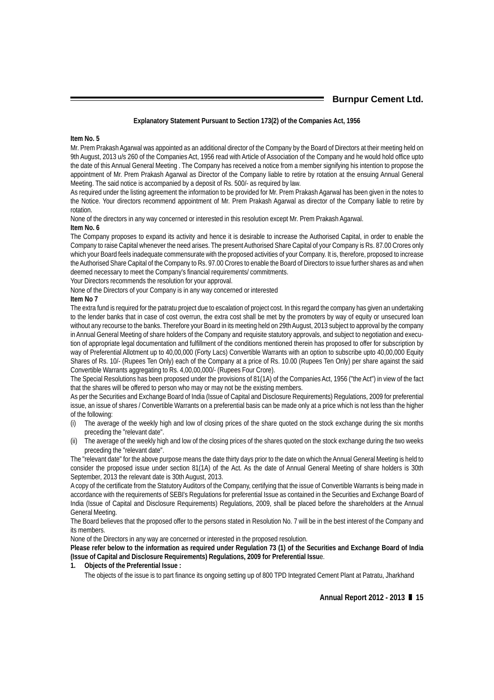# **Burnpur Cement Ltd.**

# **Explanatory Statement Pursuant to Section 173(2) of the Companies Act, 1956**

#### **Item No. 5**

Mr. Prem Prakash Agarwal was appointed as an additional director of the Company by the Board of Directors at their meeting held on 9th August, 2013 u/s 260 of the Companies Act, 1956 read with Article of Association of the Company and he would hold office upto the date of this Annual General Meeting . The Company has received a notice from a member signifying his intention to propose the appointment of Mr. Prem Prakash Agarwal as Director of the Company liable to retire by rotation at the ensuing Annual General Meeting. The said notice is accompanied by a deposit of Rs. 500/- as required by law.

As required under the listing agreement the information to be provided for Mr. Prem Prakash Agarwal has been given in the notes to the Notice. Your directors recommend appointment of Mr. Prem Prakash Agarwal as director of the Company liable to retire by rotation.

None of the directors in any way concerned or interested in this resolution except Mr. Prem Prakash Agarwal. **Item No. 6**

The Company proposes to expand its activity and hence it is desirable to increase the Authorised Capital, in order to enable the Company to raise Capital whenever the need arises. The present Authorised Share Capital of your Company is Rs. 87.00 Crores only which your Board feels inadequate commensurate with the proposed activities of your Company. It is, therefore, proposed to increase the Authorised Share Capital of the Company to Rs. 97.00 Crores to enable the Board of Directors to issue further shares as and when deemed necessary to meet the Company's financial requirements/ commitments.

Your Directors recommends the resolution for your approval.

None of the Directors of your Company is in any way concerned or interested

# **Item No 7**

The extra fund is required for the patratu project due to escalation of project cost. In this regard the company has given an undertaking to the lender banks that in case of cost overrun, the extra cost shall be met by the promoters by way of equity or unsecured loan without any recourse to the banks. Therefore your Board in its meeting held on 29th August, 2013 subject to approval by the company in Annual General Meeting of share holders of the Company and requisite statutory approvals, and subject to negotiation and execution of appropriate legal documentation and fulfillment of the conditions mentioned therein has proposed to offer for subscription by way of Preferential Allotment up to 40,00,000 (Forty Lacs) Convertible Warrants with an option to subscribe upto 40,00,000 Equity Shares of Rs. 10/- (Rupees Ten Only) each of the Company at a price of Rs. 10.00 (Rupees Ten Only) per share against the said Convertible Warrants aggregating to Rs. 4,00,00,000/- (Rupees Four Crore).

The Special Resolutions has been proposed under the provisions of 81(1A) of the Companies Act, 1956 ("the Act") in view of the fact that the shares will be offered to person who may or may not be the existing members.

As per the Securities and Exchange Board of India (Issue of Capital and Disclosure Requirements) Regulations, 2009 for preferential issue, an issue of shares / Convertible Warrants on a preferential basis can be made only at a price which is not less than the higher of the following:

- (i) The average of the weekly high and low of closing prices of the share quoted on the stock exchange during the six months preceding the "relevant date".
- (ii) The average of the weekly high and low of the closing prices of the shares quoted on the stock exchange during the two weeks preceding the "relevant date".

The "relevant date" for the above purpose means the date thirty days prior to the date on which the Annual General Meeting is held to consider the proposed issue under section 81(1A) of the Act. As the date of Annual General Meeting of share holders is 30th September, 2013 the relevant date is 30th August, 2013.

A copy of the certificate from the Statutory Auditors of the Company, certifying that the issue of Convertible Warrants is being made in accordance with the requirements of SEBI's Regulations for preferential Issue as contained in the Securities and Exchange Board of India (Issue of Capital and Disclosure Requirements) Regulations, 2009, shall be placed before the shareholders at the Annual General Meeting.

The Board believes that the proposed offer to the persons stated in Resolution No. 7 will be in the best interest of the Company and its members.

None of the Directors in any way are concerned or interested in the proposed resolution.

**Please refer below to the information as required under Regulation 73 (1) of the Securities and Exchange Board of India (Issue of Capital and Disclosure Requirements) Regulations, 2009 for Preferential Issu**e.

#### **1. Objects of the Preferential Issue :**

The objects of the issue is to part finance its ongoing setting up of 800 TPD Integrated Cement Plant at Patratu, Jharkhand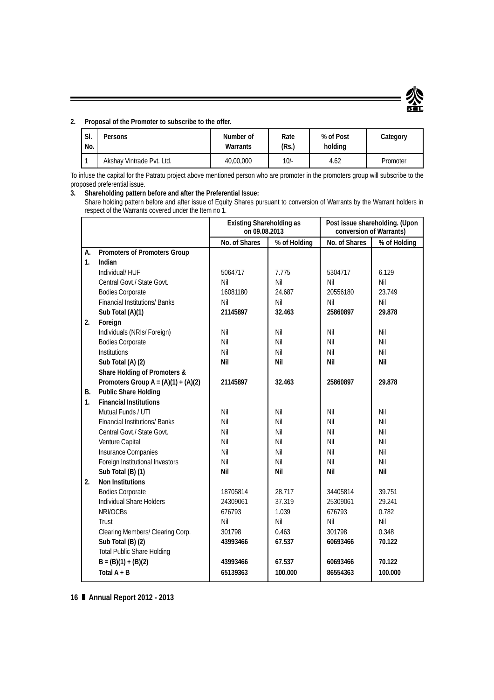

# **2. Proposal of the Promoter to subscribe to the offer.**

| SI.<br>No. | Persons                   | Number of<br>Warrants | Rate<br>(Rs.) | % of Post<br>holding | Category |
|------------|---------------------------|-----------------------|---------------|----------------------|----------|
|            | Akshav Vintrade Pvt. Ltd. | 40,00,000             | $10/-$        | 4.62                 | Promoter |

To infuse the capital for the Patratu project above mentioned person who are promoter in the promoters group will subscribe to the proposed preferential issue.

# **3. Shareholding pattern before and after the Preferential Issue:**

Share holding pattern before and after issue of Equity Shares pursuant to conversion of Warrants by the Warrant holders in respect of the Warrants covered under the Item no 1.

|                |                                       | <b>Existing Shareholding as</b><br>on 09.08.2013 |              | conversion of Warrants) | Post issue shareholding. (Upon |
|----------------|---------------------------------------|--------------------------------------------------|--------------|-------------------------|--------------------------------|
|                |                                       | No. of Shares                                    | % of Holding | No. of Shares           | % of Holding                   |
| А.             | Promoters of Promoters Group          |                                                  |              |                         |                                |
| $\mathbf{1}$ . | Indian                                |                                                  |              |                         |                                |
|                | Individual/HUF                        | 5064717                                          | 7.775        | 5304717                 | 6.129                          |
|                | Central Govt./ State Govt.            | Nil                                              | Nil          | Nil                     | Nil                            |
|                | <b>Bodies Corporate</b>               | 16081180                                         | 24.687       | 20556180                | 23.749                         |
|                | <b>Financial Institutions/ Banks</b>  | Nil                                              | Nil          | Nil                     | Nil                            |
|                | Sub Total (A)(1)                      | 21145897                                         | 32.463       | 25860897                | 29.878                         |
| 2.             | Foreign                               |                                                  |              |                         |                                |
|                | Individuals (NRIs/ Foreign)           | Nil                                              | Nil          | Nil                     | Nil                            |
|                | <b>Bodies Corporate</b>               | Nil                                              | Nil          | Nil                     | Nil                            |
|                | Institutions                          | Nil                                              | Nil          | Nil                     | Nil                            |
|                | Sub Total (A) (2)                     | Nil                                              | <b>Nil</b>   | Nil                     | Nil                            |
|                | Share Holding of Promoters &          |                                                  |              |                         |                                |
|                | Promoters Group $A = (A)(1) + (A)(2)$ | 21145897                                         | 32.463       | 25860897                | 29.878                         |
| В.             | <b>Public Share Holding</b>           |                                                  |              |                         |                                |
| 1.             | <b>Financial Institutions</b>         |                                                  |              |                         |                                |
|                | Mutual Funds / UTI                    | Nil                                              | Nil          | Nil                     | Nil                            |
|                | <b>Financial Institutions/ Banks</b>  | Nil                                              | Nil          | Nil                     | Nil                            |
|                | Central Govt./ State Govt.            | Nil                                              | Nil          | Nil                     | Nil                            |
|                | Venture Capital                       | Nil                                              | Nil          | Nil                     | Nil                            |
|                | Insurance Companies                   | Nil                                              | Nil          | Nil                     | Nil                            |
|                | Foreign Institutional Investors       | Nil                                              | Nil          | Nil                     | Nil                            |
|                | Sub Total (B) (1)                     | <b>Nil</b>                                       | Nil          | Nil                     | Nil                            |
| 2.             | Non Institutions                      |                                                  |              |                         |                                |
|                | <b>Bodies Corporate</b>               | 18705814                                         | 28.717       | 34405814                | 39.751                         |
|                | Individual Share Holders              | 24309061                                         | 37.319       | 25309061                | 29.241                         |
|                | NRI/OCBs                              | 676793                                           | 1.039        | 676793                  | 0.782                          |
|                | Trust                                 | Nil                                              | Nil          | Nil                     | Nil                            |
|                | Clearing Members/ Clearing Corp.      | 301798                                           | 0.463        | 301798                  | 0.348                          |
|                | Sub Total (B) (2)                     | 43993466                                         | 67.537       | 60693466                | 70.122                         |
|                | Total Public Share Holding            |                                                  |              |                         |                                |
|                | $B = (B)(1) + (B)(2)$                 | 43993466                                         | 67.537       | 60693466                | 70.122                         |
|                | Total $A + B$                         | 65139363                                         | 100.000      | 86554363                | 100.000                        |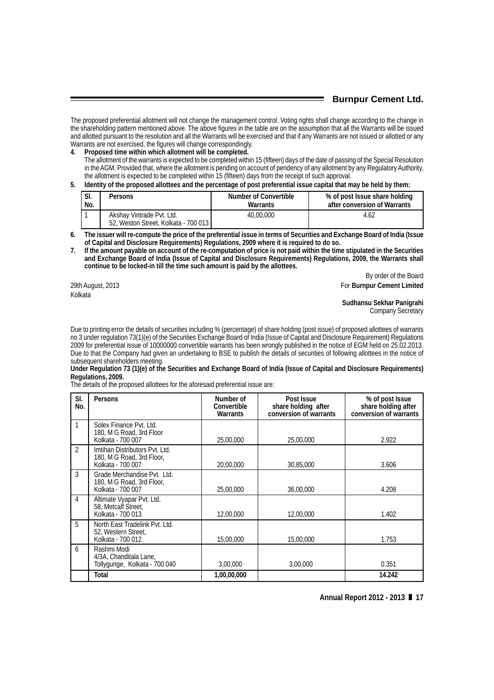The proposed preferential allotment will not change the management control. Voting rights shall change according to the change in the shareholding pattern mentioned above. The above figures in the table are on the assumption that all the Warrants will be issued and allotted pursuant to the resolution and all the Warrants will be exercised and that if any Warrants are not issued or allotted or any Warrants are not exercised, the figures will change correspondingly.

# **4. Proposed time within which allotment will be completed.**

The allotment of the warrants is expected to be completed within 15 (fifteen) days of the date of passing of the Special Resolution in the AGM. Provided that, where the allotment is pending on account of pendency of any allotment by any Regulatory Authority, the allotment is expected to be completed within 15 (fifteen) days from the receipt of such approval.

**5. Identity of the proposed allottees and the percentage of post preferential issue capital that may be held by them:**

| SI. | <b>Persons</b>                                                      | Number of Convertible | % of post Issue share holding |
|-----|---------------------------------------------------------------------|-----------------------|-------------------------------|
| No. |                                                                     | Warrants              | after conversion of Warrants  |
|     | Akshav Vintrade Pvt. Ltd.<br>52. Weston Street, Kolkata - 700 013 L | 40,00,000             | 4.62                          |

**6. The issuer will re-compute the price of the preferential issue in terms of Securities and Exchange Board of India (Issue of Capital and Disclosure Requirements) Regulations, 2009 where it is required to do so.**

**7. If the amount payable on account of the re-computation of price is not paid within the time stipulated in the Securities and Exchange Board of India (Issue of Capital and Disclosure Requirements) Regulations, 2009, the Warrants shall continue to be locked-in till the time such amount is paid by the allottees.**

Kolkata

By order of the Board 29th August, 2013 For **Burnpur Cement Limited**

> **Sudhansu Sekhar Panigrahi** Company Secretary

Due to printing error the details of securities including % (percentage) of share holding (post issue) of proposed allottees of warrants no 3 under regulation 73(1)(e) of the Securities Exchange Board of India (Issue of Capital and Disclosure Requirement) Regulations 2009 for preferential issue of 10000000 convertible warrants has been wrongly published in the notice of EGM held on 25.02.2013. Due to that the Company had given an undertaking to BSE to publish the details of securities of following allottees in the notice of subsequent shareholders meeting.

**Under Regulation 73 (1)(e) of the Securities and Exchange Board of India (Issue of Capital and Disclosure Requirements) Regulations, 2009.**

The details of the proposed allottees for the aforesaid preferential issue are:

| SI.<br>No.     | Persons                                                                          | Number of<br>Convertible<br>Warrants | Post Issue<br>share holding after<br>conversion of warrants | % of post Issue<br>share holding after<br>conversion of warrants |
|----------------|----------------------------------------------------------------------------------|--------------------------------------|-------------------------------------------------------------|------------------------------------------------------------------|
|                | Solex Finance Pvt. Ltd.<br>180, M G Road, 3rd Floor<br>Kolkata - 700 007         | 25,00,000                            | 25,00,000                                                   | 2.922                                                            |
| $\overline{2}$ | Imtihan Distributors Pvt. Ltd.<br>180, M G Road, 3rd Floor,<br>Kolkata - 700 007 | 20,00,000                            | 30,85,000                                                   | 3.606                                                            |
| 3              | Grade Merchandise Pvt. Ltd.<br>180, M G Road, 3rd Floor,<br>Kolkata - 700 007    | 25,00,000                            | 36,00,000                                                   | 4.208                                                            |
| 4              | Altimate Vyapar Pvt. Ltd.<br>58, Metcalf Street,<br>Kolkata - 700 013            | 12.00.000                            | 12.00.000                                                   | 1.402                                                            |
| 5              | North East Tradelink Pvt. Ltd.<br>52, Western Street,<br>Kolkata - 700 012       | 15,00,000                            | 15,00,000                                                   | 1.753                                                            |
| 6              | Rashmi Modi<br>4/3A, Chanditala Lane,<br>Tollygunge, Kolkata - 700 040           | 3,00,000                             | 3,00,000                                                    | 0.351                                                            |
|                | Total                                                                            | 1,00,00,000                          |                                                             | 14.242                                                           |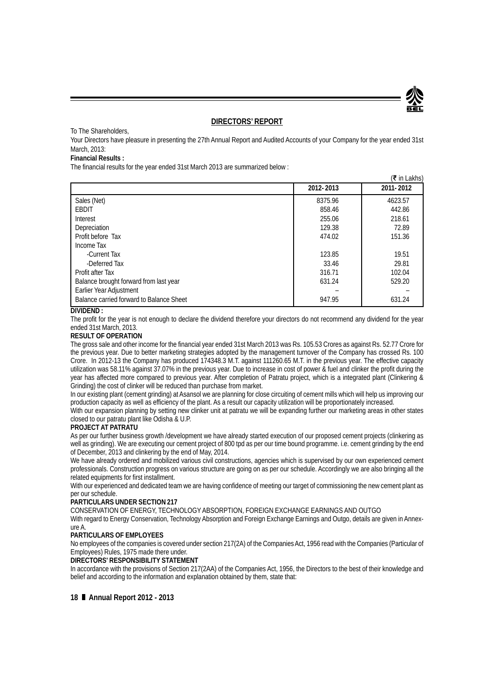# **DIRECTORS' REPORT**

To The Shareholders,

Your Directors have pleasure in presenting the 27th Annual Report and Audited Accounts of your Company for the year ended 31st March, 2013:

# **Financial Results :**

The financial results for the year ended 31st March 2013 are summarized below :

|                                          |           | ( ₹ in Lakhs) |
|------------------------------------------|-----------|---------------|
|                                          | 2012-2013 | 2011-2012     |
| Sales (Net)                              | 8375.96   | 4623.57       |
| <b>EBDIT</b>                             | 858.46    | 442.86        |
| Interest                                 | 255.06    | 218.61        |
| Depreciation                             | 129.38    | 72.89         |
| Profit before Tax                        | 474.02    | 151.36        |
| Income Tax                               |           |               |
| -Current Tax                             | 123.85    | 19.51         |
| -Deferred Tax                            | 33.46     | 29.81         |
| Profit after Tax                         | 316.71    | 102.04        |
| Balance brought forward from last year   | 631.24    | 529.20        |
| Earlier Year Adjustment                  |           |               |
| Balance carried forward to Balance Sheet | 947.95    | 631.24        |

#### **DIVIDEND :**

The profit for the year is not enough to declare the dividend therefore your directors do not recommend any dividend for the year ended 31st March, 2013.

#### **RESULT OF OPERATION**

The gross sale and other income for the financial year ended 31st March 2013 was Rs. 105.53 Crores as against Rs. 52.77 Crore for the previous year. Due to better marketing strategies adopted by the management turnover of the Company has crossed Rs. 100 Crore. In 2012-13 the Company has produced 174348.3 M.T. against 111260.65 M.T. in the previous year. The effective capacity utilization was 58.11% against 37.07% in the previous year. Due to increase in cost of power & fuel and clinker the profit during the year has affected more compared to previous year. After completion of Patratu project, which is a integrated plant (Clinkering & Grinding) the cost of clinker will be reduced than purchase from market.

In our existing plant (cement grinding) at Asansol we are planning for close circuiting of cement mills which will help us improving our production capacity as well as efficiency of the plant. As a result our capacity utilization will be proportionately increased.

With our expansion planning by setting new clinker unit at patratu we will be expanding further our marketing areas in other states closed to our patratu plant like Odisha & U.P.

#### **PROJECT AT PATRATU**

As per our further business growth /development we have already started execution of our proposed cement projects (clinkering as well as grinding). We are executing our cement project of 800 tpd as per our time bound programme. i.e. cement grinding by the end of December, 2013 and clinkering by the end of May, 2014.

We have already ordered and mobilized various civil constructions, agencies which is supervised by our own experienced cement professionals. Construction progress on various structure are going on as per our schedule. Accordingly we are also bringing all the related equipments for first installment.

With our experienced and dedicated team we are having confidence of meeting our target of commissioning the new cement plant as per our schedule.

#### **PARTICULARS UNDER SECTION 217**

CONSERVATION OF ENERGY, TECHNOLOGY ABSORPTION, FOREIGN EXCHANGE EARNINGS AND OUTGO

With regard to Energy Conservation, Technology Absorption and Foreign Exchange Earnings and Outgo, details are given in Annexure A.

# **PARTICULARS OF EMPLOYEES**

No employees of the companies is covered under section 217(2A) of the Companies Act, 1956 read with the Companies (Particular of Employees) Rules, 1975 made there under.

#### **DIRECTORS' RESPONSIBILITY STATEMENT**

In accordance with the provisions of Section 217(2AA) of the Companies Act, 1956, the Directors to the best of their knowledge and belief and according to the information and explanation obtained by them, state that: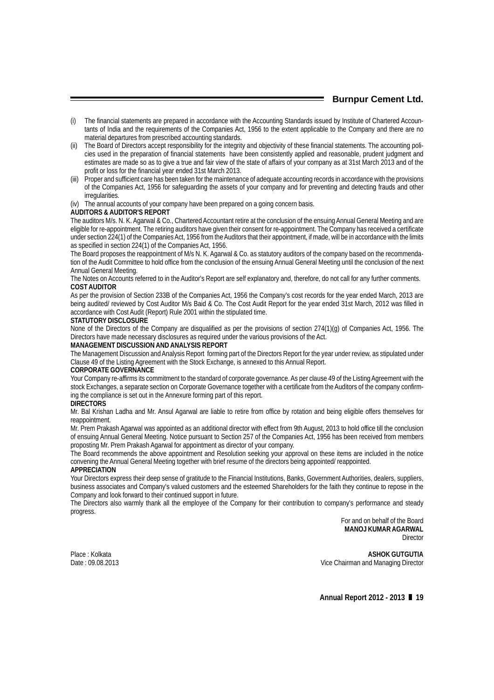# **Burnpur Cement Ltd.**

- (i) The financial statements are prepared in accordance with the Accounting Standards issued by Institute of Chartered Accountants of India and the requirements of the Companies Act, 1956 to the extent applicable to the Company and there are no material departures from prescribed accounting standards.
- (ii) The Board of Directors accept responsibility for the integrity and objectivity of these financial statements. The accounting policies used in the preparation of financial statements have been consistently applied and reasonable, prudent judgment and estimates are made so as to give a true and fair view of the state of affairs of your company as at 31st March 2013 and of the profit or loss for the financial year ended 31st March 2013.
- (iii) Proper and sufficient care has been taken for the maintenance of adequate accounting records in accordance with the provisions of the Companies Act, 1956 for safeguarding the assets of your company and for preventing and detecting frauds and other irregularities.

(iv) The annual accounts of your company have been prepared on a going concern basis.

#### **AUDITORS & AUDITOR'S REPORT**

The auditors M/s. N. K. Agarwal & Co., Chartered Accountant retire at the conclusion of the ensuing Annual General Meeting and are eligible for re-appointment. The retiring auditors have given their consent for re-appointment. The Company has received a certificate under section 224(1) of the Companies Act, 1956 from the Auditors that their appointment, if made, will be in accordance with the limits as specified in section 224(1) of the Companies Act, 1956.

The Board proposes the reappointment of M/s N. K. Agarwal & Co. as statutory auditors of the company based on the recommendation of the Audit Committee to hold office from the conclusion of the ensuing Annual General Meeting until the conclusion of the next Annual General Meeting.

The Notes on Accounts referred to in the Auditor's Report are self explanatory and, therefore, do not call for any further comments. **COST AUDITOR**

As per the provision of Section 233B of the Companies Act, 1956 the Company's cost records for the year ended March, 2013 are being audited/ reviewed by Cost Auditor M/s Baid & Co. The Cost Audit Report for the year ended 31st March, 2012 was filled in accordance with Cost Audit (Report) Rule 2001 within the stipulated time.

#### **STATUTORY DISCLOSURE**

None of the Directors of the Company are disqualified as per the provisions of section 274(1)(g) of Companies Act, 1956. The Directors have made necessary disclosures as required under the various provisions of the Act.

#### **MANAGEMENT DISCUSSION AND ANALYSIS REPORT**

The Management Discussion and Analysis Report forming part of the Directors Report for the year under review, as stipulated under Clause 49 of the Listing Agreement with the Stock Exchange, is annexed to this Annual Report.

#### **CORPORATE GOVERNANCE**

Your Company re-affirms its commitment to the standard of corporate governance. As per clause 49 of the Listing Agreement with the stock Exchanges, a separate section on Corporate Governance together with a certificate from the Auditors of the company confirming the compliance is set out in the Annexure forming part of this report.

#### **DIRECTORS**

Mr. Bal Krishan Ladha and Mr. Ansul Agarwal are liable to retire from office by rotation and being eligible offers themselves for reappointment.

Mr. Prem Prakash Agarwal was appointed as an additional director with effect from 9th August, 2013 to hold office till the conclusion of ensuing Annual General Meeting. Notice pursuant to Section 257 of the Companies Act, 1956 has been received from members proposting Mr. Prem Prakash Agarwal for appointment as director of your company.

The Board recommends the above appointment and Resolution seeking your approval on these items are included in the notice convening the Annual General Meeting together with brief resume of the directors being appointed/ reappointed.

#### **APPRECIATION**

Your Directors express their deep sense of gratitude to the Financial Institutions, Banks, Government Authorities, dealers, suppliers, business associates and Company's valued customers and the esteemed Shareholders for the faith they continue to repose in the Company and look forward to their continued support in future.

The Directors also warmly thank all the employee of the Company for their contribution to company's performance and steady progress.

> For and on behalf of the Board **MANOJ KUMAR AGARWAL Director**

Place : Kolkata **ASHOK GUTGUTIA** Date : 09.08.2013 Vice Chairman and Managing Director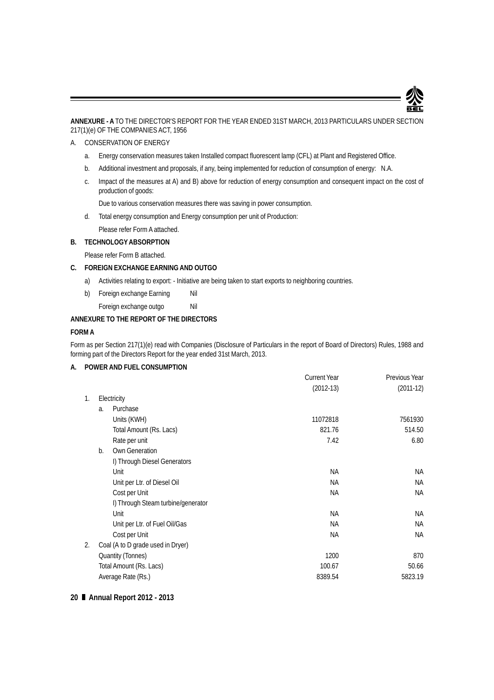**ANNEXURE - A** TO THE DIRECTOR'S REPORT FOR THE YEAR ENDED 31ST MARCH, 2013 PARTICULARS UNDER SECTION 217(1)(e) OF THE COMPANIES ACT, 1956

# A. CONSERVATION OF ENERGY

- a. Energy conservation measures taken Installed compact fluorescent lamp (CFL) at Plant and Registered Office.
- b. Additional investment and proposals, if any, being implemented for reduction of consumption of energy: N.A.
- c. Impact of the measures at A) and B) above for reduction of energy consumption and consequent impact on the cost of production of goods:

Due to various conservation measures there was saving in power consumption.

d. Total energy consumption and Energy consumption per unit of Production: Please refer Form A attached.

# **B. TECHNOLOGY ABSORPTION**

Please refer Form B attached.

# **C. FOREIGN EXCHANGE EARNING AND OUTGO**

- a) Activities relating to export: Initiative are being taken to start exports to neighboring countries.
- b) Foreign exchange Earning Nil

Foreign exchange outgo Nil

# **ANNEXURE TO THE REPORT OF THE DIRECTORS**

# **FORM A**

Form as per Section 217(1)(e) read with Companies (Disclosure of Particulars in the report of Board of Directors) Rules, 1988 and forming part of the Directors Report for the year ended 31st March, 2013.

# **A. POWER AND FUEL CONSUMPTION**

|    |    |                                    | <b>Current Year</b> | Previous Year |
|----|----|------------------------------------|---------------------|---------------|
|    |    |                                    | $(2012-13)$         | $(2011-12)$   |
| 1. |    | Electricity                        |                     |               |
|    | a. | Purchase                           |                     |               |
|    |    | Units (KWH)                        | 11072818            | 7561930       |
|    |    | Total Amount (Rs. Lacs)            | 821.76              | 514.50        |
|    |    | Rate per unit                      | 7.42                | 6.80          |
|    | b. | Own Generation                     |                     |               |
|    |    | I) Through Diesel Generators       |                     |               |
|    |    | Unit                               | <b>NA</b>           | NA.           |
|    |    | Unit per Ltr. of Diesel Oil        | <b>NA</b>           | NA.           |
|    |    | Cost per Unit                      | <b>NA</b>           | NA            |
|    |    | I) Through Steam turbine/generator |                     |               |
|    |    | Unit                               | <b>NA</b>           | NA.           |
|    |    | Unit per Ltr. of Fuel Oil/Gas      | <b>NA</b>           | NA.           |
|    |    | Cost per Unit                      | <b>NA</b>           | NA.           |
| 2. |    | Coal (A to D grade used in Dryer)  |                     |               |
|    |    | <b>Quantity (Tonnes)</b>           | 1200                | 870           |
|    |    | Total Amount (Rs. Lacs)            | 100.67              | 50.66         |
|    |    | Average Rate (Rs.)                 | 8389.54             | 5823.19       |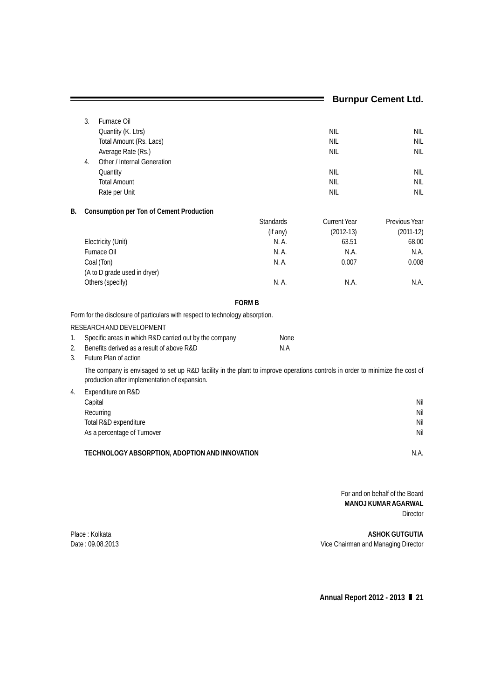|                                                                                                                                                                               |               |                  |                     | <b>Burnpur Cement Ltd.</b>     |
|-------------------------------------------------------------------------------------------------------------------------------------------------------------------------------|---------------|------------------|---------------------|--------------------------------|
| Furnace Oil<br>3.                                                                                                                                                             |               |                  |                     |                                |
| Quantity (K. Ltrs)                                                                                                                                                            |               |                  | <b>NIL</b>          | <b>NIL</b>                     |
| Total Amount (Rs. Lacs)                                                                                                                                                       |               |                  | <b>NIL</b>          | <b>NIL</b>                     |
| Average Rate (Rs.)                                                                                                                                                            |               |                  | <b>NIL</b>          | <b>NIL</b>                     |
| Other / Internal Generation<br>4.                                                                                                                                             |               |                  |                     |                                |
| Quantity                                                                                                                                                                      |               |                  | <b>NIL</b>          | <b>NIL</b>                     |
| <b>Total Amount</b>                                                                                                                                                           |               |                  | <b>NIL</b>          | <b>NIL</b>                     |
| Rate per Unit                                                                                                                                                                 |               |                  | <b>NIL</b>          | <b>NIL</b>                     |
| Consumption per Ton of Cement Production<br>В.                                                                                                                                |               |                  |                     |                                |
|                                                                                                                                                                               |               | <b>Standards</b> | <b>Current Year</b> | Previous Year                  |
|                                                                                                                                                                               |               | (if any)         | $(2012-13)$         | $(2011-12)$                    |
| Electricity (Unit)                                                                                                                                                            |               | N. A.            | 63.51               | 68.00                          |
| Furnace Oil                                                                                                                                                                   |               | N.A.             | N.A.                | N.A.                           |
| Coal (Ton)                                                                                                                                                                    |               | N. A.            | 0.007               | 0.008                          |
| (A to D grade used in dryer)                                                                                                                                                  |               |                  |                     |                                |
| Others (specify)                                                                                                                                                              |               | N. A.            | N.A.                | N.A.                           |
|                                                                                                                                                                               | <b>FORM B</b> |                  |                     |                                |
| Form for the disclosure of particulars with respect to technology absorption.                                                                                                 |               |                  |                     |                                |
| RESEARCH AND DEVELOPMENT                                                                                                                                                      |               |                  |                     |                                |
| Specific areas in which R&D carried out by the company<br>1.                                                                                                                  |               | <b>None</b>      |                     |                                |
| 2.<br>Benefits derived as a result of above R&D                                                                                                                               |               | N.A              |                     |                                |
| Future Plan of action<br>3.                                                                                                                                                   |               |                  |                     |                                |
| The company is envisaged to set up R&D facility in the plant to improve operations controls in order to minimize the cost of<br>production after implementation of expansion. |               |                  |                     |                                |
| Expenditure on R&D<br>4.                                                                                                                                                      |               |                  |                     |                                |
| Capital                                                                                                                                                                       |               |                  |                     | Nil                            |
| Recurring                                                                                                                                                                     |               |                  |                     | Nil                            |
| Total R&D expenditure                                                                                                                                                         |               |                  |                     | Nil                            |
| As a percentage of Turnover                                                                                                                                                   |               |                  |                     | Nil                            |
| TECHNOLOGY ABSORPTION, ADOPTION AND INNOVATION                                                                                                                                |               |                  |                     | N.A.                           |
|                                                                                                                                                                               |               |                  |                     |                                |
|                                                                                                                                                                               |               |                  |                     | Eor and on hohalf of the Roard |

For and on behalf of the Board **MANOJ KUMAR AGARWAL** Director

Place : Kolkata **ASHOK GUTGUTIA** Date : 09.08.2013 Vice Chairman and Managing Director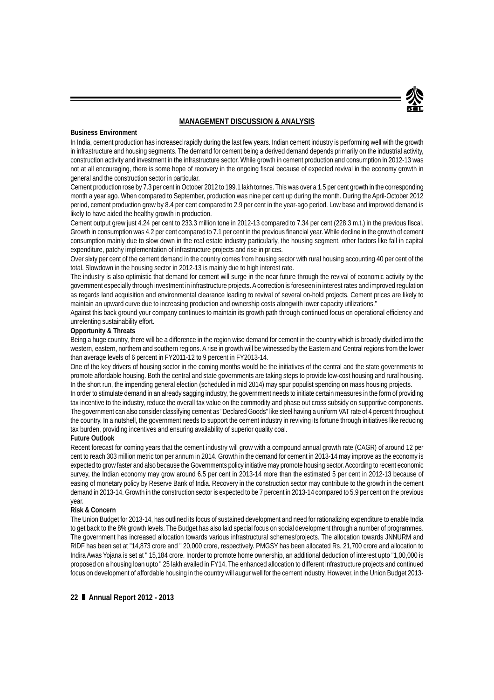

# **MANAGEMENT DISCUSSION & ANALYSIS**

#### **Business Environment**

In India, cement production has increased rapidly during the last few years. Indian cement industry is performing well with the growth in infrastructure and housing segments. The demand for cement being a derived demand depends primarily on the industrial activity, construction activity and investment in the infrastructure sector. While growth in cement production and consumption in 2012-13 was not at all encouraging, there is some hope of recovery in the ongoing fiscal because of expected revival in the economy growth in general and the construction sector in particular.

Cement production rose by 7.3 per cent in October 2012 to 199.1 lakh tonnes. This was over a 1.5 per cent growth in the corresponding month a year ago. When compared to September, production was nine per cent up during the month. During the April-October 2012 period, cement production grew by 8.4 per cent compared to 2.9 per cent in the year-ago period. Low base and improved demand is likely to have aided the healthy growth in production.

Cement output grew just 4.24 per cent to 233.3 million tone in 2012-13 compared to 7.34 per cent (228.3 m.t.) in the previous fiscal. Growth in consumption was 4.2 per cent compared to 7.1 per cent in the previous financial year. While decline in the growth of cement consumption mainly due to slow down in the real estate industry particularly, the housing segment, other factors like fall in capital expenditure, patchy implementation of infrastructure projects and rise in prices.

Over sixty per cent of the cement demand in the country comes from housing sector with rural housing accounting 40 per cent of the total. Slowdown in the housing sector in 2012-13 is mainly due to high interest rate.

The industry is also optimistic that demand for cement will surge in the near future through the revival of economic activity by the government especially through investment in infrastructure projects. A correction is foreseen in interest rates and improved regulation as regards land acquisition and environmental clearance leading to revival of several on-hold projects. Cement prices are likely to maintain an upward curve due to increasing production and ownership costs alongwith lower capacity utilizations."

Against this back ground your company continues to maintain its growth path through continued focus on operational efficiency and unrelenting sustainability effort.

#### **Opportunity & Threats**

Being a huge country, there will be a difference in the region wise demand for cement in the country which is broadly divided into the western, eastern, northern and southern regions. A rise in growth will be witnessed by the Eastern and Central regions from the lower than average levels of 6 percent in FY2011-12 to 9 percent in FY2013-14.

One of the key drivers of housing sector in the coming months would be the initiatives of the central and the state governments to promote affordable housing. Both the central and state governments are taking steps to provide low-cost housing and rural housing. In the short run, the impending general election (scheduled in mid 2014) may spur populist spending on mass housing projects.

In order to stimulate demand in an already sagging industry, the government needs to initiate certain measures in the form of providing tax incentive to the industry, reduce the overall tax value on the commodity and phase out cross subsidy on supportive components. The government can also consider classifying cement as "Declared Goods" like steel having a uniform VAT rate of 4 percent throughout the country. In a nutshell, the government needs to support the cement industry in reviving its fortune through initiatives like reducing tax burden, providing incentives and ensuring availability of superior quality coal.

#### **Future Outlook**

Recent forecast for coming years that the cement industry will grow with a compound annual growth rate (CAGR) of around 12 per cent to reach 303 million metric ton per annum in 2014. Growth in the demand for cement in 2013-14 may improve as the economy is expected to grow faster and also because the Governments policy initiative may promote housing sector. According to recent economic survey, the Indian economy may grow around 6.5 per cent in 2013-14 more than the estimated 5 per cent in 2012-13 because of easing of monetary policy by Reserve Bank of India. Recovery in the construction sector may contribute to the growth in the cement demand in 2013-14. Growth in the construction sector is expected to be 7 percent in 2013-14 compared to 5.9 per cent on the previous year.

#### **Risk & Concern**

The Union Budget for 2013-14, has outlined its focus of sustained development and need for rationalizing expenditure to enable India to get back to the 8% growth levels. The Budget has also laid special focus on social development through a number of programmes. The government has increased allocation towards various infrastructural schemes/projects. The allocation towards JNNURM and RIDF has been set at "14,873 crore and " 20,000 crore, respectively. PMGSY has been allocated Rs. 21,700 crore and allocation to Indira Awas Yojana is set at " 15,184 crore. Inorder to promote home ownership, an additional deduction of interest upto "1,00,000 is proposed on a housing loan upto " 25 lakh availed in FY14. The enhanced allocation to different infrastructure projects and continued focus on development of affordable housing in the country will augur well for the cement industry. However, in the Union Budget 2013-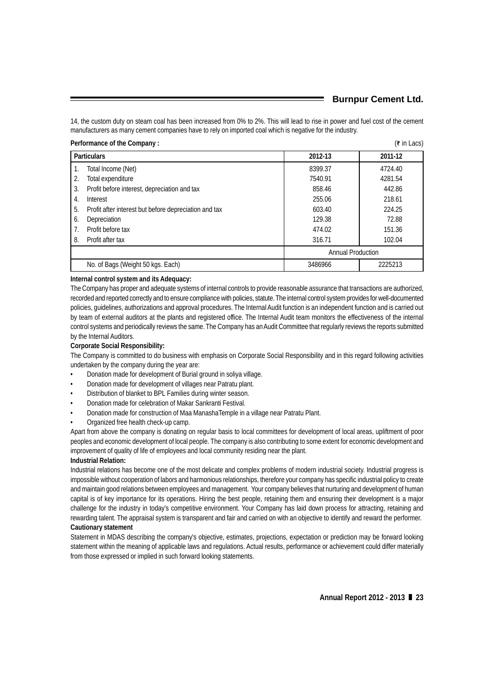14, the custom duty on steam coal has been increased from 0% to 2%. This will lead to rise in power and fuel cost of the cement manufacturers as many cement companies have to rely on imported coal which is negative for the industry.

| Performance of the Company: |  |  |  |
|-----------------------------|--|--|--|
|-----------------------------|--|--|--|

|    | Performance of the Company:                           |                          | $(\bar{\tau}$ in Lacs) |
|----|-------------------------------------------------------|--------------------------|------------------------|
|    | <b>Particulars</b>                                    | 2012-13                  | 2011-12                |
|    | Total Income (Net)                                    | 8399.37                  | 4724.40                |
| 2. | Total expenditure                                     | 7540.91                  | 4281.54                |
| 3. | Profit before interest, depreciation and tax          | 858.46                   | 442.86                 |
| 4. | Interest                                              | 255.06                   | 218.61                 |
| 5. | Profit after interest but before depreciation and tax | 603.40                   | 224.25                 |
| 6. | Depreciation                                          | 129.38                   | 72.88                  |
|    | Profit before tax                                     | 474.02                   | 151.36                 |
| 8. | Profit after tax                                      | 316.71                   | 102.04                 |
|    |                                                       | <b>Annual Production</b> |                        |
|    | No. of Bags (Weight 50 kgs. Each)                     | 3486966                  | 2225213                |

# **Internal control system and its Adequacy:**

The Company has proper and adequate systems of internal controls to provide reasonable assurance that transactions are authorized, recorded and reported correctly and to ensure compliance with policies, statute. The internal control system provides for well-documented policies, quidelines, authorizations and approval procedures. The Internal Audit function is an independent function and is carried out by team of external auditors at the plants and registered office. The Internal Audit team monitors the effectiveness of the internal control systems and periodically reviews the same. The Company has an Audit Committee that regularly reviews the reports submitted by the Internal Auditors.

# **Corporate Social Responsibility:**

The Company is committed to do business with emphasis on Corporate Social Responsibility and in this regard following activities undertaken by the company during the year are:

- Donation made for development of Burial ground in soliya village.
- Donation made for development of villages near Patratu plant.
- Distribution of blanket to BPL Families during winter season.
- Donation made for celebration of Makar Sankranti Festival.
- Donation made for construction of Maa ManashaTemple in a village near Patratu Plant.
- Organized free health check-up camp.

Apart from above the company is donating on regular basis to local committees for development of local areas, upliftment of poor peoples and economic development of local people. The company is also contributing to some extent for economic development and improvement of quality of life of employees and local community residing near the plant.

# **Industrial Relation:**

Industrial relations has become one of the most delicate and complex problems of modern industrial society. Industrial progress is impossible without cooperation of labors and harmonious relationships, therefore your company has specific industrial policy to create and maintain good relations between employees and management. Your company believes that nurturing and development of human capital is of key importance for its operations. Hiring the best people, retaining them and ensuring their development is a major challenge for the industry in today's competitive environment. Your Company has laid down process for attracting, retaining and rewarding talent. The appraisal system is transparent and fair and carried on with an objective to identify and reward the performer. **Cautionary statement**

Statement in MDAS describing the company's objective, estimates, projections, expectation or prediction may be forward looking statement within the meaning of applicable laws and regulations. Actual results, performance or achievement could differ materially from those expressed or implied in such forward looking statements.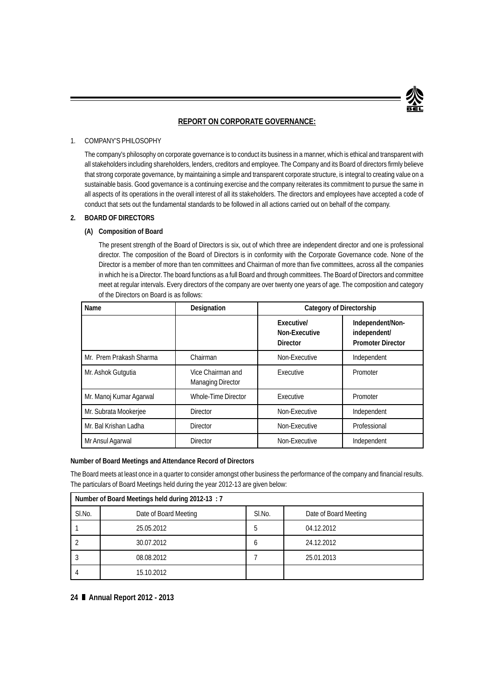# **REPORT ON CORPORATE GOVERNANCE:**

# 1. COMPANY'S PHILOSOPHY

The company's philosophy on corporate governance is to conduct its business in a manner, which is ethical and transparent with all stakeholders including shareholders, lenders, creditors and employee. The Company and its Board of directors firmly believe that strong corporate governance, by maintaining a simple and transparent corporate structure, is integral to creating value on a sustainable basis. Good governance is a continuing exercise and the company reiterates its commitment to pursue the same in all aspects of its operations in the overall interest of all its stakeholders. The directors and employees have accepted a code of conduct that sets out the fundamental standards to be followed in all actions carried out on behalf of the company.

# **2. BOARD OF DIRECTORS**

# **(A) Composition of Board**

The present strength of the Board of Directors is six, out of which three are independent director and one is professional director. The composition of the Board of Directors is in conformity with the Corporate Governance code. None of the Director is a member of more than ten committees and Chairman of more than five committees, across all the companies in which he is a Director. The board functions as a full Board and through committees. The Board of Directors and committee meet at regular intervals. Every directors of the company are over twenty one years of age. The composition and category of the Directors on Board is as follows:

| Name                    | Designation                                   | Category of Directorship                       |                                                              |
|-------------------------|-----------------------------------------------|------------------------------------------------|--------------------------------------------------------------|
|                         |                                               | Executive/<br>Non-Executive<br><b>Director</b> | Independent/Non-<br>independent/<br><b>Promoter Director</b> |
| Mr. Prem Prakash Sharma | Chairman                                      | Non-Executive                                  | Independent                                                  |
| Mr. Ashok Gutgutia      | Vice Chairman and<br><b>Managing Director</b> | Executive                                      | Promoter                                                     |
| Mr. Manoj Kumar Agarwal | Whole-Time Director                           | Executive                                      | Promoter                                                     |
| Mr. Subrata Mookerjee   | <b>Director</b>                               | Non-Executive                                  | Independent                                                  |
| Mr. Bal Krishan Ladha   | <b>Director</b>                               | Non-Executive                                  | Professional                                                 |
| Mr Ansul Agarwal        | <b>Director</b>                               | Non-Executive                                  | Independent                                                  |

# **Number of Board Meetings and Attendance Record of Directors**

The Board meets at least once in a quarter to consider amongst other business the performance of the company and financial results. The particulars of Board Meetings held during the year 2012-13 are given below:

| Number of Board Meetings held during 2012-13 : 7 |                       |        |                       |  |  |
|--------------------------------------------------|-----------------------|--------|-----------------------|--|--|
| SI.No.                                           | Date of Board Meeting | SI.No. | Date of Board Meeting |  |  |
|                                                  | 25.05.2012            | .5     | 04.12.2012            |  |  |
|                                                  | 30.07.2012            | O      | 24.12.2012            |  |  |
|                                                  | 08.08.2012            |        | 25.01.2013            |  |  |
|                                                  | 15.10.2012            |        |                       |  |  |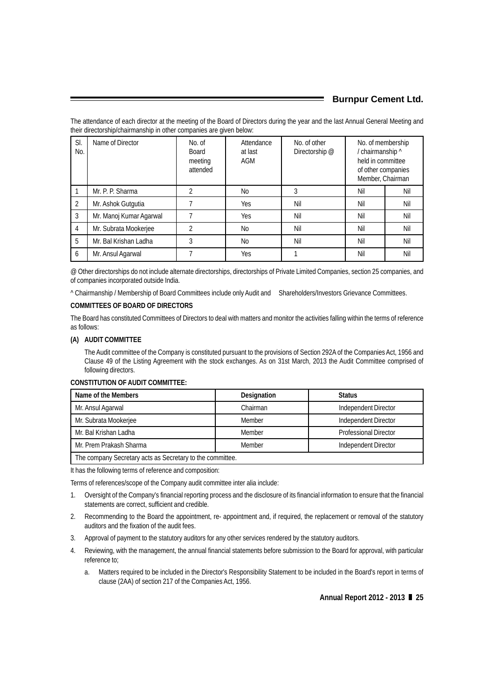The attendance of each director at the meeting of the Board of Directors during the year and the last Annual General Meeting and their directorship/chairmanship in other companies are given below:

| SI.<br>No.     | Name of Director        | No. of<br><b>Board</b><br>meeting<br>attended | Attendance<br>at last<br>AGM | No. of other<br>Directorship @ | No. of membership<br>/ chairmanship ^<br>held in committee<br>of other companies<br>Member, Chairman |     |
|----------------|-------------------------|-----------------------------------------------|------------------------------|--------------------------------|------------------------------------------------------------------------------------------------------|-----|
|                | Mr. P. P. Sharma        | 2                                             | <b>No</b>                    | 3                              | Nil                                                                                                  | Nil |
| $\overline{2}$ | Mr. Ashok Gutgutia      |                                               | <b>Yes</b>                   | Nil                            | Nil                                                                                                  | Nil |
| 3              | Mr. Manoj Kumar Agarwal |                                               | <b>Yes</b>                   | Nil                            | Nil                                                                                                  | Nil |
| 4              | Mr. Subrata Mookerjee   | C                                             | N <sub>0</sub>               | Nil                            | Nil                                                                                                  | Nil |
| 5              | Mr. Bal Krishan Ladha   | 3                                             | <b>No</b>                    | Nil                            | Nil                                                                                                  | Nil |
| 6              | Mr. Ansul Agarwal       |                                               | Yes                          |                                | Nil                                                                                                  | Nil |

@ Other directorships do not include alternate directorships, directorships of Private Limited Companies, section 25 companies, and of companies incorporated outside India.

^ Chairmanship / Membership of Board Committees include only Audit and Shareholders/Investors Grievance Committees.

# **COMMITTEES OF BOARD OF DIRECTORS**

The Board has constituted Committees of Directors to deal with matters and monitor the activities falling within the terms of reference as follows:

# **(A) AUDIT COMMITTEE**

The Audit committee of the Company is constituted pursuant to the provisions of Section 292A of the Companies Act, 1956 and Clause 49 of the Listing Agreement with the stock exchanges. As on 31st March, 2013 the Audit Committee comprised of following directors.

# **CONSTITUTION OF AUDIT COMMITTEE:**

| Name of the Members                                       | Designation | <b>Status</b>                |  |  |
|-----------------------------------------------------------|-------------|------------------------------|--|--|
| Mr. Ansul Agarwal                                         | Chairman    | Independent Director         |  |  |
| Mr. Subrata Mookerjee                                     | Member      | Independent Director         |  |  |
| Mr. Bal Krishan Ladha                                     | Member      | <b>Professional Director</b> |  |  |
| Mr. Prem Prakash Sharma                                   | Member      | Independent Director         |  |  |
| The company Secretary acts as Secretary to the committee. |             |                              |  |  |

It has the following terms of reference and composition:

Terms of references/scope of the Company audit committee inter alia include:

- 1. Oversight of the Company's financial reporting process and the disclosure of its financial information to ensure that the financial statements are correct, sufficient and credible.
- 2. Recommending to the Board the appointment, re- appointment and, if required, the replacement or removal of the statutory auditors and the fixation of the audit fees.
- 3. Approval of payment to the statutory auditors for any other services rendered by the statutory auditors.
- 4. Reviewing, with the management, the annual financial statements before submission to the Board for approval, with particular reference to;
	- a. Matters required to be included in the Director's Responsibility Statement to be included in the Board's report in terms of clause (2AA) of section 217 of the Companies Act, 1956.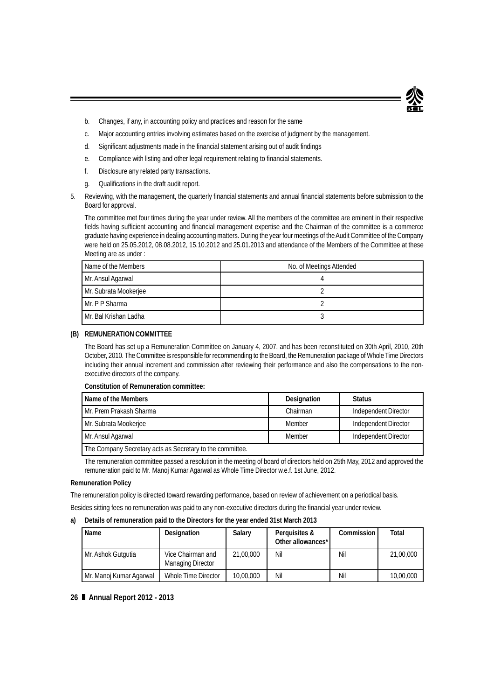

- b. Changes, if any, in accounting policy and practices and reason for the same
- c. Major accounting entries involving estimates based on the exercise of judgment by the management.
- d. Significant adjustments made in the financial statement arising out of audit findings
- e. Compliance with listing and other legal requirement relating to financial statements.
- f. Disclosure any related party transactions.
- g. Qualifications in the draft audit report.
- 5. Reviewing, with the management, the quarterly financial statements and annual financial statements before submission to the Board for approval.

The committee met four times during the year under review. All the members of the committee are eminent in their respective fields having sufficient accounting and financial management expertise and the Chairman of the committee is a commerce graduate having experience in dealing accounting matters. During the year four meetings of the Audit Committee of the Company were held on 25.05.2012, 08.08.2012, 15.10.2012 and 25.01.2013 and attendance of the Members of the Committee at these Meeting are as under :

| I Name of the Members   | No. of Meetings Attended |
|-------------------------|--------------------------|
| Mr. Ansul Agarwal       |                          |
| Mr. Subrata Mookerjee   |                          |
| Mr. P P Sharma          |                          |
| l Mr. Bal Krishan Ladha |                          |

#### **(B) REMUNERATION COMMITTEE**

The Board has set up a Remuneration Committee on January 4, 2007. and has been reconstituted on 30th April, 2010, 20th October, 2010. The Committee is responsible for recommending to the Board, the Remuneration package of Whole Time Directors including their annual increment and commission after reviewing their performance and also the compensations to the nonexecutive directors of the company.

#### **Constitution of Remuneration committee:**

| l Name of the Members                                     | Designation | <b>Status</b>        |
|-----------------------------------------------------------|-------------|----------------------|
| I Mr. Prem Prakash Sharma                                 | Chairman    | Independent Director |
| Mr. Subrata Mookerjee                                     | Member      | Independent Director |
| Mr. Ansul Agarwal                                         | Member      | Independent Director |
| The Company Secretary acts as Secretary to the committee. |             |                      |

The remuneration committee passed a resolution in the meeting of board of directors held on 25th May, 2012 and approved the remuneration paid to Mr. Manoj Kumar Agarwal as Whole Time Director w.e.f. 1st June, 2012.

#### **Remuneration Policy**

The remuneration policy is directed toward rewarding performance, based on review of achievement on a periodical basis.

Besides sitting fees no remuneration was paid to any non-executive directors during the financial year under review.

#### **a) Details of remuneration paid to the Directors for the year ended 31st March 2013**

| Name                    | Designation                                   | Salary    | Perguisites &<br>Other allowances* | Commission | Total     |
|-------------------------|-----------------------------------------------|-----------|------------------------------------|------------|-----------|
| Mr. Ashok Gutgutia      | Vice Chairman and<br><b>Managing Director</b> | 21,00,000 | Nil                                | Nil        | 21,00,000 |
| Mr. Manoj Kumar Agarwal | Whole Time Director                           | 10,00,000 | Nil                                | Nil        | 10,00,000 |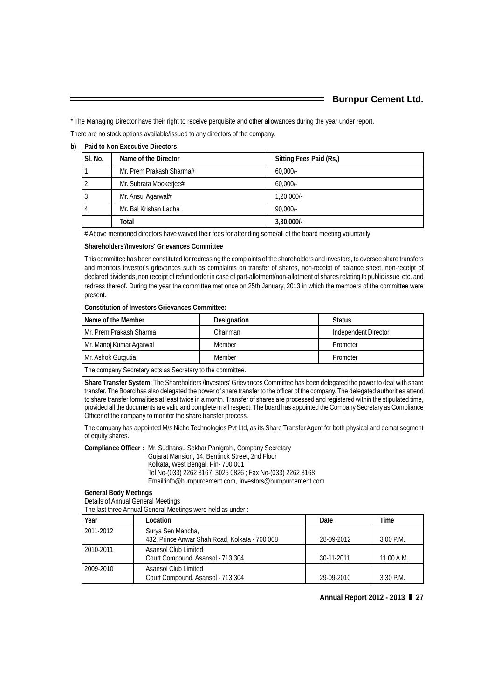\* The Managing Director have their right to receive perquisite and other allowances during the year under report.

There are no stock options available/issued to any directors of the company.

#### **b) Paid to Non Executive Directors**

| l SI. No.      | Name of the Director     | Sitting Fees Paid (Rs.) |
|----------------|--------------------------|-------------------------|
|                | Mr. Prem Prakash Sharma# | $60.000/-$              |
| $\overline{2}$ | Mr. Subrata Mookerjee#   | $60.000/-$              |
| 3              | Mr. Ansul Agarwal#       | $1.20.000/-$            |
| 4              | Mr. Bal Krishan Ladha    | $90.000/-$              |
|                | Total                    | 3,30,000                |

# Above mentioned directors have waived their fees for attending some/all of the board meeting voluntarily

#### **Shareholders'/Investors' Grievances Committee**

This committee has been constituted for redressing the complaints of the shareholders and investors, to oversee share transfers and monitors investor's grievances such as complaints on transfer of shares, non-receipt of balance sheet, non-receipt of declared dividends, non receipt of refund order in case of part-allotment/non-allotment of shares relating to public issue etc. and redress thereof. During the year the committee met once on 25th January, 2013 in which the members of the committee were present.

# **Constitution of Investors Grievances Committee:**

| l Name of the Member                                      | Designation | <b>Status</b>        |  |  |
|-----------------------------------------------------------|-------------|----------------------|--|--|
| I Mr. Prem Prakash Sharma                                 | Chairman    | Independent Director |  |  |
| Mr. Manoj Kumar Agarwal                                   | Member      | Promoter             |  |  |
| Mr. Ashok Gutgutia                                        | Member      | Promoter             |  |  |
| The company Secretary acts as Secretary to the committee. |             |                      |  |  |

**Share Transfer System:** The Shareholders'/Investors' Grievances Committee has been delegated the power to deal with share transfer. The Board has also delegated the power of share transfer to the officer of the company. The delegated authorities attend to share transfer formalities at least twice in a month. Transfer of shares are processed and registered within the stipulated time, provided all the documents are valid and complete in all respect. The board has appointed the Company Secretary as Compliance Officer of the company to monitor the share transfer process.

The company has appointed M/s Niche Technologies Pvt Ltd, as its Share Transfer Agent for both physical and demat segment of equity shares.

**Compliance Officer :** Mr. Sudhansu Sekhar Panigrahi, Company Secretary Gujarat Mansion, 14, Bentinck Street, 2nd Floor Kolkata, West Bengal, Pin- 700 001

Tel No-(033) 2262 3167, 3025 0826 ; Fax No-(033) 2262 3168 Email:info@burnpurcement.com, investors@burnpurcement.com

### **General Body Meetings**

Details of Annual General Meetings

The last three Annual General Meetings were held as under :

| Year      | Location                                                            | Date       | Time        |
|-----------|---------------------------------------------------------------------|------------|-------------|
| 2011-2012 | Surya Sen Mancha,<br>432, Prince Anwar Shah Road, Kolkata - 700 068 | 28-09-2012 | 3.00 P.M.   |
| 2010-2011 | Asansol Club Limited<br>Court Compound, Asansol - 713 304           | 30-11-2011 | 11.00 A.M.  |
| 2009-2010 | Asansol Club Limited<br>Court Compound, Asansol - 713 304           | 29-09-2010 | $3.30$ P.M. |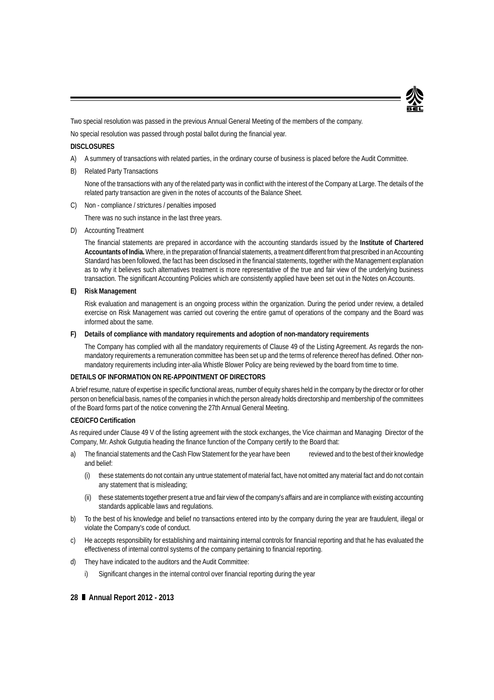

Two special resolution was passed in the previous Annual General Meeting of the members of the company.

No special resolution was passed through postal ballot during the financial year.

# **DISCLOSURES**

- A) A summery of transactions with related parties, in the ordinary course of business is placed before the Audit Committee.
- B) Related Party Transactions

None of the transactions with any of the related party was in conflict with the interest of the Company at Large. The details of the related party transaction are given in the notes of accounts of the Balance Sheet.

C) Non - compliance / strictures / penalties imposed

There was no such instance in the last three years.

D) Accounting Treatment

The financial statements are prepared in accordance with the accounting standards issued by the **Institute of Chartered Accountants of India.** Where, in the preparation of financial statements, a treatment different from that prescribed in an Accounting Standard has been followed, the fact has been disclosed in the financial statements, together with the Management explanation as to why it believes such alternatives treatment is more representative of the true and fair view of the underlying business transaction. The significant Accounting Policies which are consistently applied have been set out in the Notes on Accounts.

#### **E) Risk Management**

Risk evaluation and management is an ongoing process within the organization. During the period under review, a detailed exercise on Risk Management was carried out covering the entire gamut of operations of the company and the Board was informed about the same.

#### **F) Details of compliance with mandatory requirements and adoption of non-mandatory requirements**

The Company has complied with all the mandatory requirements of Clause 49 of the Listing Agreement. As regards the nonmandatory requirements a remuneration committee has been set up and the terms of reference thereof has defined. Other nonmandatory requirements including inter-alia Whistle Blower Policy are being reviewed by the board from time to time.

### **DETAILS OF INFORMATION ON RE-APPOINTMENT OF DIRECTORS**

A brief resume, nature of expertise in specific functional areas, number of equity shares held in the company by the director or for other person on beneficial basis, names of the companies in which the person already holds directorship and membership of the committees of the Board forms part of the notice convening the 27th Annual General Meeting.

#### **CEO/CFO Certification**

As required under Clause 49 V of the listing agreement with the stock exchanges, the Vice chairman and Managing Director of the Company, Mr. Ashok Gutgutia heading the finance function of the Company certify to the Board that:

- a) The financial statements and the Cash Flow Statement for the year have been reviewed and to the best of their knowledge and belief:
	- (i) these statements do not contain any untrue statement of material fact, have not omitted any material fact and do not contain any statement that is misleading;
	- (ii) these statements together present a true and fair view of the company's affairs and are in compliance with existing accounting standards applicable laws and regulations.
- b) To the best of his knowledge and belief no transactions entered into by the company during the year are fraudulent, illegal or violate the Company's code of conduct.
- c) He accepts responsibility for establishing and maintaining internal controls for financial reporting and that he has evaluated the effectiveness of internal control systems of the company pertaining to financial reporting.
- d) They have indicated to the auditors and the Audit Committee:
	- i) Significant changes in the internal control over financial reporting during the year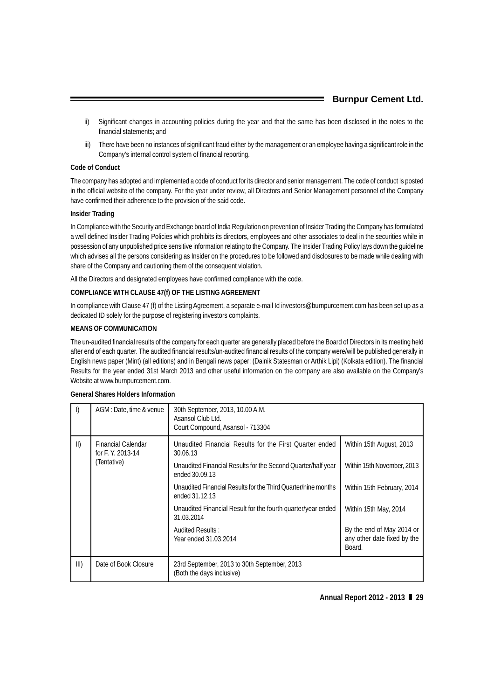# **Burnpur Cement Ltd.**

- ii) Significant changes in accounting policies during the year and that the same has been disclosed in the notes to the financial statements; and
- iii) There have been no instances of significant fraud either by the management or an employee having a significant role in the Company's internal control system of financial reporting.

# **Code of Conduct**

The company has adopted and implemented a code of conduct for its director and senior management. The code of conduct is posted in the official website of the company. For the year under review, all Directors and Senior Management personnel of the Company have confirmed their adherence to the provision of the said code.

# **Insider Trading**

In Compliance with the Security and Exchange board of India Regulation on prevention of Insider Trading the Company has formulated a well defined Insider Trading Policies which prohibits its directors, employees and other associates to deal in the securities while in possession of any unpublished price sensitive information relating to the Company. The Insider Trading Policy lays down the guideline which advises all the persons considering as Insider on the procedures to be followed and disclosures to be made while dealing with share of the Company and cautioning them of the consequent violation.

All the Directors and designated employees have confirmed compliance with the code.

# **COMPLIANCE WITH CLAUSE 47(f) OF THE LISTING AGREEMENT**

In compliance with Clause 47 (f) of the Listing Agreement, a separate e-mail Id investors@burnpurcement.com has been set up as a dedicated ID solely for the purpose of registering investors complaints.

# **MEANS OF COMMUNICATION**

The un-audited financial results of the company for each quarter are generally placed before the Board of Directors in its meeting held after end of each quarter. The audited financial results/un-audited financial results of the company were/will be published generally in English news paper (Mint) (all editions) and in Bengali news paper: (Dainik Statesman or Arthik Lipi) (Kolkata edition). The financial Results for the year ended 31st March 2013 and other useful information on the company are also available on the Company's Website at www.burnpurcement.com.

| $\vert$     | AGM: Date, time & venue                        | 30th September, 2013, 10.00 A.M.<br>Asansol Club Ltd.<br>Court Compound, Asansol - 713304 |                                                                    |
|-------------|------------------------------------------------|-------------------------------------------------------------------------------------------|--------------------------------------------------------------------|
| $\parallel$ | <b>Financial Calendar</b><br>for F. Y. 2013-14 | Unaudited Financial Results for the First Ouarter ended<br>30.06.13                       | Within 15th August, 2013                                           |
| (Tentative) |                                                | Unaudited Financial Results for the Second Quarter/half year<br>ended 30.09.13            | Within 15th November, 2013                                         |
|             |                                                | Unaudited Financial Results for the Third Ouarter/nine months<br>ended 31.12.13           | Within 15th February, 2014                                         |
|             |                                                | Unaudited Financial Result for the fourth quarter/year ended<br>31.03.2014                | Within 15th May, 2014                                              |
|             |                                                | Audited Results:<br>Year ended 31.03.2014                                                 | By the end of May 2014 or<br>any other date fixed by the<br>Board. |
| III)        | Date of Book Closure                           | 23rd September, 2013 to 30th September, 2013<br>(Both the days inclusive)                 |                                                                    |

#### **General Shares Holders Information**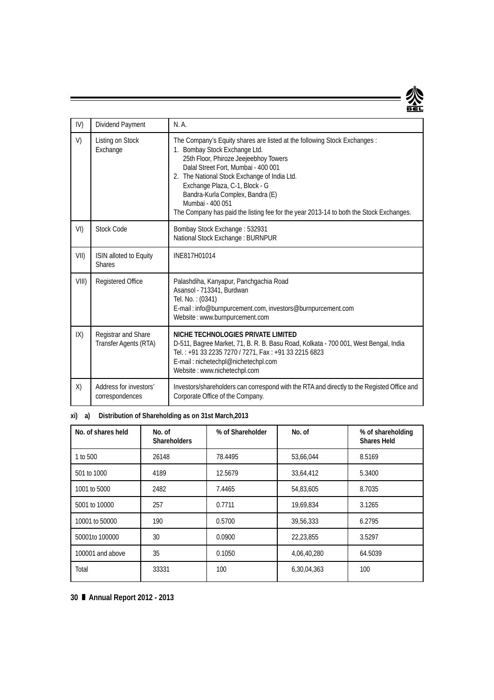IV) Dividend Payment N. A. V) Listing on Stock **Exchange** The Company's Equity shares are listed at the following Stock Exchanges : 1. Bombay Stock Exchange Ltd. 25th Floor, Phiroze Jeejeebhoy Towers Dalal Street Fort, Mumbai - 400 001 2. The National Stock Exchange of India Ltd. Exchange Plaza, C-1, Block - G Bandra-Kurla Complex, Bandra (E) Mumbai - 400 051 The Company has paid the listing fee for the year 2013-14 to both the Stock Exchanges. VI) Stock Code **Bombay Stock Exchange : 532931** National Stock Exchange : BURNPUR VII) | ISIN alloted to Equity Shares INE817H01014 VIII) Registered Office | Palashdiha, Kanyapur, Panchgachia Road Asansol - 713341, Burdwan Tel. No. : (0341) E-mail : info@burnpurcement.com, investors@burnpurcement.com Website : www.burnpurcement.com IX) Registrar and Share Transfer Agents (RTA) **NICHE TECHNOLOGIES PRIVATE LIMITED** D-511, Bagree Market, 71, B. R. B. Basu Road, Kolkata - 700 001, West Bengal, India Tel. : +91 33 2235 7270 / 7271, Fax : +91 33 2215 6823 E-mail : nichetechpl@nichetechpl.com Website : www.nichetechpl.com X) Address for investors' correspondences Investors/shareholders can correspond with the RTA and directly to the Registed Office and Corporate Office of the Company.

# **xi) a) Distribution of Shareholding as on 31st March,2013**

| No. of shares held | No. of<br><b>Shareholders</b> | % of Shareholder | No. of      | % of shareholding<br><b>Shares Held</b> |
|--------------------|-------------------------------|------------------|-------------|-----------------------------------------|
| 1 to 500           | 26148                         | 78.4495          | 53,66,044   | 8.5169                                  |
| 501 to 1000        | 4189                          | 12.5679          | 33,64,412   | 5.3400                                  |
| 1001 to 5000       | 2482                          | 7.4465           | 54,83,605   | 8.7035                                  |
| 5001 to 10000      | 257                           | 0.7711           | 19,69,834   | 3.1265                                  |
| 10001 to 50000     | 190                           | 0.5700           | 39,56,333   | 6.2795                                  |
| 50001to 100000     | 30                            | 0.0900           | 22,23,855   | 3.5297                                  |
| 100001 and above   | 35                            | 0.1050           | 4,06,40,280 | 64.5039                                 |
| Total              | 33331                         | 100              | 6,30,04,363 | 100                                     |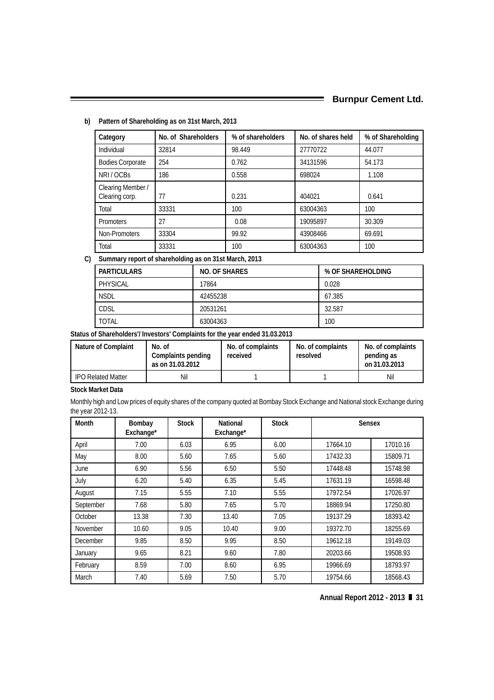=

# **b) Pattern of Shareholding as on 31st March, 2013**

| Category                            | No. of Shareholders | % of shareholders | No. of shares held | % of Shareholding |
|-------------------------------------|---------------------|-------------------|--------------------|-------------------|
| Individual                          | 32814               | 98.449            | 27770722           | 44.077            |
| <b>Bodies Corporate</b>             | 254                 | 0.762             | 34131596           | 54.173            |
| NRI/OCBs                            | 186                 | 0.558             | 698024             | 1.108             |
| Clearing Member /<br>Clearing corp. | 77                  | 0.231             | 404021             | 0.641             |
| Total                               | 33331               | 100               | 63004363           | 100               |
| <b>Promoters</b>                    | 27                  | 0.08              | 19095897           | 30.309            |
| Non-Promoters                       | 33304               | 99.92             | 43908466           | 69.691            |
| Total                               | 33331               | 100               | 63004363           | 100               |

# **C) Summary report of shareholding as on 31st March, 2013**

| <b>PARTICULARS</b> | <b>NO. OF SHARES</b> | % OF SHAREHOLDING |
|--------------------|----------------------|-------------------|
| PHYSICAL           | 17864                | 0.028             |
| <b>NSDL</b>        | 42455238             | 67.385            |
| CDSL               | 20531261             | 32.587            |
| <b>TOTAL</b>       | 63004363             | 100               |

**Status of Shareholders'/ Investors' Complaints for the year ended 31.03.2013**

| <b>Nature of Complaint</b> | No. of<br>Complaints pending<br>as on 31.03.2012 | No. of complaints<br>received | No. of complaints<br>resolved | No. of complaints<br>pending as<br>on 31.03.2013 |
|----------------------------|--------------------------------------------------|-------------------------------|-------------------------------|--------------------------------------------------|
| <b>IPO Related Matter</b>  | Nil                                              |                               |                               | Nil                                              |

# **Stock Market Data**

Monthly high and Low prices of equity shares of the company quoted at Bombay Stock Exchange and National stock Exchange during the year 2012-13.

| Month     | Bombay<br>Exchange* | Stock | National<br>Exchange* | <b>Stock</b> | <b>Sensex</b> |          |
|-----------|---------------------|-------|-----------------------|--------------|---------------|----------|
| April     | 7.00                | 6.03  | 6.95                  | 6.00         | 17664.10      | 17010.16 |
| May       | 8.00                | 5.60  | 7.65                  | 5.60         | 17432.33      | 15809.71 |
| June      | 6.90                | 5.56  | 6.50                  | 5.50         | 17448.48      | 15748.98 |
| July      | 6.20                | 5.40  | 6.35                  | 5.45         | 17631.19      | 16598.48 |
| August    | 7.15                | 5.55  | 7.10                  | 5.55         | 17972.54      | 17026.97 |
| September | 7.68                | 5.80  | 7.65                  | 5.70         | 18869.94      | 17250.80 |
| October   | 13.38               | 7.30  | 13.40                 | 7.05         | 19137.29      | 18393.42 |
| November  | 10.60               | 9.05  | 10.40                 | 9.00         | 19372.70      | 18255.69 |
| December  | 9.85                | 8.50  | 9.95                  | 8.50         | 19612.18      | 19149.03 |
| January   | 9.65                | 8.21  | 9.60                  | 7.80         | 20203.66      | 19508.93 |
| February  | 8.59                | 7.00  | 8.60                  | 6.95         | 19966.69      | 18793.97 |
| March     | 7.40                | 5.69  | 7.50                  | 5.70         | 19754.66      | 18568.43 |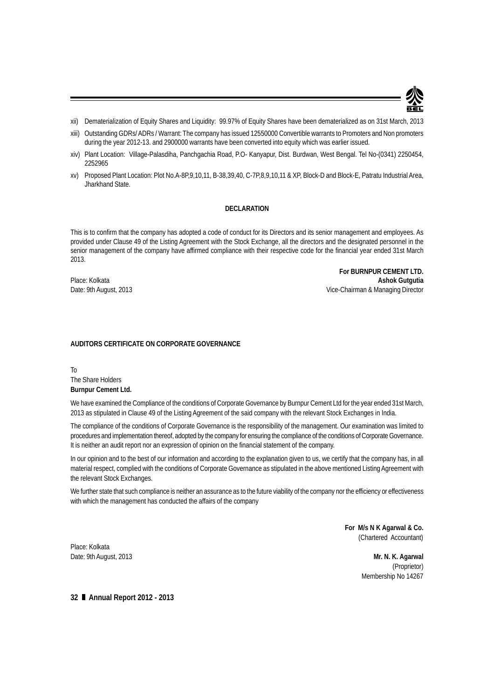

- xii) Dematerialization of Equity Shares and Liquidity: 99.97% of Equity Shares have been dematerialized as on 31st March, 2013
- xiii) Outstanding GDRs/ ADRs / Warrant: The company has issued 12550000 Convertible warrants to Promoters and Non promoters during the year 2012-13. and 2900000 warrants have been converted into equity which was earlier issued.
- xiv) Plant Location: Village-Palasdiha, Panchgachia Road, P.O- Kanyapur, Dist. Burdwan, West Bengal. Tel No-(0341) 2250454, 2252965
- xv) Proposed Plant Location: Plot No.A-8P,9,10,11, B-38,39,40, C-7P,8,9,10,11 & XP, Block-D and Block-E, Patratu Industrial Area, Jharkhand State.

# **DECLARATION**

This is to confirm that the company has adopted a code of conduct for its Directors and its senior management and employees. As provided under Clause 49 of the Listing Agreement with the Stock Exchange, all the directors and the designated personnel in the senior management of the company have affirmed compliance with their respective code for the financial year ended 31st March 2013.

**For BURNPUR CEMENT LTD.** Place: Kolkata **Ashok Gutgutia** Date: 9th August, 2013 2013

#### **AUDITORS CERTIFICATE ON CORPORATE GOVERNANCE**

To The Share Holders **Burnpur Cement Ltd.**

We have examined the Compliance of the conditions of Corporate Governance by Burnpur Cement Ltd for the year ended 31st March, 2013 as stipulated in Clause 49 of the Listing Agreement of the said company with the relevant Stock Exchanges in India.

The compliance of the conditions of Corporate Governance is the responsibility of the management. Our examination was limited to procedures and implementation thereof, adopted by the company for ensuring the compliance of the conditions of Corporate Governance. It is neither an audit report nor an expression of opinion on the financial statement of the company.

In our opinion and to the best of our information and according to the explanation given to us, we certify that the company has, in all material respect, complied with the conditions of Corporate Governance as stipulated in the above mentioned Listing Agreement with the relevant Stock Exchanges.

We further state that such compliance is neither an assurance as to the future viability of the company nor the efficiency or effectiveness with which the management has conducted the affairs of the company

> **For M/s N K Agarwal & Co.** (Chartered Accountant)

Date: 9th August, 2013 **Mr. N. K. Agarwal** (Proprietor) Membership No 14267

Place: Kolkata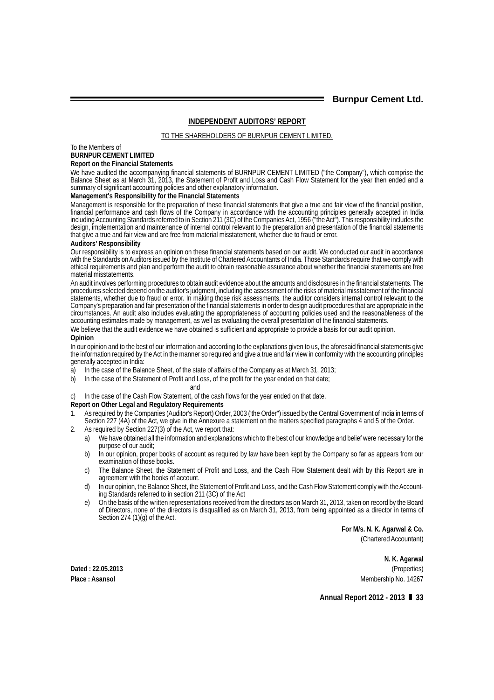**Burnpur Cement Ltd.**

# **INDEPENDENT AUDITORS' REPORT**

TO THE SHAREHOLDERS OF BURNPUR CEMENT LIMITED.

To the Members of **BURNPUR CEMENT LIMITED**

# **Report on the Financial Statements**

We have audited the accompanying financial statements of BURNPUR CEMENT LIMITED ("the Company"), which comprise the Balance Sheet as at March 31, 2013, the Statement of Profit and Loss and Cash Flow Statement for the year then ended and a summary of significant accounting policies and other explanatory information.

#### **Management's Responsibility for the Financial Statements**

Management is responsible for the preparation of these financial statements that give a true and fair view of the financial position, financial performance and cash flows of the Company in accordance with the accounting principles generally accepted in India including Accounting Standards referred to in Section 211 (3C) of the Companies Act, 1956 ("the Act"). This responsibility includes the design, implementation and maintenance of internal control relevant to the preparation and presentation of the financial statements that give a true and fair view and are free from material misstatement, whether due to fraud or error.

#### **Auditors' Responsibility**

Our responsibility is to express an opinion on these financial statements based on our audit. We conducted our audit in accordance with the Standards on Auditors issued by the Institute of Chartered Accountants of India. Those Standards require that we comply with ethical requirements and plan and perform the audit to obtain reasonable assurance about whether the financial statements are free material misstatements.

An audit involves performing procedures to obtain audit evidence about the amounts and disclosures in the financial statements. The procedures selected depend on the auditor's judgment, including the assessment of the risks of material misstatement of the financial statements, whether due to fraud or error. In making those risk assessments, the auditor considers internal control relevant to the Company's preparation and fair presentation of the financial statements in order to design audit procedures that are appropriate in the circumstances. An audit also includes evaluating the appropriateness of accounting policies used and the reasonableness of the accounting estimates made by management, as well as evaluating the overall presentation of the financial statements.

We believe that the audit evidence we have obtained is sufficient and appropriate to provide a basis for our audit opinion.

#### **Opinion**

In our opinion and to the best of our information and according to the explanations given to us, the aforesaid financial statements give the information required by the Act in the manner so required and give a true and fair view in conformity with the accounting principles generally accepted in India:

- a) In the case of the Balance Sheet, of the state of affairs of the Company as at March 31, 2013;
- b) In the case of the Statement of Profit and Loss, of the profit for the year ended on that date;
	- and

c) In the case of the Cash Flow Statement, of the cash flows for the year ended on that date.

**Report on Other Legal and Regulatory Requirements**

- 1. As required by the Companies (Auditor's Report) Order, 2003 ('the Order") issued by the Central Government of India in terms of Section 227 (4A) of the Act, we give in the Annexure a statement on the matters specified paragraphs 4 and 5 of the Order.
- 2. As required by Section 227(3) of the Act, we report that:
	- a) We have obtained all the information and explanations which to the best of our knowledge and belief were necessary for the purpose of our audit;
	- b) In our opinion, proper books of account as required by law have been kept by the Company so far as appears from our examination of those books.
	- c) The Balance Sheet, the Statement of Profit and Loss, and the Cash Flow Statement dealt with by this Report are in agreement with the books of account.
	- d) In our opinion, the Balance Sheet, the Statement of Profit and Loss, and the Cash Flow Statement comply with the Accounting Standards referred to in section 211 (3C) of the Act
	- e) On the basis of the written representations received from the directors as on March 31, 2013, taken on record by the Board of Directors, none of the directors is disqualified as on March 31, 2013, from being appointed as a director in terms of Section 274 (1)(g) of the Act.

**For M/s. N. K. Agarwal & Co.** (Chartered Accountant)

**N. K. Agarwal Dated : 22.05.2013** (Properties) **Place : Asansol** Membership No. 14267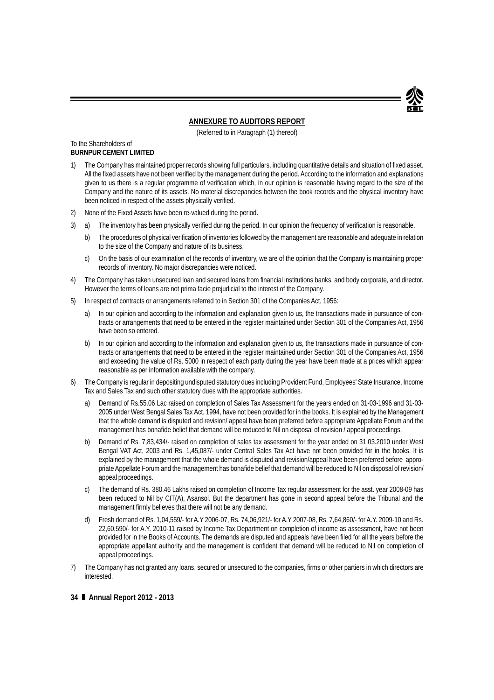

# **ANNEXURE TO AUDITORS REPORT**

(Referred to in Paragraph (1) thereof)

#### To the Shareholders of **BURNPUR CEMENT LIMITED**

- 1) The Company has maintained proper records showing full particulars, including quantitative details and situation of fixed asset. All the fixed assets have not been verified by the management during the period. According to the information and explanations given to us there is a regular programme of verification which, in our opinion is reasonable having regard to the size of the Company and the nature of its assets. No material discrepancies between the book records and the physical inventory have been noticed in respect of the assets physically verified.
- 2) None of the Fixed Assets have been re-valued during the period.
- 3) a) The inventory has been physically verified during the period. In our opinion the frequency of verification is reasonable.
	- b) The procedures of physical verification of inventories followed by the management are reasonable and adequate in relation to the size of the Company and nature of its business.
	- c) On the basis of our examination of the records of inventory, we are of the opinion that the Company is maintaining proper records of inventory. No major discrepancies were noticed.
- 4) The Company has taken unsecured loan and secured loans from financial institutions banks, and body corporate, and director. However the terms of loans are not prima facie prejudicial to the interest of the Company.
- 5) In respect of contracts or arrangements referred to in Section 301 of the Companies Act, 1956:
	- a) In our opinion and according to the information and explanation given to us, the transactions made in pursuance of contracts or arrangements that need to be entered in the register maintained under Section 301 of the Companies Act, 1956 have been so entered.
	- b) In our opinion and according to the information and explanation given to us, the transactions made in pursuance of contracts or arrangements that need to be entered in the register maintained under Section 301 of the Companies Act, 1956 and exceeding the value of Rs. 5000 in respect of each party during the year have been made at a prices which appear reasonable as per information available with the company.
- 6) The Company is regular in depositing undisputed statutory dues including Provident Fund, Employees' State Insurance, Income Tax and Sales Tax and such other statutory dues with the appropriate authorities.
	- a) Demand of Rs.55.06 Lac raised on completion of Sales Tax Assessment for the years ended on 31-03-1996 and 31-03- 2005 under West Bengal Sales Tax Act, 1994, have not been provided for in the books. It is explained by the Management that the whole demand is disputed and revision/ appeal have been preferred before appropriate Appellate Forum and the management has bonafide belief that demand will be reduced to Nil on disposal of revision / appeal proceedings.
	- b) Demand of Rs. 7,83,434/- raised on completion of sales tax assessment for the year ended on 31.03.2010 under West Bengal VAT Act, 2003 and Rs. 1,45,087/- under Central Sales Tax Act have not been provided for in the books. It is explained by the management that the whole demand is disputed and revision/appeal have been preferred before appropriate Appellate Forum and the management has bonafide belief that demand will be reduced to Nil on disposal of revision/ appeal proceedings.
	- c) The demand of Rs. 380.46 Lakhs raised on completion of Income Tax regular assessment for the asst. year 2008-09 has been reduced to Nil by CIT(A), Asansol. But the department has gone in second appeal before the Tribunal and the management firmly believes that there will not be any demand.
	- d) Fresh demand of Rs. 1,04,559/- for A.Y 2006-07, Rs. 74,06,921/- for A.Y 2007-08, Rs. 7,64,860/- for A.Y. 2009-10 and Rs. 22,60,590/- for A.Y. 2010-11 raised by Income Tax Department on completion of income as assessment, have not been provided for in the Books of Accounts. The demands are disputed and appeals have been filed for all the years before the appropriate appellant authority and the management is confident that demand will be reduced to Nil on completion of appeal proceedings.
- 7) The Company has not granted any loans, secured or unsecured to the companies, firms or other partiers in which directors are interested.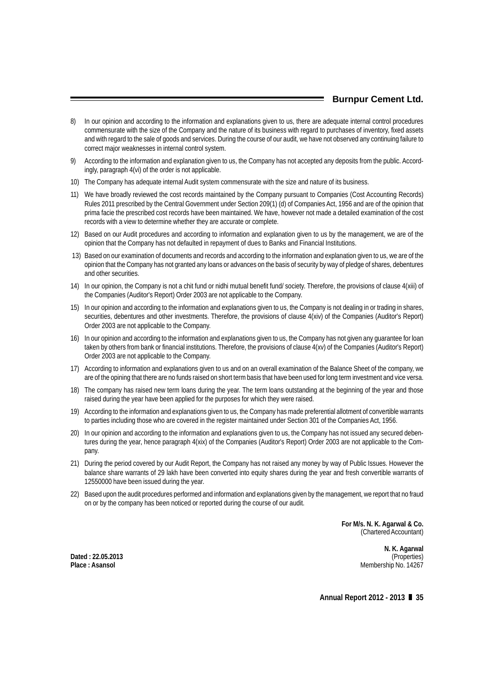# **Burnpur Cement Ltd.**

- 8) In our opinion and according to the information and explanations given to us, there are adequate internal control procedures commensurate with the size of the Company and the nature of its business with regard to purchases of inventory, fixed assets and with regard to the sale of goods and services. During the course of our audit, we have not observed any continuing failure to correct major weaknesses in internal control system.
- 9) According to the information and explanation given to us, the Company has not accepted any deposits from the public. Accordingly, paragraph 4(vi) of the order is not applicable.
- 10) The Company has adequate internal Audit system commensurate with the size and nature of its business.
- 11) We have broadly reviewed the cost records maintained by the Company pursuant to Companies (Cost Accounting Records) Rules 2011 prescribed by the Central Government under Section 209(1) (d) of Companies Act, 1956 and are of the opinion that prima facie the prescribed cost records have been maintained. We have, however not made a detailed examination of the cost records with a view to determine whether they are accurate or complete.
- 12) Based on our Audit procedures and according to information and explanation given to us by the management, we are of the opinion that the Company has not defaulted in repayment of dues to Banks and Financial Institutions.
- 13) Based on our examination of documents and records and according to the information and explanation given to us, we are of the opinion that the Company has not granted any loans or advances on the basis of security by way of pledge of shares, debentures and other securities.
- 14) In our opinion, the Company is not a chit fund or nidhi mutual benefit fund/ society. Therefore, the provisions of clause 4(xiii) of the Companies (Auditor's Report) Order 2003 are not applicable to the Company.
- 15) In our opinion and according to the information and explanations given to us, the Company is not dealing in or trading in shares, securities, debentures and other investments. Therefore, the provisions of clause 4(xiv) of the Companies (Auditor's Report) Order 2003 are not applicable to the Company.
- 16) In our opinion and according to the information and explanations given to us, the Company has not given any guarantee for loan taken by others from bank or financial institutions. Therefore, the provisions of clause 4(xv) of the Companies (Auditor's Report) Order 2003 are not applicable to the Company.
- 17) According to information and explanations given to us and on an overall examination of the Balance Sheet of the company, we are of the opining that there are no funds raised on short term basis that have been used for long term investment and vice versa.
- 18) The company has raised new term loans during the year. The term loans outstanding at the beginning of the year and those raised during the year have been applied for the purposes for which they were raised.
- 19) According to the information and explanations given to us, the Company has made preferential allotment of convertible warrants to parties including those who are covered in the register maintained under Section 301 of the Companies Act, 1956.
- 20) In our opinion and according to the information and explanations given to us, the Company has not issued any secured debentures during the year, hence paragraph 4(xix) of the Companies (Auditor's Report) Order 2003 are not applicable to the Company.
- 21) During the period covered by our Audit Report, the Company has not raised any money by way of Public Issues. However the balance share warrants of 29 lakh have been converted into equity shares during the year and fresh convertible warrants of 12550000 have been issued during the year.
- 22) Based upon the audit procedures performed and information and explanations given by the management, we report that no fraud on or by the company has been noticed or reported during the course of our audit.

**For M/s. N. K. Agarwal & Co.** (Chartered Accountant)

**N. K. Agarwal Dated : 22.05.2013** (Properties) **Place : Asansol** Membership No. 14267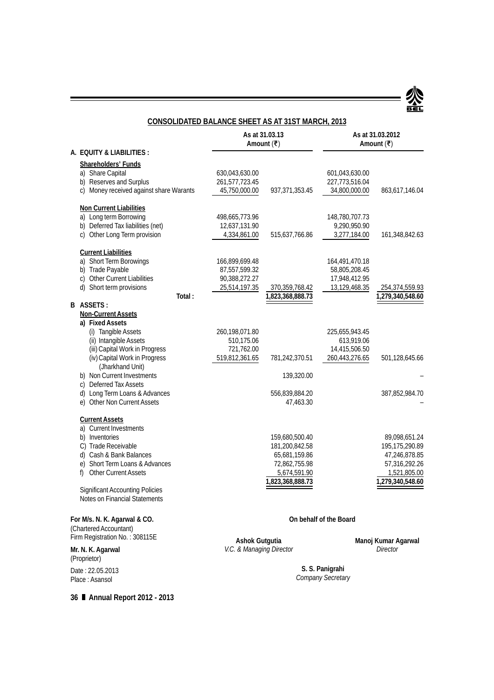

# **CONSOLIDATED BALANCE SHEET AS AT 31ST MARCH, 2013**

|                                                                                                                                                                                                                                                                        |                                                                   | As at 31.03.13<br>Amount $( ₹)$                                                                        |                                                                   | As at 31.03.2012<br>Amount $( ₹)$                                                                     |
|------------------------------------------------------------------------------------------------------------------------------------------------------------------------------------------------------------------------------------------------------------------------|-------------------------------------------------------------------|--------------------------------------------------------------------------------------------------------|-------------------------------------------------------------------|-------------------------------------------------------------------------------------------------------|
| A. EQUITY & LIABILITIES :                                                                                                                                                                                                                                              |                                                                   |                                                                                                        |                                                                   |                                                                                                       |
| <b>Shareholders' Funds</b><br>a) Share Capital<br>b) Reserves and Surplus<br>c) Money received against share Warants                                                                                                                                                   | 630,043,630.00<br>261,577,723.45<br>45,750,000.00                 | 937, 371, 353. 45                                                                                      | 601,043,630.00<br>227,773,516.04<br>34,800,000.00                 | 863,617,146.04                                                                                        |
| <b>Non Current Liabilities</b><br>a) Long term Borrowing<br>b) Deferred Tax liabilities (net)<br>c) Other Long Term provision                                                                                                                                          | 498,665,773.96<br>12,637,131.90<br>4,334,861.00                   | 515,637,766.86                                                                                         | 148,780,707.73<br>9,290,950.90<br>3,277,184.00                    | 161,348,842.63                                                                                        |
| <b>Current Liabilities</b><br>a) Short Term Borowings<br>b) Trade Payable<br>c) Other Current Liabilities<br>d) Short term provisions<br>Total:                                                                                                                        | 166,899,699.48<br>87,557,599.32<br>90,388,272.27<br>25,514,197.35 | 370, 359, 768.42<br>1,823,368,888.73                                                                   | 164,491,470.18<br>58,805,208.45<br>17,948,412.95<br>13,129,468.35 | 254,374,559.93<br>1,279,340,548.60                                                                    |
| <b>B ASSETS:</b><br><b>Non-Current Assets</b><br>a) Fixed Assets<br>(i) Tangible Assets<br>(ii) Intangible Assets<br>(iii) Capital Work in Progress<br>(iv) Capital Work in Progress<br>(Jharkhand Unit)<br>b) Non Current Investments                                 | 260,198,071.80<br>510,175.06<br>721,762.00<br>519,812,361.65      | 781,242,370.51<br>139,320.00                                                                           | 225,655,943.45<br>613,919.06<br>14,415,506.50<br>260,443,276.65   | 501,128,645.66                                                                                        |
| c) Deferred Tax Assets<br>d) Long Term Loans & Advances<br>e) Other Non Current Assets                                                                                                                                                                                 |                                                                   | 556,839,884.20<br>47,463.30                                                                            |                                                                   | 387,852,984.70                                                                                        |
| <b>Current Assets</b><br>a) Current Investments<br>b) Inventories<br>C) Trade Receivable<br>d) Cash & Bank Balances<br>e) Short Term Loans & Advances<br><b>Other Current Assets</b><br>f).<br><b>Significant Accounting Policies</b><br>Notes on Financial Statements |                                                                   | 159,680,500.40<br>181,200,842.58<br>65,681,159.86<br>72,862,755.98<br>5,674,591.90<br>1,823,368,888.73 |                                                                   | 89,098,651.24<br>195,175,290.89<br>47,246,878.85<br>57,316,292.26<br>1,521,805.00<br>1,279,340,548.60 |
| For M/s. N. K. Agarwal & CO.<br>(Chartered Accountant)<br>Firm Registration No.: 308115E                                                                                                                                                                               |                                                                   |                                                                                                        | On behalf of the Board                                            |                                                                                                       |
| Mr. N. K. Agarwal<br>(Proprietor)                                                                                                                                                                                                                                      | <b>Ashok Gutgutia</b><br>V.C. & Managing Director                 |                                                                                                        |                                                                   | Manoj Kumar Agarwal<br>Director                                                                       |
| Date: 22.05.2013<br>Place: Asansol                                                                                                                                                                                                                                     |                                                                   |                                                                                                        | S. S. Panigrahi<br>Company Secretary                              |                                                                                                       |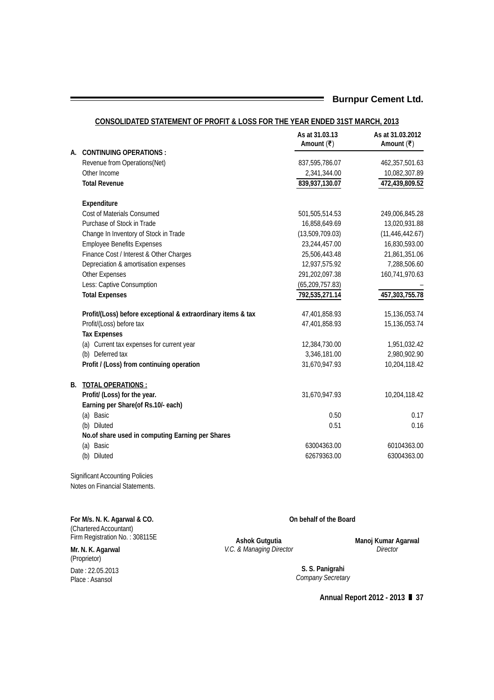| <b>CONSOLIDATED STATEMENT OF PROFIT &amp; LOSS FOR THE YEAR ENDED 31ST MARCH, 2013</b> |                              |                                |
|----------------------------------------------------------------------------------------|------------------------------|--------------------------------|
|                                                                                        | As at 31.03.13<br>Amount (₹) | As at 31.03.2012<br>Amount (₹) |
| A. CONTINUING OPERATIONS:                                                              |                              |                                |
| Revenue from Operations(Net)                                                           | 837,595,786.07               | 462,357,501.63                 |
| Other Income                                                                           | 2,341,344.00                 | 10,082,307.89                  |
| <b>Total Revenue</b>                                                                   | 839,937,130.07               | 472,439,809.52                 |
| Expenditure                                                                            |                              |                                |
| Cost of Materials Consumed                                                             | 501,505,514.53               | 249,006,845.28                 |
| Purchase of Stock in Trade                                                             | 16,858,649.69                | 13,020,931.88                  |
| Change In Inventory of Stock in Trade                                                  | (13,509,709.03)              | (11, 446, 442.67)              |
| <b>Employee Benefits Expenses</b>                                                      | 23,244,457.00                | 16,830,593.00                  |
| Finance Cost / Interest & Other Charges                                                | 25,506,443.48                | 21,861,351.06                  |
| Depreciation & amortisation expenses                                                   | 12,937,575.92                | 7,288,506.60                   |
| Other Expenses                                                                         | 291,202,097.38               | 160,741,970.63                 |
| Less: Captive Consumption                                                              | (65, 209, 757.83)            |                                |
| <b>Total Expenses</b>                                                                  | 792,535,271.14               | 457, 303, 755. 78              |
| Profit/(Loss) before exceptional & extraordinary items & tax                           | 47,401,858.93                | 15,136,053.74                  |
| Profit/(Loss) before tax                                                               | 47,401,858.93                | 15,136,053.74                  |
| <b>Tax Expenses</b>                                                                    |                              |                                |
| (a) Current tax expenses for current year                                              | 12,384,730.00                | 1,951,032.42                   |
| (b) Deferred tax                                                                       | 3,346,181.00                 | 2,980,902.90                   |
| Profit / (Loss) from continuing operation                                              | 31,670,947.93                | 10,204,118.42                  |
| B. TOTAL OPERATIONS:                                                                   |                              |                                |
| Profit/ (Loss) for the year.                                                           | 31,670,947.93                | 10,204,118.42                  |
| Earning per Share(of Rs.10/- each)                                                     |                              |                                |
| (a) Basic                                                                              | 0.50                         | 0.17                           |
| (b) Diluted                                                                            | 0.51                         | 0.16                           |
| No.of share used in computing Earning per Shares                                       |                              |                                |
| (a) Basic                                                                              | 63004363.00                  | 60104363.00                    |
| (b) Diluted                                                                            | 62679363.00                  | 63004363.00                    |
| <b>Significant Accounting Policies</b>                                                 |                              |                                |

Notes on Financial Statements.

**For M/s. N. K. Agarwal & CO.** (Chartered Accountant) Firm Registration No. : 308115E

**Mr. N. K. Agarwal** (Proprietor)

Date : 22.05.2013 Place : Asansol

**On behalf of the Board**

**Ashok Gutgutia** *V.C. & Managing Director* **Manoj Kumar Agarwal** *Director*

**S. S. Panigrahi** *Company Secretary*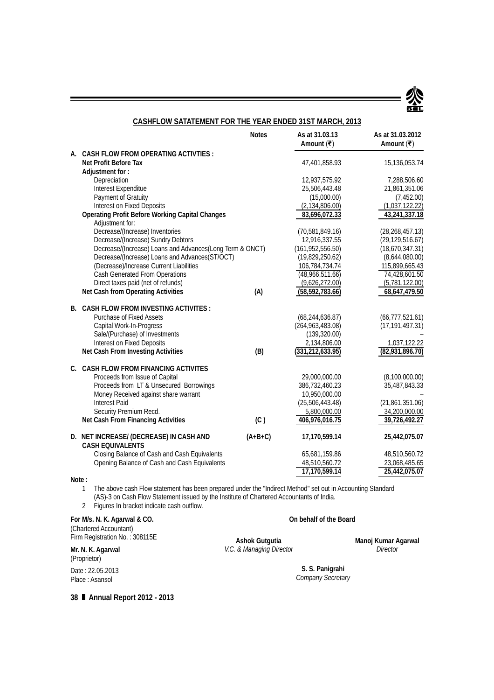

|    | <b>CASHFLOW SATATEMENT FOR THE YEAR ENDED 31ST MARCH, 2013</b>            |              |                              |                                   |  |  |
|----|---------------------------------------------------------------------------|--------------|------------------------------|-----------------------------------|--|--|
|    |                                                                           | <b>Notes</b> | As at 31.03.13<br>Amount (₹) | As at 31.03.2012<br>Amount $( ₹)$ |  |  |
| А. | <b>CASH FLOW FROM OPERATING ACTIVTIES:</b>                                |              |                              |                                   |  |  |
|    | Net Profit Before Tax                                                     |              | 47,401,858.93                | 15,136,053.74                     |  |  |
|    | Adjustment for:                                                           |              |                              |                                   |  |  |
|    | Depreciation                                                              |              | 12,937,575.92                | 7,288,506.60                      |  |  |
|    | Interest Expenditue                                                       |              | 25,506,443.48                | 21,861,351.06                     |  |  |
|    | Payment of Gratuity                                                       |              | (15,000.00)                  | (7,452.00)                        |  |  |
|    | <b>Interest on Fixed Deposits</b>                                         |              | (2, 134, 806.00)             | (1,037,122.22)                    |  |  |
|    | <b>Operating Profit Before Working Capital Changes</b><br>Adjustment for: |              | 83,696,072.33                | 43,241,337.18                     |  |  |
|    | Decrease/(Increase) Inventories                                           |              | (70, 581, 849.16)            | (28, 268, 457.13)                 |  |  |
|    | Decrease/(Increase) Sundry Debtors                                        |              | 12,916,337.55                | (29, 129, 516.67)                 |  |  |
|    | Decrease/(Increase) Loans and Advances(Long Term & ONCT)                  |              | (161, 952, 556.50)           | (18,670,347.31)                   |  |  |
|    | Decrease/(Increase) Loans and Advances(ST/OCT)                            |              | (19,829,250.62)              | (8,644,080.00)                    |  |  |
|    | (Decrease)/Increase Current Liabilities                                   |              | 106,784,734.74               | 115,899,665.43                    |  |  |
|    | Cash Generated From Operations                                            |              | (48,966,511.66)              | 74,428,601.50                     |  |  |
|    | Direct taxes paid (net of refunds)                                        |              | (9,626,272.00)               | (5,781,122.00)                    |  |  |
|    | Net Cash from Operating Activities                                        | (A)          | (58, 592, 783.66)            | 68,647,479.50                     |  |  |
|    | B. CASH FLOW FROM INVESTING ACTIVITES :                                   |              |                              |                                   |  |  |
|    | Purchase of Fixed Assets                                                  |              | (68, 244, 636.87)            | (66, 777, 521.61)                 |  |  |
|    | Capital Work-In-Progress                                                  |              | (264, 963, 483.08)           | (17, 191, 497.31)                 |  |  |
|    | Sale/(Purchase) of Investments                                            |              | (139, 320.00)                |                                   |  |  |
|    | Interest on Fixed Deposits                                                |              | 2,134,806.00                 | 1,037,122.22                      |  |  |
|    | Net Cash From Investing Activities                                        | (B)          | (331, 212, 633.95)           | (82,931,896.70)                   |  |  |
|    | C. CASH FLOW FROM FINANCING ACTIVITES                                     |              |                              |                                   |  |  |
|    | Proceeds from Issue of Capital                                            |              | 29,000,000.00                | (8,100,000.00)                    |  |  |
|    | Proceeds from LT & Unsecured Borrowings                                   |              | 386,732,460.23               | 35,487,843.33                     |  |  |
|    | Money Received against share warrant                                      |              | 10,950,000.00                |                                   |  |  |
|    | <b>Interest Paid</b>                                                      |              | (25,506,443.48)              | (21, 861, 351.06)                 |  |  |
|    | Security Premium Recd.                                                    |              | 5,800,000.00                 | 34,200,000.00                     |  |  |
|    | Net Cash From Financing Activities                                        | (C)          | 406,976,016.75               | 39,726,492.27                     |  |  |
|    | D. NET INCREASE/ (DECREASE) IN CASH AND<br><b>CASH EQUIVALENTS</b>        | $(A+B+C)$    | 17,170,599.14                | 25,442,075.07                     |  |  |
|    | Closing Balance of Cash and Cash Equivalents                              |              | 65,681,159.86                | 48,510,560.72                     |  |  |
|    | Opening Balance of Cash and Cash Equivalents                              |              | 48,510,560.72                | 23,068,485.65                     |  |  |
|    |                                                                           |              | 17,170,599.14                | 25,442,075.07                     |  |  |

**Note :**

1 The above cash Flow statement has been prepared under the "Indirect Method" set out in Accounting Standard (AS)-3 on Cash Flow Statement issued by the Institute of Chartered Accountants of India.

2 Figures In bracket indicate cash outflow.

**For M/s. N. K. Agarwal & CO.** (Chartered Accountant)

Firm Registration No. : 308115E

**Mr. N. K. Agarwal** (Proprietor)

Date : 22.05.2013 Place : Asansol

**On behalf of the Board**

**Ashok Gutgutia** *V.C. & Managing Director* **Manoj Kumar Agarwal** *Director*

**S. S. Panigrahi** *Company Secretary*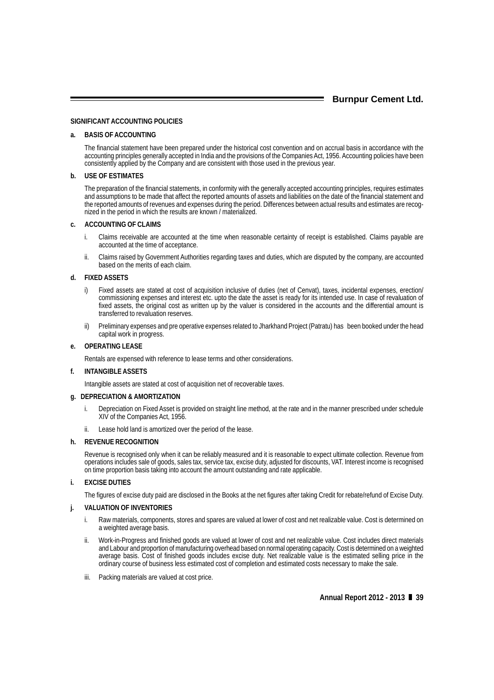**Burnpur Cement Ltd.**

#### **SIGNIFICANT ACCOUNTING POLICIES**

#### **a. BASIS OF ACCOUNTING**

The financial statement have been prepared under the historical cost convention and on accrual basis in accordance with the accounting principles generally accepted in India and the provisions of the Companies Act, 1956. Accounting policies have been consistently applied by the Company and are consistent with those used in the previous year.

#### **b. USE OF ESTIMATES**

The preparation of the financial statements, in conformity with the generally accepted accounting principles, requires estimates and assumptions to be made that affect the reported amounts of assets and liabilities on the date of the financial statement and the reported amounts of revenues and expenses during the period. Differences between actual results and estimates are recognized in the period in which the results are known / materialized.

#### **c. ACCOUNTING OF CLAIMS**

- i. Claims receivable are accounted at the time when reasonable certainty of receipt is established. Claims payable are accounted at the time of acceptance.
- ii. Claims raised by Government Authorities regarding taxes and duties, which are disputed by the company, are accounted based on the merits of each claim.

#### **d. FIXED ASSETS**

- i) Fixed assets are stated at cost of acquisition inclusive of duties (net of Cenvat), taxes, incidental expenses, erection/ commissioning expenses and interest etc. upto the date the asset is ready for its intended use. In case of revaluation of fixed assets, the original cost as written up by the valuer is considered in the accounts and the differential amount is transferred to revaluation reserves.
- ii) Preliminary expenses and pre operative expenses related to Jharkhand Project (Patratu) has been booked under the head capital work in progress.

#### **e. OPERATING LEASE**

Rentals are expensed with reference to lease terms and other considerations.

#### **f. INTANGIBLE ASSETS**

Intangible assets are stated at cost of acquisition net of recoverable taxes.

#### **g. DEPRECIATION & AMORTIZATION**

- i. Depreciation on Fixed Asset is provided on straight line method, at the rate and in the manner prescribed under schedule XIV of the Companies Act, 1956.
- ii. Lease hold land is amortized over the period of the lease.

# **h. REVENUE RECOGNITION**

Revenue is recognised only when it can be reliably measured and it is reasonable to expect ultimate collection. Revenue from operations includes sale of goods, sales tax, service tax, excise duty, adjusted for discounts, VAT. Interest income is recognised on time proportion basis taking into account the amount outstanding and rate applicable.

#### **i. EXCISE DUTIES**

The figures of excise duty paid are disclosed in the Books at the net figures after taking Credit for rebate/refund of Excise Duty.

#### **j. VALUATION OF INVENTORIES**

- i. Raw materials, components, stores and spares are valued at lower of cost and net realizable value. Cost is determined on a weighted average basis.
- ii. Work-in-Progress and finished goods are valued at lower of cost and net realizable value. Cost includes direct materials and Labour and proportion of manufacturing overhead based on normal operating capacity. Cost is determined on a weighted average basis. Cost of finished goods includes excise duty. Net realizable value is the estimated selling price in the ordinary course of business less estimated cost of completion and estimated costs necessary to make the sale.
- iii. Packing materials are valued at cost price.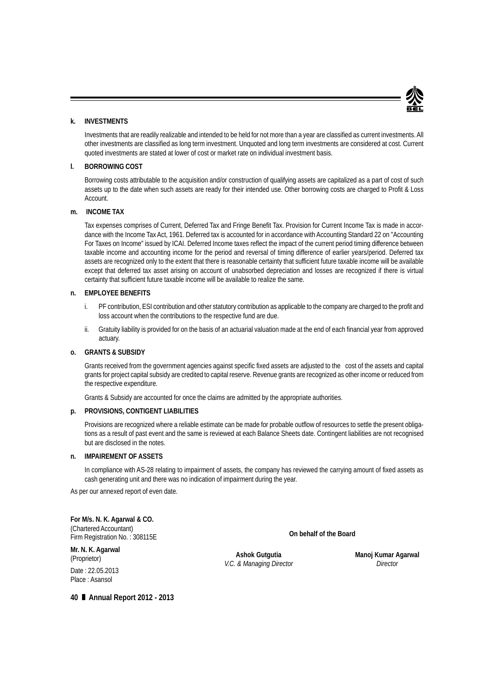

#### **k. INVESTMENTS**

Investments that are readily realizable and intended to be held for not more than a year are classified as current investments. All other investments are classified as long term investment. Unquoted and long term investments are considered at cost. Current quoted investments are stated at lower of cost or market rate on individual investment basis.

#### **l. BORROWING COST**

Borrowing costs attributable to the acquisition and/or construction of qualifying assets are capitalized as a part of cost of such assets up to the date when such assets are ready for their intended use. Other borrowing costs are charged to Profit & Loss Account.

#### **m. INCOME TAX**

Tax expenses comprises of Current, Deferred Tax and Fringe Benefit Tax. Provision for Current Income Tax is made in accordance with the Income Tax Act, 1961. Deferred tax is accounted for in accordance with Accounting Standard 22 on "Accounting For Taxes on Income" issued by ICAI. Deferred Income taxes reflect the impact of the current period timing difference between taxable income and accounting income for the period and reversal of timing difference of earlier years/period. Deferred tax assets are recognized only to the extent that there is reasonable certainty that sufficient future taxable income will be available except that deferred tax asset arising on account of unabsorbed depreciation and losses are recognized if there is virtual certainty that sufficient future taxable income will be available to realize the same.

#### **n. EMPLOYEE BENEFITS**

- i. PF contribution, ESI contribution and other statutory contribution as applicable to the company are charged to the profit and loss account when the contributions to the respective fund are due.
- ii. Gratuity liability is provided for on the basis of an actuarial valuation made at the end of each financial year from approved actuary.

#### **o. GRANTS & SUBSIDY**

Grants received from the government agencies against specific fixed assets are adjusted to the cost of the assets and capital grants for project capital subsidy are credited to capital reserve. Revenue grants are recognized as other income or reduced from the respective expenditure.

Grants & Subsidy are accounted for once the claims are admitted by the appropriate authorities.

#### **p. PROVISIONS, CONTIGENT LIABILITIES**

Provisions are recognized where a reliable estimate can be made for probable outflow of resources to settle the present obligations as a result of past event and the same is reviewed at each Balance Sheets date. Contingent liabilities are not recognised but are disclosed in the notes.

#### **n. IMPAIREMENT OF ASSETS**

In compliance with AS-28 relating to impairment of assets, the company has reviewed the carrying amount of fixed assets as cash generating unit and there was no indication of impairment during the year.

As per our annexed report of even date.

**For M/s. N. K. Agarwal & CO.** (Chartered Accountant) Firm Registration No. : 308115E

**On behalf of the Board**

**Mr. N. K. Agarwal** (Proprietor) Date : 22.05.2013

Place : Asansol

**Ashok Gutgutia** *V.C. & Managing Director* **Manoj Kumar Agarwal** *Director*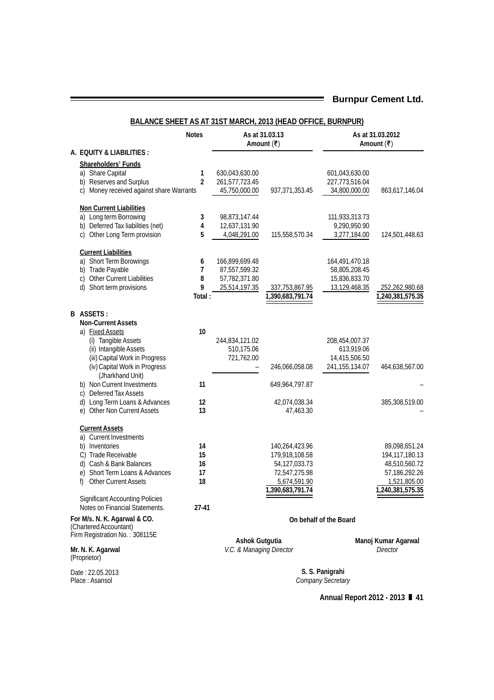|                                                        |                     |                                 | <b>BALANCE SHEET AS AT 31ST MARCH, 2013 (HEAD OFFICE, BURNPUR)</b> |                                 |                                |
|--------------------------------------------------------|---------------------|---------------------------------|--------------------------------------------------------------------|---------------------------------|--------------------------------|
|                                                        | <b>Notes</b>        |                                 | As at 31.03.13<br>Amount $( ₹)$                                    |                                 | As at 31.03.2012<br>Amount (₹) |
| A. EQUITY & LIABILITIES :                              |                     |                                 |                                                                    |                                 |                                |
| <b>Shareholders' Funds</b>                             |                     |                                 |                                                                    |                                 |                                |
| a) Share Capital<br>b) Reserves and Surplus            | 1<br>$\overline{2}$ | 630,043,630.00                  |                                                                    | 601,043,630.00                  |                                |
| c) Money received against share Warrants               |                     | 261,577,723.45<br>45,750,000.00 | 937, 371, 353. 45                                                  | 227,773,516.04<br>34,800,000.00 | 863,617,146.04                 |
|                                                        |                     |                                 |                                                                    |                                 |                                |
| <b>Non Current Liabilities</b>                         |                     |                                 |                                                                    |                                 |                                |
| a) Long term Borrowing                                 | 3                   | 98,873,147.44                   |                                                                    | 111,933,313.73                  |                                |
| b) Deferred Tax liabilities (net)                      | 4                   | 12,637,131.90                   |                                                                    | 9,290,950.90                    |                                |
| c) Other Long Term provision                           | 5                   | 4,048,291.00                    | 115,558,570.34                                                     | 3,277,184.00                    | 124,501,448.63                 |
| <b>Current Liabilities</b>                             |                     |                                 |                                                                    |                                 |                                |
| a) Short Term Borowings                                | 6                   | 166,899,699.48                  |                                                                    | 164,491,470.18                  |                                |
| b) Trade Payable                                       | 7                   | 87,557,599.32                   |                                                                    | 58,805,208.45                   |                                |
| c) Other Current Liabilities                           | 8                   | 57,782,371.80                   |                                                                    | 15,836,833.70                   |                                |
| d) Short term provisions                               | 9                   | 25,514,197.35                   | 337,753,867.95                                                     | 13,129,468.35                   | 252,262,980.68                 |
|                                                        | Total:              |                                 | ,390,683,791.74                                                    |                                 | ,240,381,575.35                |
| B ASSETS:                                              |                     |                                 |                                                                    |                                 |                                |
| <b>Non-Current Assets</b>                              |                     |                                 |                                                                    |                                 |                                |
| a) Fixed Assets                                        | 10                  |                                 |                                                                    |                                 |                                |
| (i) Tangible Assets                                    |                     | 244,834,121.02                  |                                                                    | 208,454,007.37                  |                                |
| (ii) Intangible Assets                                 |                     | 510,175.06                      |                                                                    | 613,919.06                      |                                |
| (iii) Capital Work in Progress                         |                     | 721,762.00                      |                                                                    | 14,415,506.50                   |                                |
| (iv) Capital Work in Progress                          |                     |                                 | 246,066,058.08                                                     | 241, 155, 134. 07               | 464,638,567.00                 |
| (Jharkhand Unit)                                       |                     |                                 |                                                                    |                                 |                                |
| b) Non Current Investments                             | 11                  |                                 | 649,964,797.87                                                     |                                 |                                |
| c) Deferred Tax Assets                                 |                     |                                 |                                                                    |                                 |                                |
| d) Long Term Loans & Advances                          | 12                  |                                 | 42,074,038.34                                                      |                                 | 385,308,519.00                 |
| e) Other Non Current Assets                            | 13                  |                                 | 47,463.30                                                          |                                 |                                |
| <b>Current Assets</b>                                  |                     |                                 |                                                                    |                                 |                                |
| a) Current Investments                                 |                     |                                 |                                                                    |                                 |                                |
| b) Inventories                                         | 14                  |                                 | 140,264,423.96                                                     |                                 | 89,098,651.24                  |
| C) Trade Receivable                                    | 15                  |                                 | 179,918,108.58                                                     |                                 | 194, 117, 180. 13              |
| d) Cash & Bank Balances                                | 16                  |                                 | 54,127,033.73                                                      |                                 | 48,510,560.72                  |
| e) Short Term Loans & Advances                         | 17                  |                                 | 72,547,275.98                                                      |                                 | 57,186,292.26                  |
| f) Other Current Assets                                | 18                  |                                 | 5,674,591.90                                                       |                                 | 1,521,805.00                   |
|                                                        |                     |                                 | 1,390,683,791.74                                                   |                                 | 1,240,381,575.35               |
| <b>Significant Accounting Policies</b>                 |                     |                                 |                                                                    |                                 |                                |
| Notes on Financial Statements.                         | 27-41               |                                 |                                                                    |                                 |                                |
| For M/s. N. K. Agarwal & CO.<br>(Chartered Accountant) |                     |                                 |                                                                    | On behalf of the Board          |                                |
| Firm Registration No.: 308115E                         |                     |                                 |                                                                    |                                 |                                |
|                                                        |                     | <b>Ashok Gutgutia</b>           |                                                                    |                                 | Manoj Kumar Agarwal            |
| Mr. N. K. Agarwal<br>(Proprietor)                      |                     | V.C. & Managing Director        |                                                                    |                                 | Director                       |
|                                                        |                     |                                 |                                                                    |                                 |                                |
| Date: 22.05.2013                                       |                     |                                 |                                                                    | S. S. Panigrahi                 |                                |

Place : Asansol

**Annual Report 2012 - 2013 41**

*Company Secretary*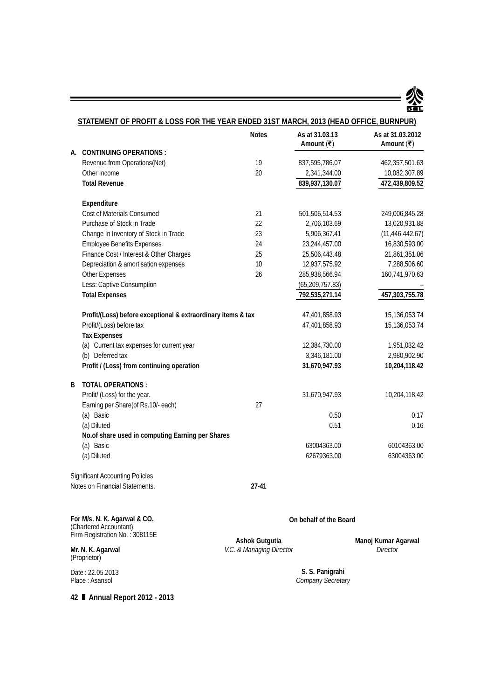

|   | STATEMENT OF PROFIT & LOSS FOR THE YEAR ENDED 31ST MARCH, 2013 (HEAD OFFICE, BURNPUR) |                          |                              |                                |  |
|---|---------------------------------------------------------------------------------------|--------------------------|------------------------------|--------------------------------|--|
|   |                                                                                       | <b>Notes</b>             | As at 31.03.13<br>Amount (₹) | As at 31.03.2012<br>Amount (₹) |  |
|   | A. CONTINUING OPERATIONS :                                                            |                          |                              |                                |  |
|   | Revenue from Operations(Net)                                                          | 19                       | 837,595,786.07               | 462,357,501.63                 |  |
|   | Other Income                                                                          | 20                       | 2,341,344.00                 | 10,082,307.89                  |  |
|   | <b>Total Revenue</b>                                                                  |                          | 839,937,130.07               | 472,439,809.52                 |  |
|   | Expenditure                                                                           |                          |                              |                                |  |
|   | Cost of Materials Consumed                                                            | 21                       | 501,505,514.53               | 249,006,845.28                 |  |
|   | Purchase of Stock in Trade                                                            | 22                       | 2,706,103.69                 | 13,020,931.88                  |  |
|   | Change In Inventory of Stock in Trade                                                 | 23                       | 5,906,367.41                 | (11, 446, 442.67)              |  |
|   | <b>Employee Benefits Expenses</b>                                                     | 24                       | 23,244,457.00                | 16,830,593.00                  |  |
|   | Finance Cost / Interest & Other Charges                                               | 25                       | 25,506,443.48                | 21,861,351.06                  |  |
|   | Depreciation & amortisation expenses                                                  | 10                       | 12,937,575.92                | 7,288,506.60                   |  |
|   | Other Expenses                                                                        | 26                       | 285,938,566.94               | 160,741,970.63                 |  |
|   | Less: Captive Consumption                                                             |                          | (65, 209, 757.83)            |                                |  |
|   | <b>Total Expenses</b>                                                                 |                          | 792,535,271.14               | 457,303,755.78                 |  |
|   | Profit/(Loss) before exceptional & extraordinary items & tax                          |                          | 47,401,858.93                | 15,136,053.74                  |  |
|   | Profit/(Loss) before tax                                                              |                          | 47,401,858.93                | 15,136,053.74                  |  |
|   | <b>Tax Expenses</b>                                                                   |                          |                              |                                |  |
|   | (a) Current tax expenses for current year                                             |                          | 12,384,730.00                | 1,951,032.42                   |  |
|   | (b) Deferred tax                                                                      |                          | 3,346,181.00                 | 2,980,902.90                   |  |
|   | Profit / (Loss) from continuing operation                                             |                          | 31,670,947.93                | 10,204,118.42                  |  |
| B | <b>TOTAL OPERATIONS:</b>                                                              |                          |                              |                                |  |
|   | Profit/ (Loss) for the year.                                                          |                          | 31,670,947.93                | 10,204,118.42                  |  |
|   | Earning per Share(of Rs.10/- each)                                                    | 27                       |                              |                                |  |
|   | (a) Basic                                                                             |                          | 0.50                         | 0.17                           |  |
|   | (a) Diluted                                                                           |                          | 0.51                         | 0.16                           |  |
|   | No.of share used in computing Earning per Shares                                      |                          |                              |                                |  |
|   | (a) Basic                                                                             |                          | 63004363.00                  | 60104363.00                    |  |
|   | (a) Diluted                                                                           |                          | 62679363.00                  | 63004363.00                    |  |
|   |                                                                                       |                          |                              |                                |  |
|   | <b>Significant Accounting Policies</b>                                                |                          |                              |                                |  |
|   | Notes on Financial Statements.                                                        | $27-41$                  |                              |                                |  |
|   |                                                                                       |                          |                              |                                |  |
|   | For M/s. N. K. Agarwal & CO.<br>(Chartered Accountant)                                |                          | On behalf of the Board       |                                |  |
|   | Firm Registration No.: 308115E                                                        |                          |                              |                                |  |
|   |                                                                                       | <b>Ashok Gutgutia</b>    |                              | Manoj Kumar Agarwal            |  |
|   | Mr. N. K. Agarwal<br>(Proprietor)                                                     | V.C. & Managing Director |                              | Director                       |  |
|   | Date: 22.05.2013                                                                      |                          | S. S. Panigrahi              |                                |  |
|   | Place: Asansol                                                                        |                          | Company Secretary            |                                |  |
|   |                                                                                       |                          |                              |                                |  |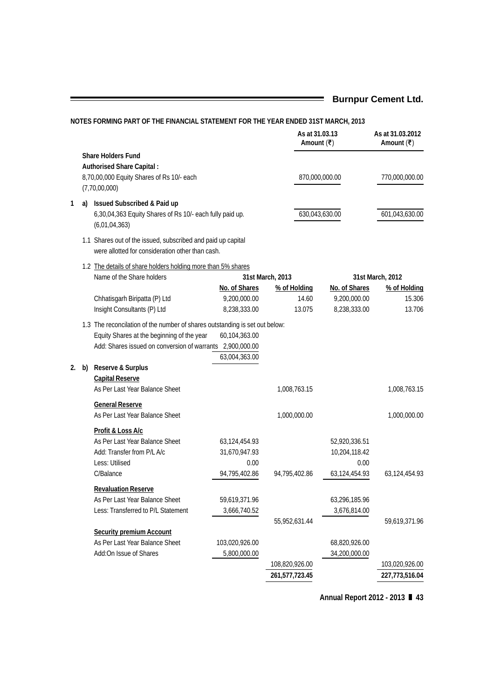|    | NOTES FORMING PART OF THE FINANCIAL STATEMENT FOR THE YEAR ENDED 31ST MARCH, 2013                                                                                                                              |                                |                                               |               |                                   |
|----|----------------------------------------------------------------------------------------------------------------------------------------------------------------------------------------------------------------|--------------------------------|-----------------------------------------------|---------------|-----------------------------------|
|    |                                                                                                                                                                                                                |                                | As at 31.03.13<br>Amount $(\bar{\bar{\tau}})$ |               | As at 31.03.2012<br>Amount $( ₹)$ |
|    | <b>Share Holders Fund</b><br>Authorised Share Capital:<br>8,70,00,000 Equity Shares of Rs 10/- each<br>(7,70,00,000)                                                                                           |                                | 870,000,000.00                                |               | 770,000,000.00                    |
| 1  | a) Issued Subscribed & Paid up<br>6,30,04,363 Equity Shares of Rs 10/- each fully paid up.<br>(6,01,04,363)                                                                                                    |                                | 630,043,630.00                                |               | 601,043,630.00                    |
|    | 1.1 Shares out of the issued, subscribed and paid up capital<br>were allotted for consideration other than cash.                                                                                               |                                |                                               |               |                                   |
|    | 1.2 The details of share holders holding more than 5% shares                                                                                                                                                   |                                |                                               |               |                                   |
|    | Name of the Share holders                                                                                                                                                                                      |                                | 31st March, 2013                              |               | 31st March, 2012                  |
|    |                                                                                                                                                                                                                | No. of Shares                  | % of Holding                                  | No. of Shares | % of Holding                      |
|    | Chhatisgarh Biripatta (P) Ltd                                                                                                                                                                                  | 9,200,000.00                   | 14.60                                         | 9,200,000.00  | 15.306                            |
|    | Insight Consultants (P) Ltd                                                                                                                                                                                    | 8,238,333.00                   | 13.075                                        | 8,238,333.00  | 13.706                            |
| 2. | 1.3 The reconcilation of the number of shares outstanding is set out below:<br>Equity Shares at the beginning of the year<br>Add: Shares issued on conversion of warrants 2,900,000.00<br>b) Reserve & Surplus | 60,104,363.00<br>63,004,363.00 |                                               |               |                                   |
|    | <b>Capital Reserve</b>                                                                                                                                                                                         |                                |                                               |               |                                   |
|    | As Per Last Year Balance Sheet                                                                                                                                                                                 |                                | 1,008,763.15                                  |               | 1,008,763.15                      |
|    | <b>General Reserve</b>                                                                                                                                                                                         |                                |                                               |               |                                   |
|    | As Per Last Year Balance Sheet                                                                                                                                                                                 |                                | 1,000,000.00                                  |               | 1,000,000.00                      |
|    | Profit & Loss A/c                                                                                                                                                                                              |                                |                                               |               |                                   |
|    | As Per Last Year Balance Sheet                                                                                                                                                                                 | 63,124,454.93                  |                                               | 52,920,336.51 |                                   |
|    | Add: Transfer from P/L A/c                                                                                                                                                                                     | 31,670,947.93                  |                                               | 10,204,118.42 |                                   |
|    | Less: Utilised                                                                                                                                                                                                 | 0.00                           |                                               | 0.00          |                                   |
|    | C/Balance                                                                                                                                                                                                      | 94,795,402.86                  | 94,795,402.86                                 | 63,124,454.93 | 63,124,454.93                     |
|    | <b>Revaluation Reserve</b>                                                                                                                                                                                     |                                |                                               |               |                                   |
|    | As Per Last Year Balance Sheet                                                                                                                                                                                 | 59,619,371.96                  |                                               | 63,296,185.96 |                                   |
|    | Less: Transferred to P/L Statement                                                                                                                                                                             | 3,666,740.52                   |                                               | 3,676,814.00  |                                   |
|    |                                                                                                                                                                                                                |                                | 55,952,631.44                                 |               | 59,619,371.96                     |
|    | <b>Security premium Account</b>                                                                                                                                                                                |                                |                                               |               |                                   |
|    | As Per Last Year Balance Sheet                                                                                                                                                                                 | 103,020,926.00                 |                                               | 68,820,926.00 |                                   |
|    | Add:On Issue of Shares                                                                                                                                                                                         | 5,800,000.00                   |                                               | 34,200,000.00 |                                   |
|    |                                                                                                                                                                                                                |                                | 108,820,926.00                                |               | 103,020,926.00                    |
|    |                                                                                                                                                                                                                |                                | 261,577,723.45                                |               | 227,773,516.04                    |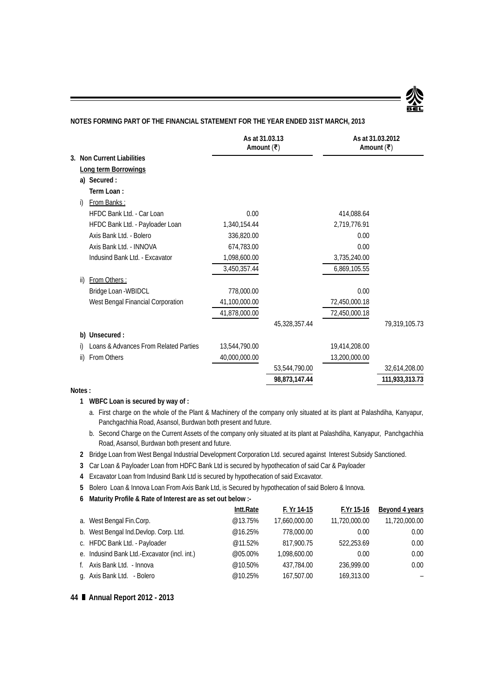

|     |                                       | As at 31.03.13<br>Amount (₹) |               |               | As at 31.03.2012<br>Amount $( ₹)$ |
|-----|---------------------------------------|------------------------------|---------------|---------------|-----------------------------------|
|     | 3. Non Current Liabilities            |                              |               |               |                                   |
|     | <b>Long term Borrowings</b>           |                              |               |               |                                   |
|     | a) Secured :                          |                              |               |               |                                   |
|     | Term Loan:                            |                              |               |               |                                   |
| i)  | From Banks:                           |                              |               |               |                                   |
|     | HFDC Bank Ltd. - Car Loan             | 0.00                         |               | 414,088.64    |                                   |
|     | HFDC Bank Ltd. - Payloader Loan       | 1,340,154.44                 |               | 2,719,776.91  |                                   |
|     | Axis Bank Ltd. - Bolero               | 336,820.00                   |               | 0.00          |                                   |
|     | Axis Bank Ltd. - INNOVA               | 674,783.00                   |               | 0.00          |                                   |
|     | Indusind Bank Ltd. - Excavator        | 1,098,600.00                 |               | 3,735,240.00  |                                   |
|     |                                       | 3,450,357.44                 |               | 6,869,105.55  |                                   |
| ii) | From Others:                          |                              |               |               |                                   |
|     | Bridge Loan - WBIDCL                  | 778,000.00                   |               | 0.00          |                                   |
|     | West Bengal Financial Corporation     | 41,100,000.00                |               | 72,450,000.18 |                                   |
|     |                                       | 41,878,000.00                |               | 72,450,000.18 |                                   |
|     |                                       |                              | 45,328,357.44 |               | 79,319,105.73                     |
| b)  | Unsecured:                            |                              |               |               |                                   |
| i)  | Loans & Advances From Related Parties | 13,544,790.00                |               | 19,414,208.00 |                                   |
| ii) | From Others                           | 40,000,000.00                |               | 13,200,000.00 |                                   |
|     |                                       |                              | 53,544,790.00 |               | 32,614,208.00                     |
|     |                                       |                              | 98,873,147.44 |               | 111,933,313.73                    |

# **Notes :**

# **1 WBFC Loan is secured by way of :**

- a. First charge on the whole of the Plant & Machinery of the company only situated at its plant at Palashdiha, Kanyapur, Panchgachhia Road, Asansol, Burdwan both present and future.
- b. Second Charge on the Current Assets of the company only situated at its plant at Palashdiha, Kanyapur, Panchgachhia Road, Asansol, Burdwan both present and future.
- **2** Bridge Loan from West Bengal Industrial Development Corporation Ltd. secured against Interest Subsidy Sanctioned.
- **3** Car Loan & Payloader Loan from HDFC Bank Ltd is secured by hypothecation of said Car & Payloader
- **4** Excavator Loan from Indusind Bank Ltd is secured by hypothecation of said Excavator.
- **5** Bolero Loan & Innova Loan From Axis Bank Ltd, is Secured by hypothecation of said Bolero & Innova.
- **6 Maturity Profile & Rate of Interest are as set out below :-**

|                                              | Intt.Rate | F. Yr 14-15   | F.Yr 15-16    | Beyond 4 years |
|----------------------------------------------|-----------|---------------|---------------|----------------|
| a. West Bengal Fin.Corp.                     | @13.75%   | 17.660.000.00 | 11,720,000.00 | 11,720,000.00  |
| b. West Bengal Ind.Devlop. Corp. Ltd.        | @16.25%   | 778,000.00    | 0.00          | $0.00 -$       |
| c. HFDC Bank Ltd. - Payloader                | @11.52%   | 817,900.75    | 522.253.69    | 0.00           |
| e. Indusind Bank Ltd.-Excavator (incl. int.) | @05.00%   | 1.098.600.00  | 0.00          | 0.00           |
| f. Axis Bank Ltd. - Innova                   | @10.50%   | 437.784.00    | 236,999.00    | 0.00           |
| g. Axis Bank Ltd. - Bolero                   | @10.25%   | 167,507.00    | 169,313.00    |                |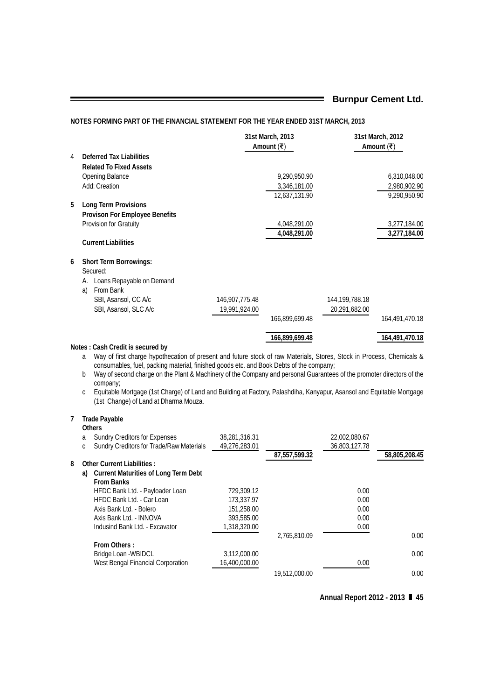|   |                                                                                                                                                                                                                                                                                                                                                                                                          |                | 31st March, 2013<br>Amount (₹) |                   | 31st March, 2012<br>Amount $( ₹)$ |
|---|----------------------------------------------------------------------------------------------------------------------------------------------------------------------------------------------------------------------------------------------------------------------------------------------------------------------------------------------------------------------------------------------------------|----------------|--------------------------------|-------------------|-----------------------------------|
| 4 | <b>Deferred Tax Liabilities</b>                                                                                                                                                                                                                                                                                                                                                                          |                |                                |                   |                                   |
|   | <b>Related To Fixed Assets</b>                                                                                                                                                                                                                                                                                                                                                                           |                |                                |                   |                                   |
|   | <b>Opening Balance</b>                                                                                                                                                                                                                                                                                                                                                                                   |                | 9,290,950.90                   |                   | 6,310,048.00                      |
|   | Add: Creation                                                                                                                                                                                                                                                                                                                                                                                            |                | 3,346,181.00                   |                   | 2,980,902.90                      |
|   |                                                                                                                                                                                                                                                                                                                                                                                                          |                | 12,637,131.90                  |                   | 9,290,950.90                      |
| 5 | Long Term Provisions                                                                                                                                                                                                                                                                                                                                                                                     |                |                                |                   |                                   |
|   | Provison For Employee Benefits                                                                                                                                                                                                                                                                                                                                                                           |                |                                |                   |                                   |
|   | Provision for Gratuity                                                                                                                                                                                                                                                                                                                                                                                   |                | 4,048,291.00                   |                   | 3,277,184.00                      |
|   |                                                                                                                                                                                                                                                                                                                                                                                                          |                | 4,048,291.00                   |                   | 3,277,184.00                      |
|   | <b>Current Liabilities</b>                                                                                                                                                                                                                                                                                                                                                                               |                |                                |                   |                                   |
| 6 | <b>Short Term Borrowings:</b>                                                                                                                                                                                                                                                                                                                                                                            |                |                                |                   |                                   |
|   | Secured:                                                                                                                                                                                                                                                                                                                                                                                                 |                |                                |                   |                                   |
|   | A. Loans Repayable on Demand                                                                                                                                                                                                                                                                                                                                                                             |                |                                |                   |                                   |
|   | From Bank<br>a)                                                                                                                                                                                                                                                                                                                                                                                          |                |                                |                   |                                   |
|   | SBI, Asansol, CC A/c                                                                                                                                                                                                                                                                                                                                                                                     | 146,907,775.48 |                                | 144, 199, 788. 18 |                                   |
|   | SBI, Asansol, SLC A/c                                                                                                                                                                                                                                                                                                                                                                                    | 19,991,924.00  |                                | 20,291,682.00     |                                   |
|   |                                                                                                                                                                                                                                                                                                                                                                                                          |                | 166,899,699.48                 |                   | 164,491,470.18                    |
|   | Notes: Cash Credit is secured by                                                                                                                                                                                                                                                                                                                                                                         |                | 166,899,699.48                 |                   | 164,491,470.18                    |
|   | consumables, fuel, packing material, finished goods etc. and Book Debts of the company;<br>Way of second charge on the Plant & Machinery of the Company and personal Guarantees of the promoter directors of the<br>b<br>company;<br>Equitable Mortgage (1st Charge) of Land and Building at Factory, Palashdiha, Kanyapur, Asansol and Equitable Mortgage<br>С<br>(1st Change) of Land at Dharma Mouza. |                |                                |                   |                                   |
| 7 | <b>Trade Payable</b>                                                                                                                                                                                                                                                                                                                                                                                     |                |                                |                   |                                   |
|   | <b>Others</b>                                                                                                                                                                                                                                                                                                                                                                                            |                |                                |                   |                                   |
|   | Sundry Creditors for Expenses<br>a                                                                                                                                                                                                                                                                                                                                                                       | 38,281,316.31  |                                | 22,002,080.67     |                                   |
|   | Sundry Creditors for Trade/Raw Materials<br>С                                                                                                                                                                                                                                                                                                                                                            | 49,276,283.01  |                                | 36,803,127.78     |                                   |
|   |                                                                                                                                                                                                                                                                                                                                                                                                          |                | 87,557,599.32                  |                   | 58,805,208.45                     |
| 8 | Other Current Liabilities :                                                                                                                                                                                                                                                                                                                                                                              |                |                                |                   |                                   |
|   | a) Current Maturities of Long Term Debt                                                                                                                                                                                                                                                                                                                                                                  |                |                                |                   |                                   |
|   | <b>From Banks</b>                                                                                                                                                                                                                                                                                                                                                                                        |                |                                |                   |                                   |
|   | HFDC Bank Ltd. - Payloader Loan                                                                                                                                                                                                                                                                                                                                                                          | 729,309.12     |                                | 0.00              |                                   |
|   | HFDC Bank Ltd. - Car Loan                                                                                                                                                                                                                                                                                                                                                                                | 173,337.97     |                                | 0.00              |                                   |
|   | Axis Bank Ltd. - Bolero                                                                                                                                                                                                                                                                                                                                                                                  | 151,258.00     |                                | 0.00              |                                   |
|   | Axis Bank Ltd. - INNOVA                                                                                                                                                                                                                                                                                                                                                                                  | 393,585.00     |                                | 0.00              |                                   |
|   | Indusind Bank Ltd. - Excavator                                                                                                                                                                                                                                                                                                                                                                           | 1,318,320.00   | 2,765,810.09                   | 0.00              | 0.00                              |
|   | From Others:                                                                                                                                                                                                                                                                                                                                                                                             |                |                                |                   |                                   |
|   | Bridge Loan - WBIDCL                                                                                                                                                                                                                                                                                                                                                                                     | 3,112,000.00   |                                |                   | 0.00                              |
|   | West Bengal Financial Corporation                                                                                                                                                                                                                                                                                                                                                                        | 16,400,000.00  |                                | 0.00              |                                   |
|   |                                                                                                                                                                                                                                                                                                                                                                                                          |                | 19,512,000.00                  |                   | 0.00                              |
|   |                                                                                                                                                                                                                                                                                                                                                                                                          |                |                                |                   |                                   |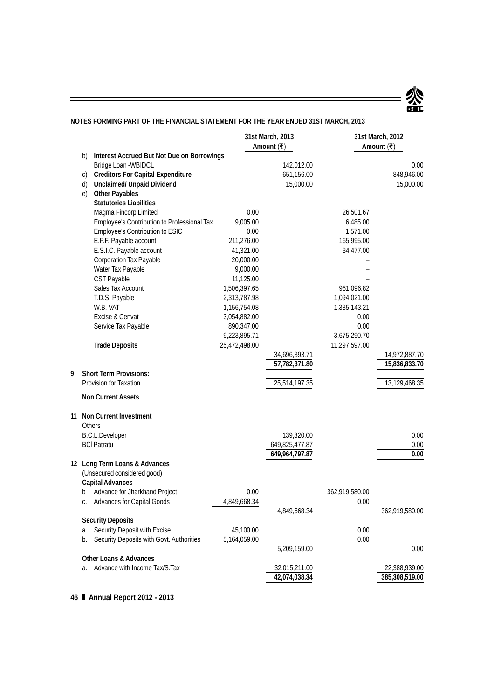

|   |    |                                             |               | 31st March, 2013<br>Amount $( ₹)$ |                | 31st March, 2012<br>Amount (₹) |
|---|----|---------------------------------------------|---------------|-----------------------------------|----------------|--------------------------------|
|   | b) | Interest Accrued But Not Due on Borrowings  |               |                                   |                |                                |
|   |    | Bridge Loan - WBIDCL                        |               | 142,012.00                        |                | 0.00                           |
|   | C) | <b>Creditors For Capital Expenditure</b>    |               | 651,156.00                        |                | 848,946.00                     |
|   | d) | <b>Unclaimed/ Unpaid Dividend</b>           |               | 15,000.00                         |                | 15,000.00                      |
|   | e) | <b>Other Payables</b>                       |               |                                   |                |                                |
|   |    | <b>Statutories Liabilities</b>              |               |                                   |                |                                |
|   |    | Magma Fincorp Limited                       | 0.00          |                                   | 26,501.67      |                                |
|   |    | Employee's Contribution to Professional Tax | 9,005.00      |                                   | 6,485.00       |                                |
|   |    | Employee's Contribution to ESIC             | 0.00          |                                   | 1,571.00       |                                |
|   |    | E.P.F. Payable account                      | 211,276.00    |                                   | 165,995.00     |                                |
|   |    | E.S.I.C. Payable account                    | 41,321.00     |                                   | 34,477.00      |                                |
|   |    | Corporation Tax Payable                     | 20,000.00     |                                   |                |                                |
|   |    | Water Tax Payable                           | 9,000.00      |                                   |                |                                |
|   |    | CST Payable                                 | 11,125.00     |                                   |                |                                |
|   |    | Sales Tax Account                           | 1,506,397.65  |                                   | 961,096.82     |                                |
|   |    | T.D.S. Payable                              | 2,313,787.98  |                                   | 1,094,021.00   |                                |
|   |    | W.B. VAT                                    | 1,156,754.08  |                                   | 1,385,143.21   |                                |
|   |    | Excise & Cenvat                             | 3,054,882.00  |                                   | 0.00           |                                |
|   |    | Service Tax Payable                         | 890,347.00    |                                   | 0.00           |                                |
|   |    |                                             | 9,223,895.71  |                                   | 3,675,290.70   |                                |
|   |    | <b>Trade Deposits</b>                       | 25,472,498.00 |                                   | 11,297,597.00  |                                |
|   |    |                                             |               | 34,696,393.71                     |                | 14,972,887.70                  |
|   |    |                                             |               | 57,782,371.80                     |                | 15,836,833.70                  |
| 9 |    | <b>Short Term Provisions:</b>               |               |                                   |                |                                |
|   |    | Provision for Taxation                      |               | 25,514,197.35                     |                | 13,129,468.35                  |
|   |    | <b>Non Current Assets</b>                   |               |                                   |                |                                |
|   |    | 11 Non Current Investment                   |               |                                   |                |                                |
|   |    | Others                                      |               |                                   |                |                                |
|   |    | <b>B.C.L.Developer</b>                      |               | 139,320.00                        |                | 0.00                           |
|   |    | <b>BCI Patratu</b>                          |               | 649,825,477.87                    |                | 0.00                           |
|   |    |                                             |               | 649,964,797.87                    |                | 0.00                           |
|   |    | 12 Long Term Loans & Advances               |               |                                   |                |                                |
|   |    | (Unsecured considered good)                 |               |                                   |                |                                |
|   |    | <b>Capital Advances</b>                     |               |                                   |                |                                |
|   | b  | Advance for Jharkhand Project               | 0.00          |                                   | 362,919,580.00 |                                |
|   | C. | <b>Advances for Capital Goods</b>           | 4,849,668.34  |                                   | 0.00           |                                |
|   |    |                                             |               | 4,849,668.34                      |                | 362,919,580.00                 |
|   |    | <b>Security Deposits</b>                    |               |                                   |                |                                |
|   | a. | Security Deposit with Excise                | 45,100.00     |                                   | 0.00           |                                |
|   | b. | Security Deposits with Govt. Authorities    | 5,164,059.00  |                                   | 0.00           |                                |
|   |    |                                             |               | 5,209,159.00                      |                | 0.00                           |
|   |    | <b>Other Loans &amp; Advances</b>           |               |                                   |                |                                |
|   | a. | Advance with Income Tax/S.Tax               |               | 32,015,211.00                     |                | 22,388,939.00                  |
|   |    |                                             |               | 42,074,038.34                     |                | 385,308,519.00                 |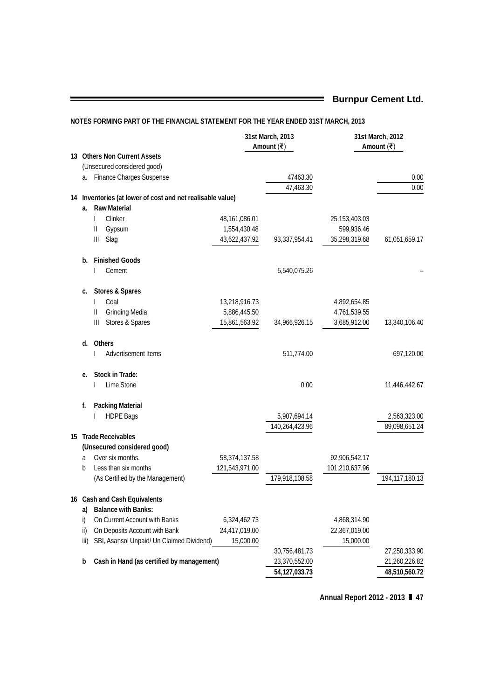|      |                                                            |                | 31st March, 2013<br>Amount (₹) |                  | 31st March, 2012<br>Amount (₹) |
|------|------------------------------------------------------------|----------------|--------------------------------|------------------|--------------------------------|
|      | 13 Others Non Current Assets                               |                |                                |                  |                                |
|      | (Unsecured considered good)                                |                |                                |                  |                                |
|      | a. Finance Charges Suspense                                |                | 47463.30                       |                  | 0.00                           |
|      |                                                            |                | 47,463.30                      |                  | 0.00                           |
|      | 14 Inventories (at lower of cost and net realisable value) |                |                                |                  |                                |
| a.   | <b>Raw Material</b>                                        |                |                                |                  |                                |
|      | Clinker<br>$\mathbf{I}$                                    | 48,161,086.01  |                                | 25, 153, 403. 03 |                                |
|      | $\mathbb{I}$<br>Gypsum                                     | 1,554,430.48   |                                | 599,936.46       |                                |
|      | $\mathbb{H}$<br>Slag                                       | 43,622,437.92  | 93,337,954.41                  | 35,298,319.68    | 61,051,659.17                  |
| b.   | <b>Finished Goods</b>                                      |                |                                |                  |                                |
|      | Cement<br>I                                                |                | 5,540,075.26                   |                  |                                |
| c.   | Stores & Spares                                            |                |                                |                  |                                |
|      | Coal<br>I                                                  | 13,218,916.73  |                                | 4,892,654.85     |                                |
|      | <b>Grinding Media</b><br>$\mathbb{I}$                      | 5,886,445.50   |                                | 4,761,539.55     |                                |
|      | Stores & Spares<br>$\mathbb{H}$                            | 15,861,563.92  | 34,966,926.15                  | 3,685,912.00     | 13,340,106.40                  |
| d.   | Others                                                     |                |                                |                  |                                |
|      | Advertisement Items<br>I                                   |                | 511,774.00                     |                  | 697,120.00                     |
| е.   | Stock in Trade:                                            |                |                                |                  |                                |
|      | Lime Stone<br>I                                            |                | 0.00                           |                  | 11,446,442.67                  |
| f.   | <b>Packing Material</b>                                    |                |                                |                  |                                |
|      | <b>HDPE Bags</b>                                           |                | 5,907,694.14                   |                  | 2,563,323.00                   |
|      |                                                            |                | 140,264,423.96                 |                  | 89,098,651.24                  |
|      | 15 Trade Receivables                                       |                |                                |                  |                                |
|      | (Unsecured considered good)                                |                |                                |                  |                                |
| a    | Over six months.                                           | 58,374,137.58  |                                | 92,906,542.17    |                                |
| b    | Less than six months                                       | 121,543,971.00 |                                | 101,210,637.96   |                                |
|      | (As Certified by the Management)                           |                | 179,918,108.58                 |                  | 194, 117, 180. 13              |
|      | 16 Cash and Cash Equivalents                               |                |                                |                  |                                |
| a)   | <b>Balance with Banks:</b>                                 |                |                                |                  |                                |
| i)   | On Current Account with Banks                              | 6,324,462.73   |                                | 4,868,314.90     |                                |
| ii)  | On Deposits Account with Bank                              | 24,417,019.00  |                                | 22,367,019.00    |                                |
| iii) | SBI, Asansol Unpaid/ Un Claimed Dividend)                  | 15,000.00      |                                | 15,000.00        |                                |
|      |                                                            |                | 30,756,481.73                  |                  | 27,250,333.90                  |
| b    | Cash in Hand (as certified by management)                  |                | 23,370,552.00                  |                  | 21,260,226.82                  |
|      |                                                            |                | 54,127,033.73                  |                  | 48,510,560.72                  |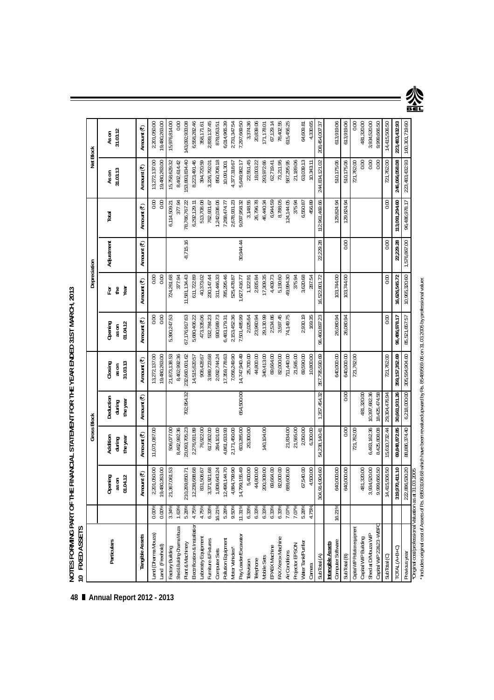|                                        |                |                              | <b>Gross Block</b>             |                                 |                                |                              | Depreciation     |              |                |                               | Net Block                     |
|----------------------------------------|----------------|------------------------------|--------------------------------|---------------------------------|--------------------------------|------------------------------|------------------|--------------|----------------|-------------------------------|-------------------------------|
| Particulars                            |                | Opening<br>01.04.12<br>as on | Addition<br>the year<br>during | Deduction<br>the year<br>during | 31.03.13<br>Closing<br>as on   | Opening<br>01.04.12<br>as on | Year<br>£<br>For | Adjustment   | Total          | 31.03.13<br>As on             | 31.03.12<br>As on             |
| Tangible Assets                        |                | Amount (₹)                   | Amount (₹)                     | Amount (₹)                      | Amount (₹)                     | Amount (₹)                   | Amount (₹)       | Amount (₹)   | Amount (₹)     | Amount (₹)                    | Amount (₹)                    |
| Land (Dharma Mouza)<br>Land (Freehold) | 0.00%<br>0.00% | 9,480,263.00<br>2,201,050.00 | 11,071,087.00                  |                                 | 19,480,263.00<br>13,272,137.00 | 0.00<br>0.00                 | 0.00<br>0.00     |              | 0.00<br>0.00   | 9,480,263.00<br>13,272,137.00 | 2,201,050.00<br>19,480,263.00 |
| Factory Building                       | 3.34%          | 21,367,061.53                | 506,077.00                     |                                 | 21,873,138.53                  | 5,390,247.53                 | 724,261.68       |              | 6,114,509.21   | 15,758,629.32                 | 15,976,814.00                 |
| Shed & Building-Dharma Mouza           | 1.63%          |                              | 8,462,992.36                   |                                 | 8,462,992.36                   |                              | 377.94           |              | 377.94         | 8,462,614.42                  |                               |
| Plant & Machinery                      | 5.28%          | 210,269,850.71               | 23,093,705.23                  | 702,954.32                      | 232,660,601.62                 | 67,176,917.63                | 11,581,134.43    | $-8,715.16$  | 78,766,767.22  | 153,893,834.40                | 143,092,933.08                |
| Electrification & Installation         | 4.75%          | 12,238,688.68                | 2,276,931.89                   |                                 | 14,515,620.57                  | 5,680,406.22                 | 611,722.89       |              | 6,292,129.11   | 8,223,491.46                  | 6,558,282.46                  |
| Laboratry Equipment                    | 4.75%          | 831,506.67                   | 76,922.00                      |                                 | 908,428.67                     | 473,335.06                   | 40,373.02        |              | 513,708.08     | 394,720.59                    | 358,171.61                    |
| Furniture & Fixtures                   | 6.33%          | 3,371,921.68                 | 617,802.00                     |                                 | 3,989,723.68                   | 532,784.23                   | 230,147.44       |              | 762,931.67     | 3,226,792.01                  | 2,839,137.45                  |
| Computer Sets                          | 16.21%         | 1,808,643.24                 | 284,101.00                     |                                 | 2,092,744.24                   | 930,589.73                   | 311,446.33       |              | 1,242,036.06   | 850,708.18                    | 878,053.51                    |
| Pollution Equipment                    | 5.28%          | 12,498,144.70                | 4,861,633.93                   |                                 | 17,359,778.63                  | 6,483,179.31                 | 785,295.46       |              | 7,268,474.77   | 10,091,303                    | 6,014,965.39                  |
| Motor Vehicles*                        | 9.50%          | 4,884,799.90                 | 2,171,450.00                   |                                 | 7,056,249.90                   | 2,153,452.36                 | 525,478.87       |              | 2,678,931.23   | 4,377,318.67                  | 2,731,347.54                  |
| Pay Loader/Excavator                   | 11.31%         | 14,799,155.49                | 603,285.00                     | 654,500.00                      | 14,747,940.49                  | 7,501,485.99                 | 1,627,416.77     | 30,944.44    | 9,097,958.32   | 5,649,982.17                  | 7,297,669.50                  |
| Television                             | 6.33%          | 5,400.00                     | 20,300.00                      |                                 | 25,700.00                      | 2,025.64                     | 1,122.91         |              | 3,148.55       | 22,551.45                     | 3,374.36                      |
| Telephone                              | 6.33%          | 44,800.00                    |                                |                                 | 44,800.00                      | 23,960.94                    | 2,835.84         |              | 26,796.78      | 18,003.22                     | 20,839.06                     |
| Mobile Sets                            | 6.33%          | 200,309.00                   | 140,104.00                     |                                 | 340,413.00                     | 29,130.99                    | 17,309.35        |              | 46,440.34      | 293,972.66                    | 171,178.01                    |
| EPABX Machine                          | 6.33%          | 69,664.00                    |                                |                                 | 69,664.00                      | 2,534.86                     | 4,409.73         |              | 6,944.59       | 62,719.41                     | 67,129.14                     |
| FAX/Xerox Machine                      | 6.33%          | 82,000.00                    |                                |                                 | 82,000.00                      | 3,597.45                     | 5,190.60         |              | 8,788.05       | 73,211.95                     | 78,402.55                     |
| Air Conditions                         | 7.07%          | 689,606.00                   | 21,834.00                      |                                 | 711,440.00                     | 74,149.75                    | 19,994.30        |              | 124,144.05     | 587,295.95                    | 615,456.25                    |
| Projector EPSON                        | 7.07%          |                              | 21,565.00                      |                                 | 21,565.00                      |                              | 375.94           |              | 375.94         | 21,189.06                     |                               |
| Water Tank/Purifier                    | 5.28%          | 67,540.00                    | 2,050.00                       |                                 | 69,590.00                      | 2,930.19                     | 3,620.68         |              | 6,550.87       | 63,039.13                     | 64,609.81                     |
| Camera                                 | 4.75%          | 4,500.00                     | 6,300.00                       |                                 | 10,800.00                      | 169.35                       | 287.54           |              | 456.89         | 10,343.11                     | 4,330.65                      |
| SubTotal (A)                           |                | 304,914,904.60               | 54,238,140.41                  | 1,357,454.32                    | 357,795,590.69                 | 96,460,897.23                | 16,522,801.72    | 22,229.28    | 112,961,469.66 | 244,834,121.02                | 208,454,007.37                |
| Intangible Assets                      |                |                              |                                |                                 |                                |                              |                  |              |                |                               |                               |
| Computer Software                      | 16.21%         | 640,000.00                   |                                |                                 | 640,000.00                     | 26,080.94                    | 103,744.00       |              | 129,824.94     | 510,175.06                    | 613,919.06                    |
| SubTotal (B)                           |                | 640,000.00                   | 0.00                           | 0.00                            | 640,000.00                     | 26,080.94                    | 103,744.00       | 0.00         | 129,824.94     | 510,175.06                    | 613,919.06                    |
| Capital WIP Pollution equipment        |                |                              | 721,762.00                     |                                 | 721,762.00                     |                              |                  |              |                | 721,762.00                    | 0.00                          |
| Capital WIP Building                   |                | 481,320.00                   |                                | 481,320.00                      |                                |                              |                  |              |                | 0.00                          | 481,320.00                    |
| Shed at D/Mouza WIP                    |                | 3,934,520.00                 | 6,463,162.36                   | 10,397,682.36                   |                                |                              |                  |              |                | 0.00                          | 3,934,520.00                  |
| Capital WIP 22&23 -WBF                 |                | 9,999,666.50                 | 8,425,808.08                   | 18,425,474.58                   |                                |                              |                  |              |                | 0.00                          | 9,999,666.50                  |
| SubTotal (C)                           |                | 14,415,506.50                | 15,610,732.44                  | 29,304,476.94                   | 721,762.00                     | 0.00                         | 0.00             | 0.00         | 0.00           | 721,762.00                    | 14,415,506.50                 |
| TOTAL (A+B+C)                          |                | 319,970,411.10               | 59,848,872.85                  | 30,661,931.26                   | 359, 157, 352.69               | 96,486,978.17                | 16,626,545.72    | 22,229.28    | 113,091,294.60 | 246,066,058.08                | 223,483,432.93                |
| Previous year                          |                | 222,886,530.20               | 88,886,374.40                  | 6,218,000.00                    | 305,554,904.60                 | 85,521,657.57                | 10,965,320.60    | 1,576,867.00 | 96,486,978.17  | 223, 483, 432.93              | 160,301,719.60                |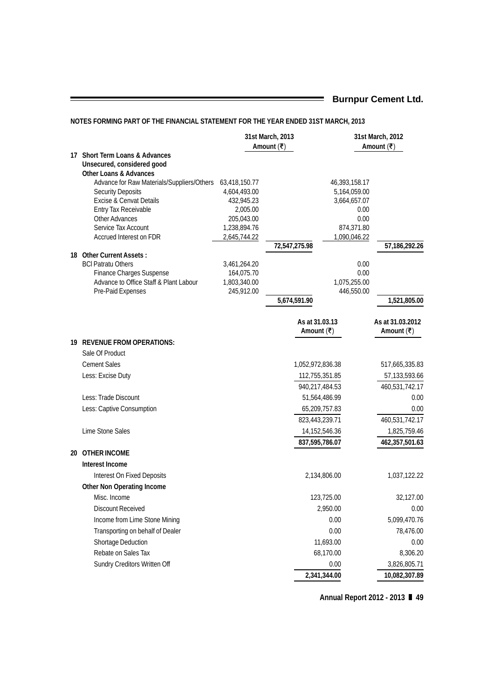# **Burnpur Cement Ltd.**

# **NOTES FORMING PART OF THE FINANCIAL STATEMENT FOR THE YEAR ENDED 31ST MARCH, 2013**

| Short Term Loans & Advances<br>17<br>Unsecured, considered good<br><b>Other Loans &amp; Advances</b><br>Advance for Raw Materials/Suppliers/Others<br>63,418,150.77<br>46,393,158.17<br><b>Security Deposits</b><br>4,604,493.00<br>5,164,059.00<br><b>Excise &amp; Cenvat Details</b><br>432,945.23<br>3,664,657.07<br>Entry Tax Receivable<br>2,005.00<br>0.00<br><b>Other Advances</b><br>205,043.00<br>0.00<br>Service Tax Account<br>1,238,894.76<br>874,371.80<br>Accrued Interest on FDR<br>1,090,046.22<br>2,645,744.22<br>72,547,275.98<br>57,186,292.26<br>18 Other Current Assets:<br>0.00<br><b>BCI Patratu Others</b><br>3,461,264.20<br>Finance Charges Suspense<br>0.00<br>164,075.70<br>Advance to Office Staff & Plant Labour<br>1,803,340.00<br>1,075,255.00<br>Pre-Paid Expenses<br>245,912.00<br>446,550.00<br>5,674,591.90<br>1,521,805.00<br>As at 31.03.13<br>As at 31.03.2012<br>Amount (₹)<br>Amount (₹)<br>19 REVENUE FROM OPERATIONS:<br>Sale Of Product<br><b>Cement Sales</b><br>1,052,972,836.38<br>517,665,335.83<br>Less: Excise Duty<br>112,755,351.85<br>57,133,593.66<br>940,217,484.53<br>460,531,742.17<br>Less: Trade Discount<br>0.00<br>51,564,486.99<br>Less: Captive Consumption<br>0.00<br>65,209,757.83<br>460,531,742.17<br>823,443,239.71<br>Lime Stone Sales<br>1,825,759.46<br>14, 152, 546. 36<br>837,595,786.07<br>462,357,501.63<br>20 OTHER INCOME<br>Interest Income<br>Interest On Fixed Deposits<br>2,134,806.00<br>1,037,122.22<br>Other Non Operating Income<br>Misc. Income<br>32,127.00<br>123,725.00<br><b>Discount Received</b><br>2,950.00<br>0.00<br>0.00 |                               | 31st March, 2013<br>Amount (₹) | 31st March, 2012<br>Amount (₹) |
|--------------------------------------------------------------------------------------------------------------------------------------------------------------------------------------------------------------------------------------------------------------------------------------------------------------------------------------------------------------------------------------------------------------------------------------------------------------------------------------------------------------------------------------------------------------------------------------------------------------------------------------------------------------------------------------------------------------------------------------------------------------------------------------------------------------------------------------------------------------------------------------------------------------------------------------------------------------------------------------------------------------------------------------------------------------------------------------------------------------------------------------------------------------------------------------------------------------------------------------------------------------------------------------------------------------------------------------------------------------------------------------------------------------------------------------------------------------------------------------------------------------------------------------------------------------------------------------------------------------------------|-------------------------------|--------------------------------|--------------------------------|
|                                                                                                                                                                                                                                                                                                                                                                                                                                                                                                                                                                                                                                                                                                                                                                                                                                                                                                                                                                                                                                                                                                                                                                                                                                                                                                                                                                                                                                                                                                                                                                                                                          |                               |                                |                                |
|                                                                                                                                                                                                                                                                                                                                                                                                                                                                                                                                                                                                                                                                                                                                                                                                                                                                                                                                                                                                                                                                                                                                                                                                                                                                                                                                                                                                                                                                                                                                                                                                                          |                               |                                |                                |
|                                                                                                                                                                                                                                                                                                                                                                                                                                                                                                                                                                                                                                                                                                                                                                                                                                                                                                                                                                                                                                                                                                                                                                                                                                                                                                                                                                                                                                                                                                                                                                                                                          |                               |                                |                                |
|                                                                                                                                                                                                                                                                                                                                                                                                                                                                                                                                                                                                                                                                                                                                                                                                                                                                                                                                                                                                                                                                                                                                                                                                                                                                                                                                                                                                                                                                                                                                                                                                                          |                               |                                |                                |
|                                                                                                                                                                                                                                                                                                                                                                                                                                                                                                                                                                                                                                                                                                                                                                                                                                                                                                                                                                                                                                                                                                                                                                                                                                                                                                                                                                                                                                                                                                                                                                                                                          |                               |                                |                                |
|                                                                                                                                                                                                                                                                                                                                                                                                                                                                                                                                                                                                                                                                                                                                                                                                                                                                                                                                                                                                                                                                                                                                                                                                                                                                                                                                                                                                                                                                                                                                                                                                                          |                               |                                |                                |
|                                                                                                                                                                                                                                                                                                                                                                                                                                                                                                                                                                                                                                                                                                                                                                                                                                                                                                                                                                                                                                                                                                                                                                                                                                                                                                                                                                                                                                                                                                                                                                                                                          |                               |                                |                                |
|                                                                                                                                                                                                                                                                                                                                                                                                                                                                                                                                                                                                                                                                                                                                                                                                                                                                                                                                                                                                                                                                                                                                                                                                                                                                                                                                                                                                                                                                                                                                                                                                                          |                               |                                |                                |
|                                                                                                                                                                                                                                                                                                                                                                                                                                                                                                                                                                                                                                                                                                                                                                                                                                                                                                                                                                                                                                                                                                                                                                                                                                                                                                                                                                                                                                                                                                                                                                                                                          |                               |                                |                                |
|                                                                                                                                                                                                                                                                                                                                                                                                                                                                                                                                                                                                                                                                                                                                                                                                                                                                                                                                                                                                                                                                                                                                                                                                                                                                                                                                                                                                                                                                                                                                                                                                                          |                               |                                |                                |
|                                                                                                                                                                                                                                                                                                                                                                                                                                                                                                                                                                                                                                                                                                                                                                                                                                                                                                                                                                                                                                                                                                                                                                                                                                                                                                                                                                                                                                                                                                                                                                                                                          |                               |                                |                                |
|                                                                                                                                                                                                                                                                                                                                                                                                                                                                                                                                                                                                                                                                                                                                                                                                                                                                                                                                                                                                                                                                                                                                                                                                                                                                                                                                                                                                                                                                                                                                                                                                                          |                               |                                |                                |
|                                                                                                                                                                                                                                                                                                                                                                                                                                                                                                                                                                                                                                                                                                                                                                                                                                                                                                                                                                                                                                                                                                                                                                                                                                                                                                                                                                                                                                                                                                                                                                                                                          |                               |                                |                                |
|                                                                                                                                                                                                                                                                                                                                                                                                                                                                                                                                                                                                                                                                                                                                                                                                                                                                                                                                                                                                                                                                                                                                                                                                                                                                                                                                                                                                                                                                                                                                                                                                                          |                               |                                |                                |
|                                                                                                                                                                                                                                                                                                                                                                                                                                                                                                                                                                                                                                                                                                                                                                                                                                                                                                                                                                                                                                                                                                                                                                                                                                                                                                                                                                                                                                                                                                                                                                                                                          |                               |                                |                                |
|                                                                                                                                                                                                                                                                                                                                                                                                                                                                                                                                                                                                                                                                                                                                                                                                                                                                                                                                                                                                                                                                                                                                                                                                                                                                                                                                                                                                                                                                                                                                                                                                                          |                               |                                |                                |
|                                                                                                                                                                                                                                                                                                                                                                                                                                                                                                                                                                                                                                                                                                                                                                                                                                                                                                                                                                                                                                                                                                                                                                                                                                                                                                                                                                                                                                                                                                                                                                                                                          |                               |                                |                                |
|                                                                                                                                                                                                                                                                                                                                                                                                                                                                                                                                                                                                                                                                                                                                                                                                                                                                                                                                                                                                                                                                                                                                                                                                                                                                                                                                                                                                                                                                                                                                                                                                                          |                               |                                |                                |
|                                                                                                                                                                                                                                                                                                                                                                                                                                                                                                                                                                                                                                                                                                                                                                                                                                                                                                                                                                                                                                                                                                                                                                                                                                                                                                                                                                                                                                                                                                                                                                                                                          |                               |                                |                                |
|                                                                                                                                                                                                                                                                                                                                                                                                                                                                                                                                                                                                                                                                                                                                                                                                                                                                                                                                                                                                                                                                                                                                                                                                                                                                                                                                                                                                                                                                                                                                                                                                                          |                               |                                |                                |
|                                                                                                                                                                                                                                                                                                                                                                                                                                                                                                                                                                                                                                                                                                                                                                                                                                                                                                                                                                                                                                                                                                                                                                                                                                                                                                                                                                                                                                                                                                                                                                                                                          |                               |                                |                                |
|                                                                                                                                                                                                                                                                                                                                                                                                                                                                                                                                                                                                                                                                                                                                                                                                                                                                                                                                                                                                                                                                                                                                                                                                                                                                                                                                                                                                                                                                                                                                                                                                                          |                               |                                |                                |
|                                                                                                                                                                                                                                                                                                                                                                                                                                                                                                                                                                                                                                                                                                                                                                                                                                                                                                                                                                                                                                                                                                                                                                                                                                                                                                                                                                                                                                                                                                                                                                                                                          |                               |                                |                                |
|                                                                                                                                                                                                                                                                                                                                                                                                                                                                                                                                                                                                                                                                                                                                                                                                                                                                                                                                                                                                                                                                                                                                                                                                                                                                                                                                                                                                                                                                                                                                                                                                                          |                               |                                |                                |
|                                                                                                                                                                                                                                                                                                                                                                                                                                                                                                                                                                                                                                                                                                                                                                                                                                                                                                                                                                                                                                                                                                                                                                                                                                                                                                                                                                                                                                                                                                                                                                                                                          |                               |                                |                                |
|                                                                                                                                                                                                                                                                                                                                                                                                                                                                                                                                                                                                                                                                                                                                                                                                                                                                                                                                                                                                                                                                                                                                                                                                                                                                                                                                                                                                                                                                                                                                                                                                                          |                               |                                |                                |
|                                                                                                                                                                                                                                                                                                                                                                                                                                                                                                                                                                                                                                                                                                                                                                                                                                                                                                                                                                                                                                                                                                                                                                                                                                                                                                                                                                                                                                                                                                                                                                                                                          |                               |                                |                                |
|                                                                                                                                                                                                                                                                                                                                                                                                                                                                                                                                                                                                                                                                                                                                                                                                                                                                                                                                                                                                                                                                                                                                                                                                                                                                                                                                                                                                                                                                                                                                                                                                                          |                               |                                |                                |
|                                                                                                                                                                                                                                                                                                                                                                                                                                                                                                                                                                                                                                                                                                                                                                                                                                                                                                                                                                                                                                                                                                                                                                                                                                                                                                                                                                                                                                                                                                                                                                                                                          |                               |                                |                                |
|                                                                                                                                                                                                                                                                                                                                                                                                                                                                                                                                                                                                                                                                                                                                                                                                                                                                                                                                                                                                                                                                                                                                                                                                                                                                                                                                                                                                                                                                                                                                                                                                                          |                               |                                |                                |
|                                                                                                                                                                                                                                                                                                                                                                                                                                                                                                                                                                                                                                                                                                                                                                                                                                                                                                                                                                                                                                                                                                                                                                                                                                                                                                                                                                                                                                                                                                                                                                                                                          |                               |                                |                                |
|                                                                                                                                                                                                                                                                                                                                                                                                                                                                                                                                                                                                                                                                                                                                                                                                                                                                                                                                                                                                                                                                                                                                                                                                                                                                                                                                                                                                                                                                                                                                                                                                                          |                               |                                |                                |
|                                                                                                                                                                                                                                                                                                                                                                                                                                                                                                                                                                                                                                                                                                                                                                                                                                                                                                                                                                                                                                                                                                                                                                                                                                                                                                                                                                                                                                                                                                                                                                                                                          |                               |                                |                                |
|                                                                                                                                                                                                                                                                                                                                                                                                                                                                                                                                                                                                                                                                                                                                                                                                                                                                                                                                                                                                                                                                                                                                                                                                                                                                                                                                                                                                                                                                                                                                                                                                                          |                               |                                |                                |
|                                                                                                                                                                                                                                                                                                                                                                                                                                                                                                                                                                                                                                                                                                                                                                                                                                                                                                                                                                                                                                                                                                                                                                                                                                                                                                                                                                                                                                                                                                                                                                                                                          | Income from Lime Stone Mining |                                | 5,099,470.76                   |
| Transporting on behalf of Dealer<br>0.00<br>78,476.00                                                                                                                                                                                                                                                                                                                                                                                                                                                                                                                                                                                                                                                                                                                                                                                                                                                                                                                                                                                                                                                                                                                                                                                                                                                                                                                                                                                                                                                                                                                                                                    |                               |                                |                                |
| Shortage Deduction<br>11,693.00<br>0.00                                                                                                                                                                                                                                                                                                                                                                                                                                                                                                                                                                                                                                                                                                                                                                                                                                                                                                                                                                                                                                                                                                                                                                                                                                                                                                                                                                                                                                                                                                                                                                                  |                               |                                |                                |
| Rebate on Sales Tax<br>8,306.20<br>68,170.00                                                                                                                                                                                                                                                                                                                                                                                                                                                                                                                                                                                                                                                                                                                                                                                                                                                                                                                                                                                                                                                                                                                                                                                                                                                                                                                                                                                                                                                                                                                                                                             |                               |                                |                                |
| Sundry Creditors Written Off<br>0.00<br>3,826,805.71                                                                                                                                                                                                                                                                                                                                                                                                                                                                                                                                                                                                                                                                                                                                                                                                                                                                                                                                                                                                                                                                                                                                                                                                                                                                                                                                                                                                                                                                                                                                                                     |                               |                                |                                |
| 2,341,344.00<br>10,082,307.89                                                                                                                                                                                                                                                                                                                                                                                                                                                                                                                                                                                                                                                                                                                                                                                                                                                                                                                                                                                                                                                                                                                                                                                                                                                                                                                                                                                                                                                                                                                                                                                            |                               |                                |                                |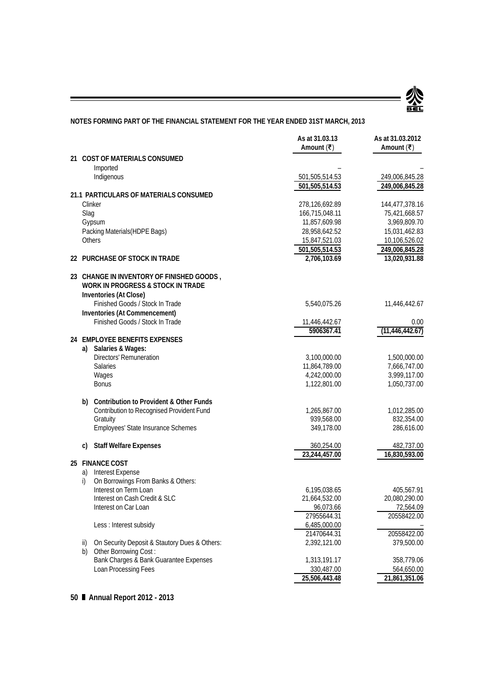

| 21 COST OF MATERIALS CONSUMED<br>Imported<br>Indigenous<br>501,505,514.53<br>501,505,514.53<br>21.1 PARTICULARS OF MATERIALS CONSUMED<br>Clinker<br>278,126,692.89<br>Slag<br>166,715,048.11<br>11,857,609.98<br>Gypsum<br>Packing Materials (HDPE Bags)<br>28,958,642.52<br>Others<br>15,847,521.03<br>501,505,514.53 | 249,006,845.28<br>249,006,845.28<br>144,477,378.16<br>75,421,668.57 |
|------------------------------------------------------------------------------------------------------------------------------------------------------------------------------------------------------------------------------------------------------------------------------------------------------------------------|---------------------------------------------------------------------|
|                                                                                                                                                                                                                                                                                                                        |                                                                     |
|                                                                                                                                                                                                                                                                                                                        |                                                                     |
|                                                                                                                                                                                                                                                                                                                        |                                                                     |
|                                                                                                                                                                                                                                                                                                                        |                                                                     |
|                                                                                                                                                                                                                                                                                                                        |                                                                     |
|                                                                                                                                                                                                                                                                                                                        |                                                                     |
|                                                                                                                                                                                                                                                                                                                        |                                                                     |
|                                                                                                                                                                                                                                                                                                                        | 3,969,809.70                                                        |
|                                                                                                                                                                                                                                                                                                                        | 15,031,462.83                                                       |
|                                                                                                                                                                                                                                                                                                                        | 10,106,526.02                                                       |
|                                                                                                                                                                                                                                                                                                                        | 249,006,845.28                                                      |
| 2,706,103.69<br>22 PURCHASE OF STOCK IN TRADE                                                                                                                                                                                                                                                                          | 13,020,931.88                                                       |
| 23 CHANGE IN INVENTORY OF FINISHED GOODS,                                                                                                                                                                                                                                                                              |                                                                     |
| <b>WORK IN PROGRESS &amp; STOCK IN TRADE</b>                                                                                                                                                                                                                                                                           |                                                                     |
| Inventories (At Close)                                                                                                                                                                                                                                                                                                 |                                                                     |
| Finished Goods / Stock In Trade<br>5,540,075.26                                                                                                                                                                                                                                                                        | 11,446,442.67                                                       |
| Inventories (At Commencement)                                                                                                                                                                                                                                                                                          |                                                                     |
| Finished Goods / Stock In Trade<br>11,446,442.67                                                                                                                                                                                                                                                                       | 0.00                                                                |
| 5906367.41                                                                                                                                                                                                                                                                                                             | (11, 446, 442.67)                                                   |
| 24 EMPLOYEE BENEFITS EXPENSES                                                                                                                                                                                                                                                                                          |                                                                     |
| a) Salaries & Wages:                                                                                                                                                                                                                                                                                                   |                                                                     |
| Directors' Remuneration<br>3,100,000.00                                                                                                                                                                                                                                                                                | 1,500,000.00                                                        |
| <b>Salaries</b><br>11,864,789.00                                                                                                                                                                                                                                                                                       | 7,666,747.00                                                        |
| Wages<br>4,242,000.00                                                                                                                                                                                                                                                                                                  | 3,999,117.00                                                        |
| <b>Bonus</b><br>1,122,801.00                                                                                                                                                                                                                                                                                           | 1,050,737.00                                                        |
| b) Contribution to Provident & Other Funds                                                                                                                                                                                                                                                                             |                                                                     |
| Contribution to Recognised Provident Fund<br>1,265,867.00                                                                                                                                                                                                                                                              | 1,012,285.00                                                        |
| Gratuity<br>939,568.00                                                                                                                                                                                                                                                                                                 | 832,354.00                                                          |
| Employees' State Insurance Schemes<br>349,178.00                                                                                                                                                                                                                                                                       | 286,616.00                                                          |
| <b>Staff Welfare Expenses</b><br>360,254.00<br>C)                                                                                                                                                                                                                                                                      | 482,737.00                                                          |
| 23,244,457.00                                                                                                                                                                                                                                                                                                          | 16,830,593.00                                                       |
| 25 FINANCE COST                                                                                                                                                                                                                                                                                                        |                                                                     |
| a)<br>Interest Expense                                                                                                                                                                                                                                                                                                 |                                                                     |
| On Borrowings From Banks & Others:<br>i)                                                                                                                                                                                                                                                                               |                                                                     |
| Interest on Term Loan<br>6,195,038.65                                                                                                                                                                                                                                                                                  | 405,567.91                                                          |
| Interest on Cash Credit & SLC<br>21,664,532.00                                                                                                                                                                                                                                                                         | 20,080,290.00                                                       |
| 96,073.66<br>Interest on Car Loan                                                                                                                                                                                                                                                                                      | 72,564.09                                                           |
| 27955644.31                                                                                                                                                                                                                                                                                                            | 20558422.00                                                         |
| Less : Interest subsidy<br>6,485,000.00                                                                                                                                                                                                                                                                                |                                                                     |
| 21470644.31                                                                                                                                                                                                                                                                                                            | 20558422.00                                                         |
| On Security Deposit & Stautory Dues & Others:<br>2,392,121.00<br>ii)<br>Other Borrowing Cost:<br>b)                                                                                                                                                                                                                    | 379,500.00                                                          |
| Bank Charges & Bank Guarantee Expenses<br>1,313,191.17                                                                                                                                                                                                                                                                 | 358,779.06                                                          |
| Loan Processing Fees<br>330,487.00                                                                                                                                                                                                                                                                                     |                                                                     |
| 25,506,443.48<br>21,861,351.06                                                                                                                                                                                                                                                                                         | 564,650.00                                                          |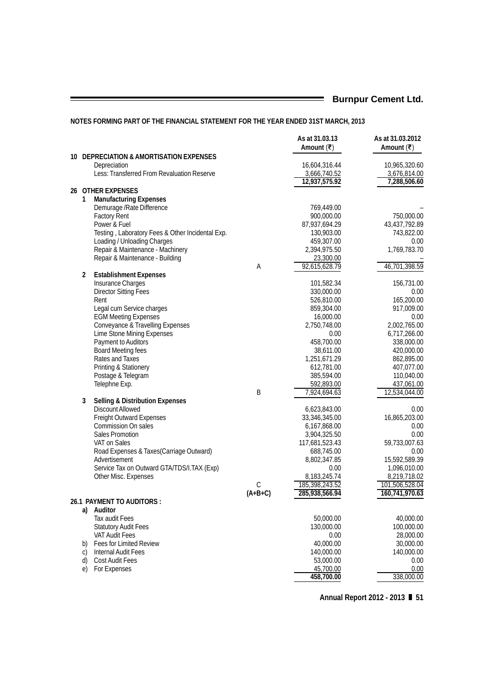|                                                                                 |           | As at 31.03.13<br>Amount (₹)     | As at 31.03.2012<br>Amount (₹)   |
|---------------------------------------------------------------------------------|-----------|----------------------------------|----------------------------------|
| 10 DEPRECIATION & AMORTISATION EXPENSES                                         |           |                                  |                                  |
| Depreciation                                                                    |           | 16,604,316.44                    | 10,965,320.60                    |
| Less: Transferred From Revaluation Reserve                                      |           | 3,666,740.52                     | 3,676,814.00                     |
|                                                                                 |           | 12,937,575.92                    | 7,288,506.60                     |
| <b>26 OTHER EXPENSES</b>                                                        |           |                                  |                                  |
| <b>Manufacturing Expenses</b><br>1                                              |           |                                  |                                  |
| Demurage / Rate Difference                                                      |           | 769,449.00                       |                                  |
| <b>Factory Rent</b>                                                             |           | 900,000.00                       | 750,000.00                       |
| Power & Fuel                                                                    |           | 87,937,694.29                    | 43,437,792.89                    |
| Testing, Laboratory Fees & Other Incidental Exp.<br>Loading / Unloading Charges |           | 130,903.00<br>459,307.00         | 743,822.00<br>0.00               |
| Repair & Maintenance - Machinery                                                |           | 2,394,975.50                     | 1,769,783.70                     |
| Repair & Maintenance - Building                                                 |           | 23,300.00                        |                                  |
|                                                                                 | A         | 92,615,628.79                    | 46,701,398.59                    |
| <b>Establishment Expenses</b><br>2                                              |           |                                  |                                  |
| Insurance Charges                                                               |           | 101,582.34                       | 156,731.00                       |
| <b>Director Sitting Fees</b>                                                    |           | 330,000.00                       | $0.00\,$                         |
| Rent                                                                            |           | 526,810.00                       | 165,200.00                       |
| Legal cum Service charges                                                       |           | 859,304.00                       | 917,009.00                       |
| <b>EGM Meeting Expenses</b>                                                     |           | 16,000.00                        | 0.00                             |
| Conveyance & Travelling Expenses                                                |           | 2,750,748.00                     | 2,002,765.00                     |
| Lime Stone Mining Expenses                                                      |           | 0.00                             | 6,717,266.00                     |
| Payment to Auditors                                                             |           | 458,700.00                       | 338,000.00                       |
| <b>Board Meeting fees</b>                                                       |           | 38,611.00                        | 420,000.00                       |
| Rates and Taxes                                                                 |           | 1,251,671.29                     | 862,895.00                       |
| Printing & Stationery                                                           |           | 612,781.00                       | 407,077.00                       |
| Postage & Telegram                                                              |           | 385,594.00                       | 110,040.00                       |
| Telephne Exp.                                                                   |           | 592,893.00                       | 437,061.00                       |
|                                                                                 | Β         | 7,924,694.63                     | 12,534,044.00                    |
| 3<br><b>Selling &amp; Distribution Expenses</b>                                 |           |                                  |                                  |
| Discount Allowed                                                                |           | 6,623,843.00                     | 0.00                             |
| <b>Freight Outward Expenses</b>                                                 |           | 33,346,345.00                    | 16,865,203.00                    |
| Commission On sales                                                             |           | 6,167,868.00                     | 0.00                             |
| Sales Promotion                                                                 |           | 3,904,325.50                     | 0.00                             |
| VAT on Sales                                                                    |           | 117,681,523.43                   | 59,733,007.63                    |
| Road Expenses & Taxes(Carriage Outward)                                         |           | 688,745.00                       | $0.00\,$                         |
| Advertisement                                                                   |           | 8,802,347.85                     | 15,592,589.39                    |
| Service Tax on Outward GTA/TDS/I.TAX (Exp)                                      |           | 0.00                             | 1,096,010.00                     |
| Other Misc. Expenses                                                            | C         | 8,183,245.74<br>185, 398, 243.52 | 8,219,718.02                     |
|                                                                                 | $(A+B+C)$ | 285,938,566.94                   | 101,506,528.04<br>160,741,970.63 |
| 26.1 PAYMENT TO AUDITORS :                                                      |           |                                  |                                  |
| Auditor<br>a)                                                                   |           |                                  |                                  |
| Tax audit Fees                                                                  |           | 50,000.00                        | 40,000.00                        |
| <b>Statutory Audit Fees</b>                                                     |           | 130,000.00                       | 100,000.00                       |
| VAT Audit Fees                                                                  |           | 0.00                             | 28,000.00                        |
| <b>Fees for Limited Review</b><br>b)                                            |           | 40,000.00                        | 30,000.00                        |
| <b>Internal Audit Fees</b><br>C)                                                |           | 140,000.00                       | 140,000.00                       |
| Cost Audit Fees<br>d)                                                           |           | 53,000.00                        | 0.00                             |
| For Expenses<br>e)                                                              |           | 45,700.00                        | 0.00                             |
|                                                                                 |           | 458,700.00                       | 338,000.00                       |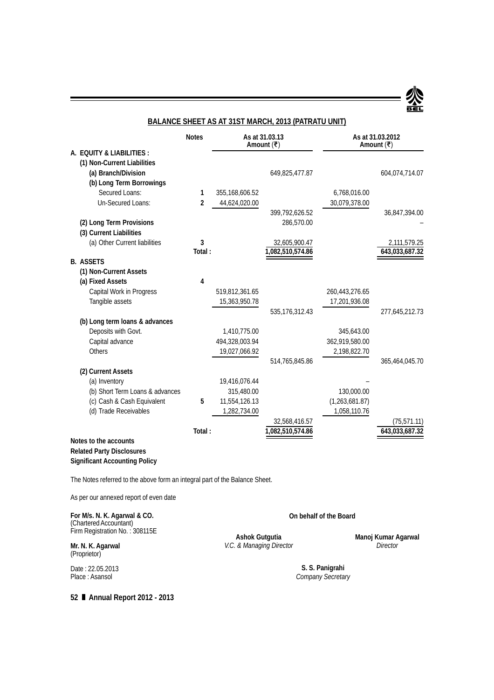

# **BALANCE SHEET AS AT 31ST MARCH, 2013 (PATRATU UNIT)**

|                                                                                                                               | <b>Notes</b>                 |                                                              | As at 31.03.13<br>Amount $(₹)$    |                                                | As at 31.03.2012<br>Amount (₹)  |
|-------------------------------------------------------------------------------------------------------------------------------|------------------------------|--------------------------------------------------------------|-----------------------------------|------------------------------------------------|---------------------------------|
| A. EQUITY & LIABILITIES:<br>(1) Non-Current Liabilities<br>(a) Branch/Division                                                |                              |                                                              | 649,825,477.87                    |                                                | 604,074,714.07                  |
| (b) Long Term Borrowings<br>Secured Loans:<br>Un-Secured Loans:                                                               | 1<br>$\overline{\mathbf{c}}$ | 355, 168, 606. 52<br>44,624,020.00                           |                                   | 6,768,016.00<br>30,079,378.00                  |                                 |
| (2) Long Term Provisions<br>(3) Current Liabilities                                                                           |                              |                                                              | 399,792,626.52<br>286,570.00      |                                                | 36,847,394.00                   |
| (a) Other Current liabilities                                                                                                 | 3<br>Total:                  |                                                              | 32,605,900.47<br>1,082,510,574.86 |                                                | 2,111,579.25<br>643,033,687.32  |
| <b>B. ASSETS</b><br>(1) Non-Current Assets                                                                                    |                              |                                                              |                                   |                                                |                                 |
| (a) Fixed Assets<br>Capital Work in Progress<br>Tangible assets                                                               | 4                            | 519,812,361.65<br>15,363,950.78                              | 535, 176, 312. 43                 | 260,443,276.65<br>17,201,936.08                | 277,645,212.73                  |
| (b) Long term loans & advances<br>Deposits with Govt.<br>Capital advance                                                      |                              | 1,410,775.00<br>494,328,003.94                               |                                   | 345,643.00<br>362,919,580.00                   |                                 |
| <b>Others</b>                                                                                                                 |                              | 19,027,066.92                                                | 514,765,845.86                    | 2,198,822.70                                   | 365,464,045.70                  |
| (2) Current Assets<br>(a) Inventory<br>(b) Short Term Loans & advances<br>(c) Cash & Cash Equivalent<br>(d) Trade Receivables | 5                            | 19,416,076.44<br>315,480.00<br>11,554,126.13<br>1,282,734.00 | 32,568,416.57                     | 130,000.00<br>(1, 263, 681.87)<br>1,058,110.76 | (75, 571.11)                    |
| Notes to the accounts<br><b>Related Party Disclosures</b><br><b>Significant Accounting Policy</b>                             | Total:                       |                                                              | 1,082,510,574.86                  |                                                | 643,033,687.32                  |
| The Notes referred to the above form an integral part of the Balance Sheet.                                                   |                              |                                                              |                                   |                                                |                                 |
| As per our annexed report of even date                                                                                        |                              |                                                              |                                   |                                                |                                 |
| For M/s. N. K. Agarwal & CO.<br>(Chartered Accountant)<br>Firm Registration No.: 308115E                                      |                              | <b>Ashok Gutgutia</b>                                        |                                   | On behalf of the Board                         |                                 |
| Mr. N. K. Agarwal<br>(Proprietor)                                                                                             |                              | V.C. & Managing Director                                     |                                   |                                                | Manoj Kumar Agarwal<br>Director |

Date : 22.05.2013 Place : Asansol

**52 Annual Report 2012 - 2013**

**S. S. Panigrahi**

*Company Secretary*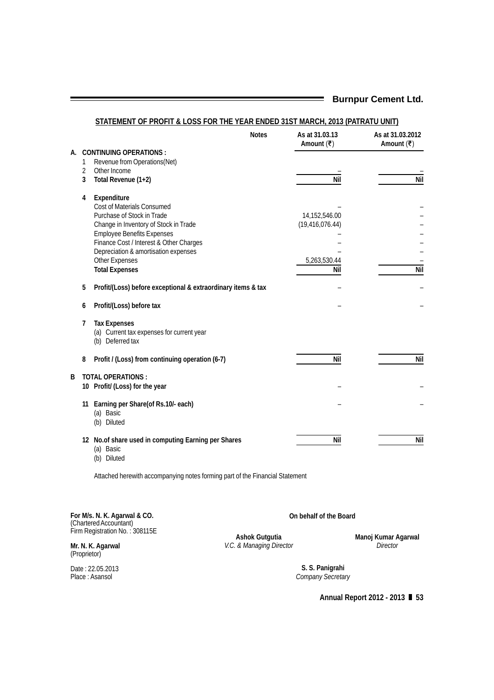|    |        | STATEMENT OF PROFIT & LOSS FOR THE YEAR ENDED 31ST MARCH, 2013 (PATRATU UNIT)        |              |                                |                                           |
|----|--------|--------------------------------------------------------------------------------------|--------------|--------------------------------|-------------------------------------------|
|    |        |                                                                                      | <b>Notes</b> | As at 31.03.13<br>Amount $(₹)$ | As at 31.03.2012<br>Amount $(\bar{\tau})$ |
| А. |        | <b>CONTINUING OPERATIONS:</b>                                                        |              |                                |                                           |
|    | 1      | Revenue from Operations (Net)                                                        |              |                                |                                           |
|    | 2<br>3 | Other Income                                                                         |              | Nil                            | Nil                                       |
|    |        | Total Revenue (1+2)                                                                  |              |                                |                                           |
|    | 4      | Expenditure                                                                          |              |                                |                                           |
|    |        | Cost of Materials Consumed                                                           |              |                                |                                           |
|    |        | Purchase of Stock in Trade                                                           |              | 14,152,546.00                  |                                           |
|    |        | Change in Inventory of Stock in Trade                                                |              | (19, 416, 076.44)              |                                           |
|    |        | <b>Employee Benefits Expenses</b>                                                    |              |                                |                                           |
|    |        | Finance Cost / Interest & Other Charges                                              |              |                                |                                           |
|    |        | Depreciation & amortisation expenses                                                 |              |                                |                                           |
|    |        | Other Expenses<br><b>Total Expenses</b>                                              |              | 5,263,530.44<br>Nil            | Nil                                       |
|    |        |                                                                                      |              |                                |                                           |
|    | 5      | Profit/(Loss) before exceptional & extraordinary items & tax                         |              |                                |                                           |
|    | 6      | Profit/(Loss) before tax                                                             |              |                                |                                           |
|    | 7      | <b>Tax Expenses</b><br>(a) Current tax expenses for current year<br>(b) Deferred tax |              |                                |                                           |
|    | 8      | Profit / (Loss) from continuing operation (6-7)                                      |              | Nil                            | Nil                                       |
| B  |        | <b>TOTAL OPERATIONS:</b>                                                             |              |                                |                                           |
|    |        | 10 Profit/ (Loss) for the year                                                       |              |                                |                                           |
|    |        |                                                                                      |              |                                |                                           |
|    |        | 11 Earning per Share(of Rs.10/- each)                                                |              |                                |                                           |
|    |        | (a) Basic                                                                            |              |                                |                                           |
|    |        | (b) Diluted                                                                          |              |                                |                                           |
|    |        | 12 No.of share used in computing Earning per Shares                                  |              | Nil                            | Nil                                       |
|    |        | (a) Basic                                                                            |              |                                |                                           |
|    |        | (b) Diluted                                                                          |              |                                |                                           |
|    |        | Attached herewith accompanying notes forming part of the Financial Statement         |              |                                |                                           |
|    |        |                                                                                      |              |                                |                                           |
|    |        | For M/s. N. K. Agarwal & CO.<br>المعطمين مممل الممعملعم                              |              | On behalf of the Board         |                                           |

(Chartered Accountant) Firm Registration No. : 308115E

**Ashok Gutgutia** *V.C. & Managing Director* **Manoj Kumar Agarwal** *Director*

Date : 22.05.2013 Place : Asansol

**Mr. N. K. Agarwal** (Proprietor)

> **S. S. Panigrahi** *Company Secretary*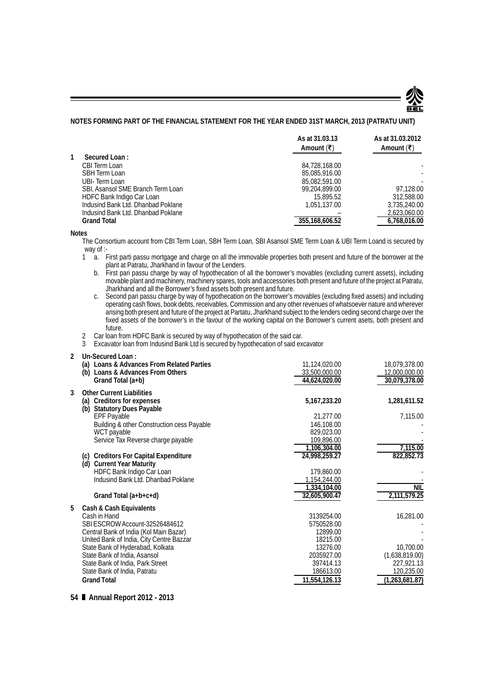#### **NOTES FORMING PART OF THE FINANCIAL STATEMENT FOR THE YEAR ENDED 31ST MARCH, 2013 (PATRATU UNIT)**

|                                    | As at 31.03.13<br>Amount (₹) | As at 31.03.2012<br>Amount $(₹)$ |
|------------------------------------|------------------------------|----------------------------------|
| Secured Loan:                      |                              |                                  |
| CBI Term Loan                      | 84,728,168,00                |                                  |
| SBH Term Loan                      | 85,085,916,00                |                                  |
| UBI-Term Loan                      | 85.082.591.00                |                                  |
| SBI, Asansol SME Branch Term Loan  | 99.204.899.00                | 97.128.00                        |
| HDFC Bank Indigo Car Loan          | 15,895.52                    | 312,588.00                       |
| Indusind Bank Ltd. Dhanbad Poklane | 1,051,137.00                 | 3.735.240.00                     |
| Indusind Bank Ltd. Dhanbad Poklane |                              | 2,623,060.00                     |
| <b>Grand Total</b>                 | 355.168.606.52               | 6,768,016.00                     |

#### **Notes**

The Consortium account from CBI Term Loan, SBH Term Loan, SBI Asansol SME Term Loan & UBI Term Loand is secured by way of :-<br>1  $a.$  1

- 1 a. First parti passu mortgage and charge on all the immovable properties both present and future of the borrower at the plant at Patratu, Jharkhand in favour of the Lenders.
- b. First pari passu charge by way of hypothecation of all the borrower's movables (excluding current assets), including movable plant and machinery, machinery spares, tools and accessories both present and future of the project at Patratu, Jharkhand and all the Borrower's fixed assets both present and future.
- c. Second pari passu charge by way of hypothecation on the borrower's movables (excluding fixed assets) and including operating cash flows, book debts, receivables, Commission and any other revenues of whatsoever nature and wherever arising both present and future of the project at Partatu, Jharkhand subject to the lenders ceding second charge over the fixed assets of the borrower's in the favour of the working capital on the Borrower's current asets, both present and future.

2 Car loan from HDFC Bank is secured by way of hypothecation of the said car.<br>3 Excavator loan from Indusind Bank Ltd is secured by hypothecation of said ex

Excavator loan from Indusind Bank Ltd is secured by hypothecation of said excavator

**2 Un-Secured Loan :**

|   | (a) Loans & Advances From Related Parties<br>(b) Loans & Advances From Others<br>Grand Total $(a+b)$ | 11,124,020.00<br>33,500,000.00<br>44,624,020.00 | 18,079,378.00<br>12,000,000.00<br>30,079,378.00 |
|---|------------------------------------------------------------------------------------------------------|-------------------------------------------------|-------------------------------------------------|
| 3 | <b>Other Current Liabilities</b><br>(a) Creditors for expenses                                       | 5, 167, 233. 20                                 | 1,281,611.52                                    |
|   | (b) Statutory Dues Payable                                                                           |                                                 |                                                 |
|   | <b>EPF Payable</b>                                                                                   | 21,277.00                                       | 7,115.00                                        |
|   | Building & other Construction cess Payable<br>WCT payable                                            | 146,108.00<br>829,023.00                        |                                                 |
|   | Service Tax Reverse charge payable                                                                   | 109,896.00                                      |                                                 |
|   |                                                                                                      | 1,106,304.00                                    | 7,115.00                                        |
|   | (c) Creditors For Capital Expenditure                                                                | 24,998,259.27                                   | 822,852.73                                      |
|   | (d) Current Year Maturity                                                                            |                                                 |                                                 |
|   | HDFC Bank Indigo Car Loan                                                                            | 179,860.00                                      |                                                 |
|   | Indusind Bank Ltd. Dhanbad Poklane                                                                   | 1,154,244.00                                    |                                                 |
|   |                                                                                                      | 1,334,104.00                                    | <b>NIL</b>                                      |
|   | Grand Total (a+b+c+d)                                                                                | 32,605,900.47                                   | 2,111,579.25                                    |
| 5 | Cash & Cash Equivalents                                                                              |                                                 |                                                 |
|   | Cash in Hand                                                                                         | 3139254.00                                      | 16,281.00                                       |
|   | SBI ESCROW Account-32526484612                                                                       | 5750528.00                                      |                                                 |
|   | Central Bank of India (Kol Main Bazar)                                                               | 12899.00                                        |                                                 |
|   | United Bank of India, City Centre Bazzar                                                             | 18215.00                                        |                                                 |
|   | State Bank of Hyderabad, Kolkata                                                                     | 13276.00                                        | 10,700.00                                       |
|   | State Bank of India, Asansol                                                                         | 2035927.00                                      | (1,638,819.00)                                  |
|   | State Bank of India, Park Street                                                                     | 397414.13                                       | 227,921.13                                      |
|   | State Bank of India, Patratu                                                                         | 186613.00                                       | 120,235.00                                      |
|   | <b>Grand Total</b>                                                                                   | 11,554,126.13                                   | (1, 263, 681.87)                                |
|   |                                                                                                      |                                                 |                                                 |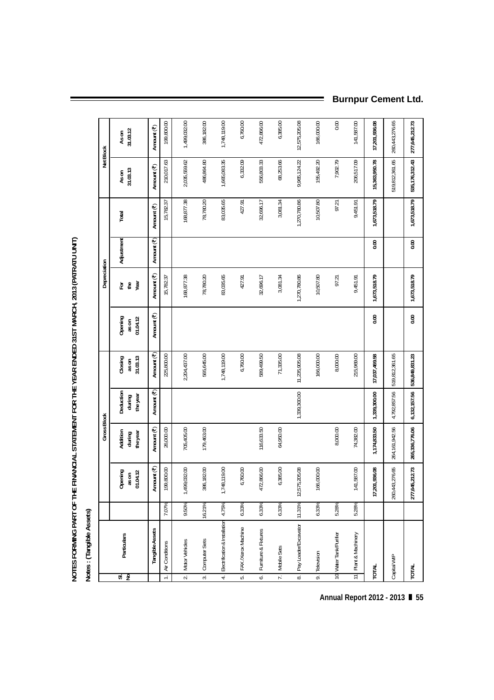NOTES FORMING PART OF THE FINANCIAL STATEMENT FOR THE YEAR ENDED 31ST MARCH, 2013 (PATRATU UNIT) **NOTES FORMING PART OF THE FINANCIAL STATEMENT FOR THE YEAR ENDED 31ST MARCH, 2013 (PATRATU UNIT)** Notes: (Tangible Assets) **Notes : (Tangible Assets)**

|                          |                                      |        |                              | <b>Gross Block</b>             |                                 |                              |                              | Depreciation    |            |              |                   | Net Block         |
|--------------------------|--------------------------------------|--------|------------------------------|--------------------------------|---------------------------------|------------------------------|------------------------------|-----------------|------------|--------------|-------------------|-------------------|
| ड़<br>ದ                  | Particulars                          |        | Opening<br>01.04.12<br>as on | Addition<br>during<br>the year | Deduction<br>the year<br>during | 31.03.13<br>Closing<br>as on | Opening<br>01.04.12<br>as on | Year<br>₽<br>Έð | Adjustment | Total        | 31.03.13<br>As on | 31.03.12<br>As on |
|                          | Fangible Assets                      |        | Amount (₹)                   | Amount (₹)                     | Amount (₹)                      | Amount (₹)                   | Amount (₹)                   | Amount (₹)      | Amount (₹) | Amount (₹)   | Amount (₹)        | Amount (₹)        |
| $\div$                   | Air Conditions                       | 7.07%  | 199,800.00                   | 26,000.00                      |                                 | 225,800.00                   |                              | 15,782.37       |            | 15,782.37    | 210,017.63        | 199,800.00        |
| $\overline{\mathbf{r}}$  | Motor Vehicles                       | 9.50%  | 1,499,032.00                 | 705,405.00                     |                                 | 2,204,437.00                 |                              | 168,877.38      |            | 168,877.38   | 2,035,559.62      | 1,499,032.00      |
| $\overline{\mathcal{E}}$ | Computer Sets                        | 16.21% | 386,182.00                   | 179,463.00                     |                                 | 565,645.00                   |                              | 78,780.20       |            | 78,780.20    | 486,864.80        | 386,182.00        |
| $\overline{4}$           | Electrification & Installation 4.75% |        | ,748,119.00                  |                                |                                 | 1,748,119.00                 |                              | 83,035.65       |            | 83,035.65    | 1,665,083.35      | 1,748,119.00      |
| 5.                       | FAX /Xerox Machine                   | 6.33%  | 6,760.00                     |                                |                                 | 6,760.00                     |                              | 427.91          |            | 427.91       | 6,332.09          | 6,760.00          |
| $\overline{\cdot}$       | Furniture & Fixtures                 | 6.33%  | 472,866.00                   | 116,633.50                     |                                 | 589,499.50                   |                              | 32,696.17       |            | 32,696.17    | 556,803.33        | 472,866.00        |
| $\overline{r}$           | Mobile Sets                          | 6.33%  | 6,385.00                     | 64,950.00                      |                                 | 71,335.00                    |                              | 3,081.34        |            | 3,081.34     | 68,253.66         | 6,385.00          |
| $\infty$                 | Pay Loader/Excavator                 | 11.31% | 575,205.08<br>$\tilde{c}$    |                                | 1,339,300.00                    | 11,235,905.08                |                              | 1,270,780.86    |            | 1,270,780.86 | 9,965,124.22      | 12,575,205.08     |
| $\overline{\sigma}$      | Television                           | 6.33%  | 166,000.00                   |                                |                                 | 166,000.00                   |                              | 10,507.80       |            | 10,507.80    | 155,492.20        | 166,000.00        |
|                          | 10 Water Tank/Purifier               | 5.28%  |                              | 8,000.00                       |                                 | 8,000.00                     |                              | 97.21           |            | 97.21        | 7,902.79          | 0.00              |
|                          | 11 Plant & Machinery                 | 5.28%  | 141,587.00                   | 74,382.00                      |                                 | 215,969.00                   |                              | 9,451.91        |            | 9,451.91     | 206,517.09        | 141,587.00        |
|                          | <b>TOTAL</b>                         |        | 201,936.08<br>Ë,             | 1,174,833.50                   | 1,339,300.00                    | 17,037,469.58                | 0.00                         | 1,673,518.79    | 0.00       | 1,673,518.79 | 15,363,950.78     | 17,201,936.08     |
|                          | Capital WIP                          |        | 443,276.65<br>260,           | 264,161,942.56                 | 4,792,857.56                    | 519,812,361.65               |                              |                 |            |              | 519,812,361.65    | 260,443,276.65    |
|                          | TOTAL                                |        | 645,212.73<br>2Π,            | 265,336,776.06                 | 6,132,157.56                    | 536,849,831.23               | 0.00                         | 1,673,518.79    | 0.00       | 1,673,518.79 | 535, 176, 312.43  | 277,645,212.73    |

# **Burnpur Cement Ltd.**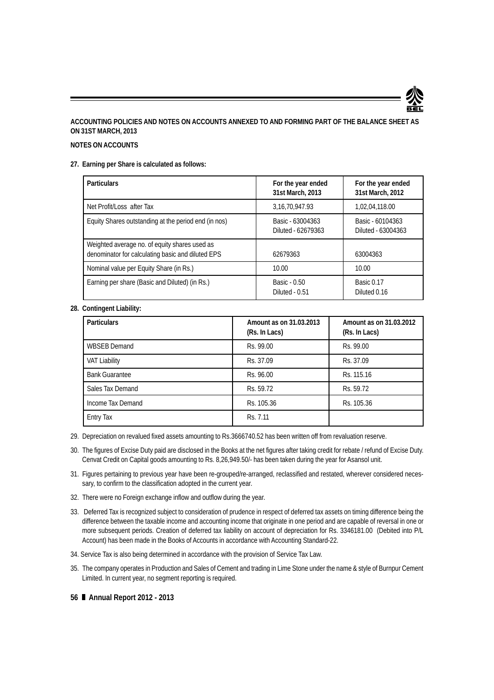

# **ACCOUNTING POLICIES AND NOTES ON ACCOUNTS ANNEXED TO AND FORMING PART OF THE BALANCE SHEET AS ON 31ST MARCH, 2013**

# **NOTES ON ACCOUNTS**

# **27. Earning per Share is calculated as follows:**

| <b>Particulars</b>                                                                                 | For the year ended<br>31st March, 2013 | For the year ended<br>31st March, 2012 |
|----------------------------------------------------------------------------------------------------|----------------------------------------|----------------------------------------|
| Net Profit/Loss after Tax                                                                          | 3, 16, 70, 947. 93                     | 1,02,04,118.00                         |
| Equity Shares outstanding at the period end (in nos)                                               | Basic - 63004363<br>Diluted - 62679363 | Basic - 60104363<br>Diluted - 63004363 |
| Weighted average no. of equity shares used as<br>denominator for calculating basic and diluted EPS | 62679363                               | 63004363                               |
| Nominal value per Equity Share (in Rs.)                                                            | 10.00                                  | 10.00                                  |
| Earning per share (Basic and Diluted) (in Rs.)                                                     | Basic - 0.50<br>Diluted - 0.51         | <b>Basic 0.17</b><br>Diluted 0.16      |

# **28. Contingent Liability:**

| <b>Particulars</b>    | Amount as on 31,03,2013<br>(Rs. In Lacs) | Amount as on 31.03.2012<br>(Rs. In Lacs) |
|-----------------------|------------------------------------------|------------------------------------------|
| <b>WBSEB Demand</b>   | Rs. 99.00                                | Rs. 99.00                                |
| <b>VAT Liability</b>  | Rs. 37.09                                | Rs. 37.09                                |
| <b>Bank Guarantee</b> | Rs. 96.00                                | Rs. 115.16                               |
| Sales Tax Demand      | Rs. 59.72                                | Rs. 59.72                                |
| Income Tax Demand     | Rs. 105.36                               | Rs. 105.36                               |
| <b>Entry Tax</b>      | Rs. 7.11                                 |                                          |

29. Depreciation on revalued fixed assets amounting to Rs.3666740.52 has been written off from revaluation reserve.

- 30. The figures of Excise Duty paid are disclosed in the Books at the net figures after taking credit for rebate / refund of Excise Duty. Cenvat Credit on Capital goods amounting to Rs. 8,26,949.50/- has been taken during the year for Asansol unit.
- 31. Figures pertaining to previous year have been re-grouped/re-arranged, reclassified and restated, wherever considered necessary, to confirm to the classification adopted in the current year.
- 32. There were no Foreign exchange inflow and outflow during the year.
- 33. Deferred Tax is recognized subject to consideration of prudence in respect of deferred tax assets on timing difference being the difference between the taxable income and accounting income that originate in one period and are capable of reversal in one or more subsequent periods. Creation of deferred tax liability on account of depreciation for Rs. 3346181.00 (Debited into P/L Account) has been made in the Books of Accounts in accordance with Accounting Standard-22.
- 34. Service Tax is also being determined in accordance with the provision of Service Tax Law.
- 35. The company operates in Production and Sales of Cement and trading in Lime Stone under the name & style of Burnpur Cement Limited. In current year, no segment reporting is required.
- **56 Annual Report 2012 2013**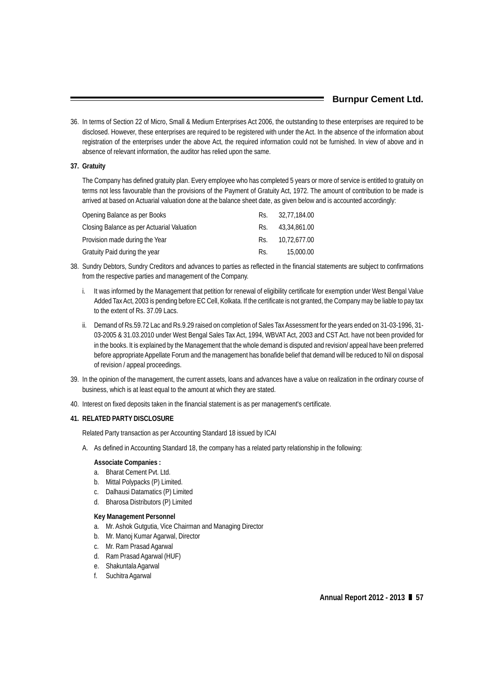36. In terms of Section 22 of Micro, Small & Medium Enterprises Act 2006, the outstanding to these enterprises are required to be disclosed. However, these enterprises are required to be registered with under the Act. In the absence of the information about registration of the enterprises under the above Act, the required information could not be furnished. In view of above and in absence of relevant information, the auditor has relied upon the same.

# **37. Gratuity**

The Company has defined gratuity plan. Every employee who has completed 5 years or more of service is entitled to gratuity on terms not less favourable than the provisions of the Payment of Gratuity Act, 1972. The amount of contribution to be made is arrived at based on Actuarial valuation done at the balance sheet date, as given below and is accounted accordingly:

| Opening Balance as per Books               | Rs. | 32.77.184.00 |
|--------------------------------------------|-----|--------------|
| Closing Balance as per Actuarial Valuation | Rs. | 43.34.861.00 |
| Provision made during the Year             | Rs. | 10.72.677.00 |
| Gratuity Paid during the year              | Rs. | 15,000.00    |

- 38. Sundry Debtors, Sundry Creditors and advances to parties as reflected in the financial statements are subject to confirmations from the respective parties and management of the Company.
	- i. It was informed by the Management that petition for renewal of eligibility certificate for exemption under West Bengal Value Added Tax Act, 2003 is pending before EC Cell, Kolkata. If the certificate is not granted, the Company may be liable to pay tax to the extent of Rs. 37.09 Lacs.
	- ii. Demand of Rs.59.72 Lac and Rs.9.29 raised on completion of Sales Tax Assessment for the years ended on 31-03-1996, 31- 03-2005 & 31.03.2010 under West Bengal Sales Tax Act, 1994, WBVAT Act, 2003 and CST Act. have not been provided for in the books. It is explained by the Management that the whole demand is disputed and revision/ appeal have been preferred before appropriate Appellate Forum and the management has bonafide belief that demand will be reduced to Nil on disposal of revision / appeal proceedings.
- 39. In the opinion of the management, the current assets, loans and advances have a value on realization in the ordinary course of business, which is at least equal to the amount at which they are stated.
- 40. Interest on fixed deposits taken in the financial statement is as per management's certificate.

# **41. RELATED PARTY DISCLOSURE**

Related Party transaction as per Accounting Standard 18 issued by ICAI

A. As defined in Accounting Standard 18, the company has a related party relationship in the following:

#### **Associate Companies :**

- a. Bharat Cement Pvt. Ltd.
- b. Mittal Polypacks (P) Limited.
- c. Dalhausi Datamatics (P) Limited
- d. Bharosa Distributors (P) Limited

#### **Key Management Personnel**

- a. Mr. Ashok Gutgutia, Vice Chairman and Managing Director
- b. Mr. Manoj Kumar Agarwal, Director
- c. Mr. Ram Prasad Agarwal
- d. Ram Prasad Agarwal (HUF)
- e. Shakuntala Agarwal
- f. Suchitra Agarwal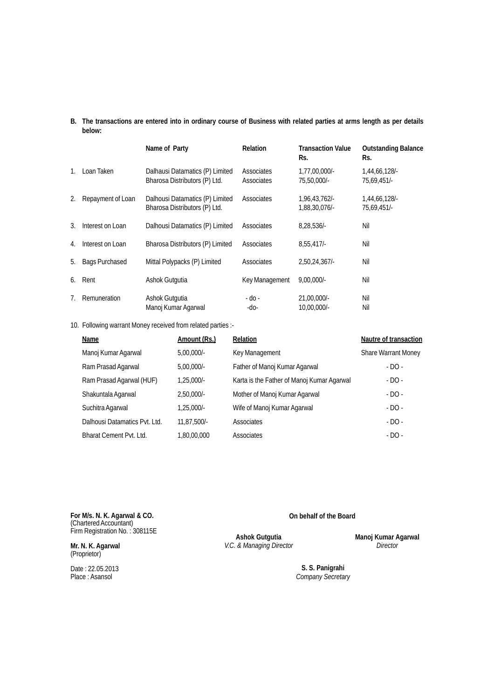# **B. The transactions are entered into in ordinary course of Business with related parties at arms length as per details below:**

|         |                       | Name of Party                                                    | Relation                 | <b>Transaction Value</b><br>Rs. | <b>Outstanding Balance</b><br>Rs. |
|---------|-----------------------|------------------------------------------------------------------|--------------------------|---------------------------------|-----------------------------------|
| $1_{-}$ | Loan Taken            | Dalhausi Datamatics (P) Limited<br>Bharosa Distributors (P) Ltd. | Associates<br>Associates | 1,77,00,000/-<br>75,50,000/-    | 1,44,66,128/-<br>75,69,451/-      |
| 2.      | Repayment of Loan     | Dalhousi Datamatics (P) Limited<br>Bharosa Distributors (P) Ltd. | Associates               | 1,96,43,762/-<br>1,88,30,076/-  | 1,44,66,128/-<br>75,69,451/-      |
| 3.      | Interest on Loan      | Dalhousi Datamatics (P) Limited                                  | Associates               | $8,28,536/-$                    | Nil                               |
| 4.      | Interest on Loan      | Bharosa Distributors (P) Limited                                 | Associates               | $8,55,417$ .                    | Nil                               |
| 5.      | <b>Bags Purchased</b> | Mittal Polypacks (P) Limited                                     | Associates               | 2,50,24,367/-                   | Nil                               |
| 6.      | Rent                  | Ashok Gutgutia                                                   | Key Management           | 9,00,000                        | Nil                               |
| 7.      | Remuneration          | Ashok Gutgutia<br>Manoj Kumar Agarwal                            | - do -<br>-do-           | 21,00,000/-<br>10.00.000/-      | Nil<br>Nil                        |

10. Following warrant Money received from related parties :-

| Name                          | Amount (Rs.) | <b>Relation</b>                            | Nautre of transaction      |
|-------------------------------|--------------|--------------------------------------------|----------------------------|
| Manoj Kumar Agarwal           | $5.00.000/-$ | Key Management                             | <b>Share Warrant Money</b> |
| Ram Prasad Agarwal            | $5.00.000/-$ | Father of Manoj Kumar Agarwal              | $- DO -$                   |
| Ram Prasad Agarwal (HUF)      | $1.25.000/-$ | Karta is the Father of Manoj Kumar Agarwal | $-DO -$                    |
| Shakuntala Agarwal            | $2.50.000/-$ | Mother of Manoj Kumar Agarwal              | $-$ DO $-$                 |
| Suchitra Agarwal              | $1.25.000/-$ | Wife of Manoj Kumar Agarwal                | $-$ DO $-$                 |
| Dalhousi Datamatics Pvt. Ltd. | 11.87.500/-  | Associates                                 | $-DO -$                    |
| Bharat Cement Pvt. Ltd.       | 1.80.00.000  | Associates                                 | $-DO -$                    |

**For M/s. N. K. Agarwal & CO.** (Chartered Accountant) Firm Registration No. : 308115E

**Mr. N. K. Agarwal** (Proprietor)

Date : 22.05.2013 Place : Asansol

**On behalf of the Board**

**Ashok Gutgutia** *V.C. & Managing Director* **Manoj Kumar Agarwal** *Director*

**S. S. Panigrahi** *Company Secretary*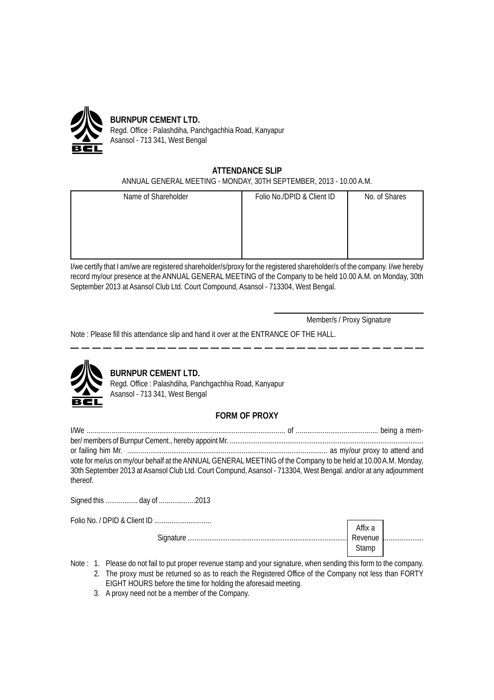

# **BURNPUR CEMENT LTD.** Regd. Office : Palashdiha, Panchgachhia Road, Kanyapur Asansol - 713 341, West Bengal

# **ATTENDANCE SLIP**

# ANNUAL GENERAL MEETING - MONDAY, 30TH SEPTEMBER, 2013 - 10.00 A.M.

| Name of Shareholder | Folio No./DPID & Client ID | No. of Shares |
|---------------------|----------------------------|---------------|
|                     |                            |               |
|                     |                            |               |
|                     |                            |               |
|                     |                            |               |

I/we certify that I am/we are registered shareholder/s/proxy for the registered shareholder/s of the company. I/we hereby record my/our presence at the ANNUAL GENERAL MEETING of the Company to be held 10.00 A.M. on Monday, 30th September 2013 at Asansol Club Ltd. Court Compound, Asansol - 713304, West Bengal.

Member/s / Proxy Signature

Note : Please fill this attendance slip and hand it over at the ENTRANCE OF THE HALL.



# **BURNPUR CEMENT LTD.**

Regd. Office : Palashdiha, Panchgachhia Road, Kanyapur Asansol - 713 341, West Bengal

# **FORM OF PROXY**

| vote for me/us on my/our behalf at the ANNUAL GENERAL MEETING of the Company to be held at 10.00 A.M. Monday,    |  |
|------------------------------------------------------------------------------------------------------------------|--|
| 30th September 2013 at Asansol Club Ltd. Court Compund, Asansol - 713304, West Bengal. and/or at any adjournment |  |
| thereof.                                                                                                         |  |

Signed this ................. day of ...................2013

Folio No. / DPID & Client ID ..............................

Signature .................................................................................................................................

Affix a Revenue Stamp

- Note : 1. Please do not fail to put proper revenue stamp and your signature, when sending this form to the company.
	- 2. The proxy must be returned so as to reach the Registered Office of the Company not less than FORTY EIGHT HOURS before the time for holding the aforesaid meeting.
	- 3. A proxy need not be a member of the Company.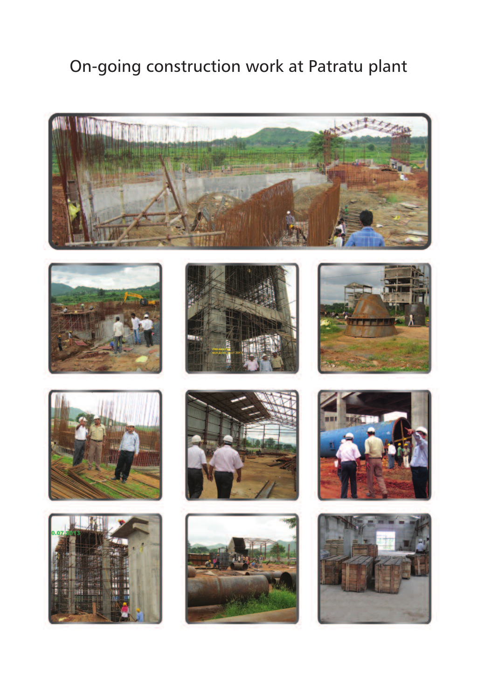# On-going construction work at Patratu plant